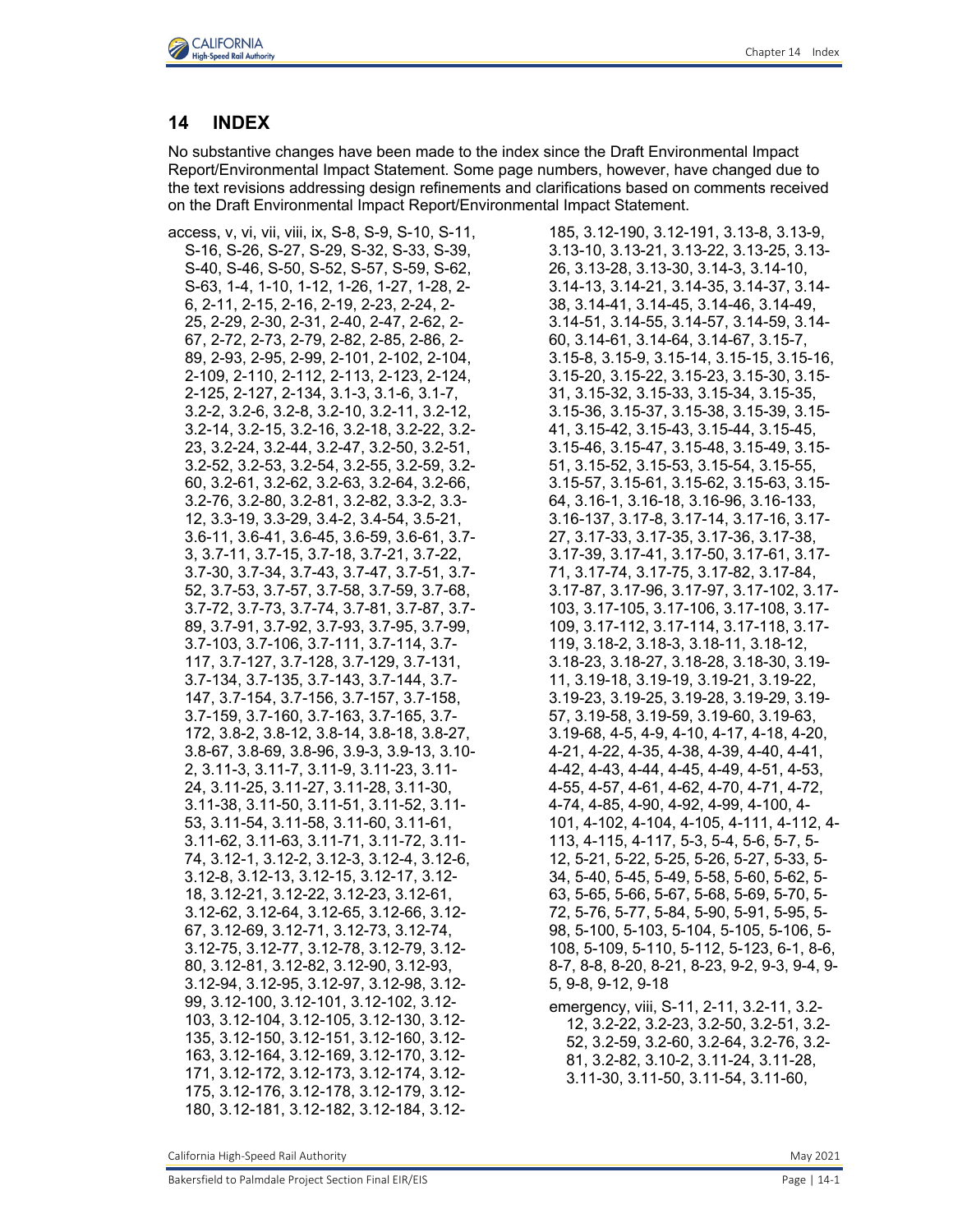



# **14 INDEX**

No substantive changes have been made to the index since the Draft Environmental Impact Report/Environmental Impact Statement. Some page numbers, however, have changed due to the text revisions addressing design refinements and clarifications based on comments received on the Draft Environmental Impact Report/Environmental Impact Statement.

access, v, vi, vii, viii, ix, S-8, S-9, S-10, S-11, S-16, S-26, S-27, S-29, S-32, S-33, S-39, S-40, S-46, S-50, S-52, S-57, S-59, S-62, S-63, 1-4, 1-10, 1-12, 1-26, 1-27, 1-28, 2- 6, 2-11, 2-15, 2-16, 2-19, 2-23, 2-24, 2- 25, 2-29, 2-30, 2-31, 2-40, 2-47, 2-62, 2- 67, 2-72, 2-73, 2-79, 2-82, 2-85, 2-86, 2- 89, 2-93, 2-95, 2-99, 2-101, 2-102, 2-104, 2-109, 2-110, 2-112, 2-113, 2-123, 2-124, 2-125, 2-127, 2-134, 3.1-3, 3.1-6, 3.1-7, 3.2-2, 3.2-6, 3.2-8, 3.2-10, 3.2-11, 3.2-12, 3.2-14, 3.2-15, 3.2-16, 3.2-18, 3.2-22, 3.2- 23, 3.2-24, 3.2-44, 3.2-47, 3.2-50, 3.2-51, 3.2-52, 3.2-53, 3.2-54, 3.2-55, 3.2-59, 3.2- 60, 3.2-61, 3.2-62, 3.2-63, 3.2-64, 3.2-66, 3.2-76, 3.2-80, 3.2-81, 3.2-82, 3.3-2, 3.3- 12, 3.3-19, 3.3-29, 3.4-2, 3.4-54, 3.5-21, 3.6-11, 3.6-41, 3.6-45, 3.6-59, 3.6-61, 3.7- 3, 3.7-11, 3.7-15, 3.7-18, 3.7-21, 3.7-22, 3.7-30, 3.7-34, 3.7-43, 3.7-47, 3.7-51, 3.7- 52, 3.7-53, 3.7-57, 3.7-58, 3.7-59, 3.7-68, 3.7-72, 3.7-73, 3.7-74, 3.7-81, 3.7-87, 3.7- 89, 3.7-91, 3.7-92, 3.7-93, 3.7-95, 3.7-99, 3.7-103, 3.7-106, 3.7-111, 3.7-114, 3.7- 117, 3.7-127, 3.7-128, 3.7-129, 3.7-131, 3.7-134, 3.7-135, 3.7-143, 3.7-144, 3.7- 147, 3.7-154, 3.7-156, 3.7-157, 3.7-158, 3.7-159, 3.7-160, 3.7-163, 3.7-165, 3.7- 172, 3.8-2, 3.8-12, 3.8-14, 3.8-18, 3.8-27, 3.8-67, 3.8-69, 3.8-96, 3.9-3, 3.9-13, 3.10- 2, 3.11-3, 3.11-7, 3.11-9, 3.11-23, 3.11- 24, 3.11-25, 3.11-27, 3.11-28, 3.11-30, 3.11-38, 3.11-50, 3.11-51, 3.11-52, 3.11- 53, 3.11-54, 3.11-58, 3.11-60, 3.11-61, 3.11-62, 3.11-63, 3.11-71, 3.11-72, 3.11- 74, 3.12-1, 3.12-2, 3.12-3, 3.12-4, 3.12-6, 3.12-8, 3.12-13, 3.12-15, 3.12-17, 3.12- 18, 3.12-21, 3.12-22, 3.12-23, 3.12-61, 3.12-62, 3.12-64, 3.12-65, 3.12-66, 3.12- 67, 3.12-69, 3.12-71, 3.12-73, 3.12-74, 3.12-75, 3.12-77, 3.12-78, 3.12-79, 3.12- 80, 3.12-81, 3.12-82, 3.12-90, 3.12-93, 3.12-94, 3.12-95, 3.12-97, 3.12-98, 3.12- 99, 3.12-100, 3.12-101, 3.12-102, 3.12- 103, 3.12-104, 3.12-105, 3.12-130, 3.12- 135, 3.12-150, 3.12-151, 3.12-160, 3.12- 163, 3.12-164, 3.12-169, 3.12-170, 3.12- 171, 3.12-172, 3.12-173, 3.12-174, 3.12- 175, 3.12-176, 3.12-178, 3.12-179, 3.12- 180, 3.12-181, 3.12-182, 3.12-184, 3.12185, 3.12-190, 3.12-191, 3.13-8, 3.13-9, 3.13-10, 3.13-21, 3.13-22, 3.13-25, 3.13- 26, 3.13-28, 3.13-30, 3.14-3, 3.14-10, 3.14-13, 3.14-21, 3.14-35, 3.14-37, 3.14- 38, 3.14-41, 3.14-45, 3.14-46, 3.14-49, 3.14-51, 3.14-55, 3.14-57, 3.14-59, 3.14- 60, 3.14-61, 3.14-64, 3.14-67, 3.15-7, 3.15-8, 3.15-9, 3.15-14, 3.15-15, 3.15-16, 3.15-20, 3.15-22, 3.15-23, 3.15-30, 3.15- 31, 3.15-32, 3.15-33, 3.15-34, 3.15-35, 3.15-36, 3.15-37, 3.15-38, 3.15-39, 3.15- 41, 3.15-42, 3.15-43, 3.15-44, 3.15-45, 3.15-46, 3.15-47, 3.15-48, 3.15-49, 3.15- 51, 3.15-52, 3.15-53, 3.15-54, 3.15-55, 3.15-57, 3.15-61, 3.15-62, 3.15-63, 3.15- 64, 3.16-1, 3.16-18, 3.16-96, 3.16-133, 3.16-137, 3.17-8, 3.17-14, 3.17-16, 3.17- 27, 3.17-33, 3.17-35, 3.17-36, 3.17-38, 3.17-39, 3.17-41, 3.17-50, 3.17-61, 3.17- 71, 3.17-74, 3.17-75, 3.17-82, 3.17-84, 3.17-87, 3.17-96, 3.17-97, 3.17-102, 3.17- 103, 3.17-105, 3.17-106, 3.17-108, 3.17- 109, 3.17-112, 3.17-114, 3.17-118, 3.17- 119, 3.18-2, 3.18-3, 3.18-11, 3.18-12, 3.18-23, 3.18-27, 3.18-28, 3.18-30, 3.19- 11, 3.19-18, 3.19-19, 3.19-21, 3.19-22, 3.19-23, 3.19-25, 3.19-28, 3.19-29, 3.19- 57, 3.19-58, 3.19-59, 3.19-60, 3.19-63, 3.19-68, 4-5, 4-9, 4-10, 4-17, 4-18, 4-20, 4-21, 4-22, 4-35, 4-38, 4-39, 4-40, 4-41, 4-42, 4-43, 4-44, 4-45, 4-49, 4-51, 4-53, 4-55, 4-57, 4-61, 4-62, 4-70, 4-71, 4-72, 4-74, 4-85, 4-90, 4-92, 4-99, 4-100, 4- 101, 4-102, 4-104, 4-105, 4-111, 4-112, 4- 113, 4-115, 4-117, 5-3, 5-4, 5-6, 5-7, 5- 12, 5-21, 5-22, 5-25, 5-26, 5-27, 5-33, 5- 34, 5-40, 5-45, 5-49, 5-58, 5-60, 5-62, 5- 63, 5-65, 5-66, 5-67, 5-68, 5-69, 5-70, 5- 72, 5-76, 5-77, 5-84, 5-90, 5-91, 5-95, 5- 98, 5-100, 5-103, 5-104, 5-105, 5-106, 5- 108, 5-109, 5-110, 5-112, 5-123, 6-1, 8-6, 8-7, 8-8, 8-20, 8-21, 8-23, 9-2, 9-3, 9-4, 9- 5, 9-8, 9-12, 9-18

emergency, viii, S-11, 2-11, 3.2-11, 3.2- 12, 3.2-22, 3.2-23, 3.2-50, 3.2-51, 3.2- 52, 3.2-59, 3.2-60, 3.2-64, 3.2-76, 3.2- 81, 3.2-82, 3.10-2, 3.11-24, 3.11-28, 3.11-30, 3.11-50, 3.11-54, 3.11-60,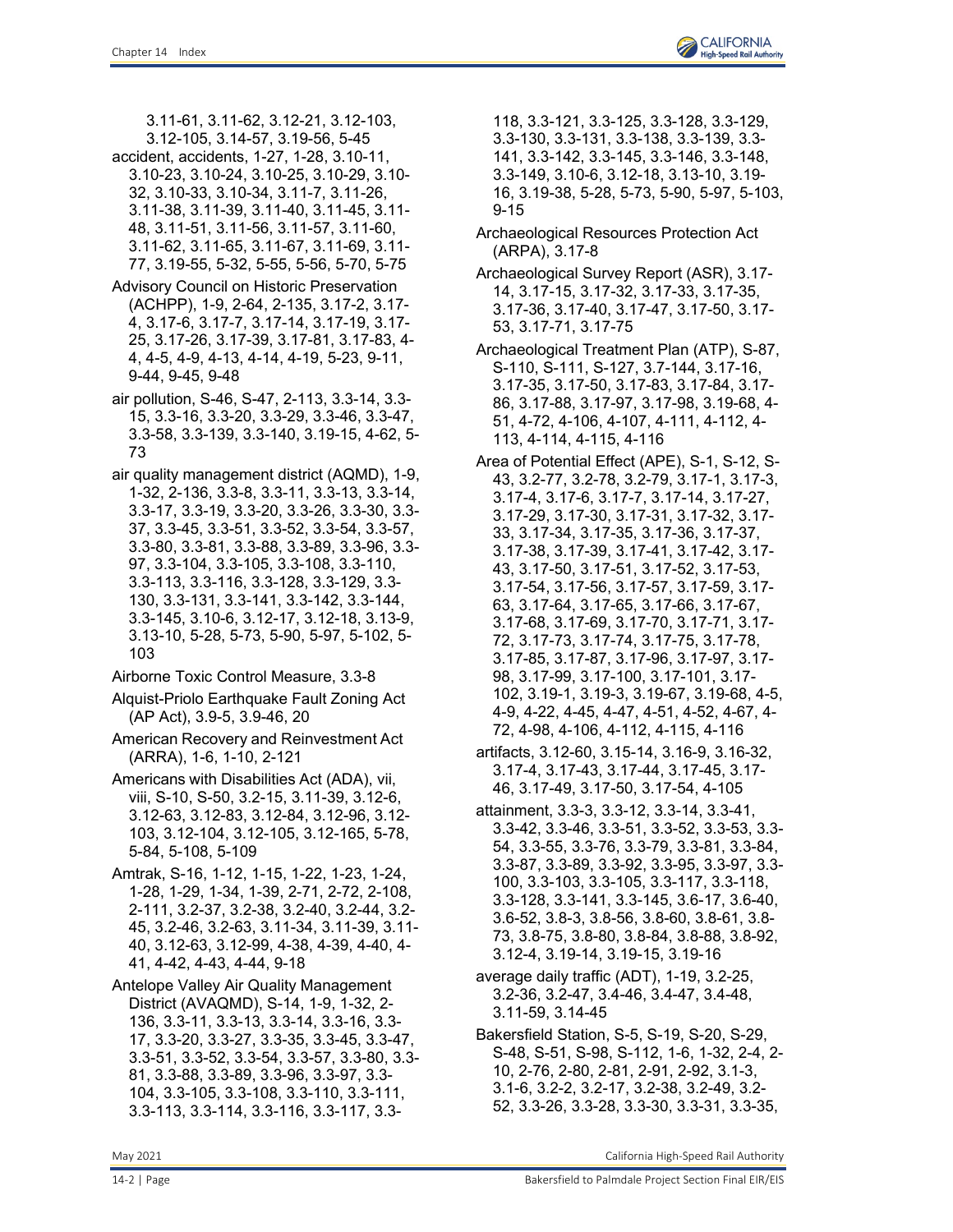3.11-61, 3.11-62, 3.12-21, 3.12-103, 3.12-105, 3.14-57, 3.19-56, 5-45

- accident, accidents, 1-27, 1-28, 3.10-11, 3.10-23, 3.10-24, 3.10-25, 3.10-29, 3.10- 32, 3.10-33, 3.10-34, 3.11-7, 3.11-26, 3.11-38, 3.11-39, 3.11-40, 3.11-45, 3.11- 48, 3.11-51, 3.11-56, 3.11-57, 3.11-60, 3.11-62, 3.11-65, 3.11-67, 3.11-69, 3.11- 77, 3.19-55, 5-32, 5-55, 5-56, 5-70, 5-75
- Advisory Council on Historic Preservation (ACHPP), 1-9, 2-64, 2-135, 3.17-2, 3.17- 4, 3.17-6, 3.17-7, 3.17-14, 3.17-19, 3.17- 25, 3.17-26, 3.17-39, 3.17-81, 3.17-83, 4- 4, 4-5, 4-9, 4-13, 4-14, 4-19, 5-23, 9-11, 9-44, 9-45, 9-48
- air pollution, S-46, S-47, 2-113, 3.3-14, 3.3- 15, 3.3-16, 3.3-20, 3.3-29, 3.3-46, 3.3-47, 3.3-58, 3.3-139, 3.3-140, 3.19-15, 4-62, 5- 73
- air quality management district (AQMD), 1-9, 1-32, 2-136, 3.3-8, 3.3-11, 3.3-13, 3.3-14, 3.3-17, 3.3-19, 3.3-20, 3.3-26, 3.3-30, 3.3- 37, 3.3-45, 3.3-51, 3.3-52, 3.3-54, 3.3-57, 3.3-80, 3.3-81, 3.3-88, 3.3-89, 3.3-96, 3.3- 97, 3.3-104, 3.3-105, 3.3-108, 3.3-110, 3.3-113, 3.3-116, 3.3-128, 3.3-129, 3.3- 130, 3.3-131, 3.3-141, 3.3-142, 3.3-144, 3.3-145, 3.10-6, 3.12-17, 3.12-18, 3.13-9, 3.13-10, 5-28, 5-73, 5-90, 5-97, 5-102, 5- 103
- Airborne Toxic Control Measure, 3.3-8
- Alquist-Priolo Earthquake Fault Zoning Act (AP Act), 3.9-5, 3.9-46, 20
- American Recovery and Reinvestment Act (ARRA), 1-6, 1-10, 2-121
- Americans with Disabilities Act (ADA), vii, viii, S-10, S-50, 3.2-15, 3.11-39, 3.12-6, 3.12-63, 3.12-83, 3.12-84, 3.12-96, 3.12- 103, 3.12-104, 3.12-105, 3.12-165, 5-78, 5-84, 5-108, 5-109
- Amtrak, S-16, 1-12, 1-15, 1-22, 1-23, 1-24, 1-28, 1-29, 1-34, 1-39, 2-71, 2-72, 2-108, 2-111, 3.2-37, 3.2-38, 3.2-40, 3.2-44, 3.2- 45, 3.2-46, 3.2-63, 3.11-34, 3.11-39, 3.11- 40, 3.12-63, 3.12-99, 4-38, 4-39, 4-40, 4- 41, 4-42, 4-43, 4-44, 9-18

Antelope Valley Air Quality Management District (AVAQMD), S-14, 1-9, 1-32, 2- 136, 3.3-11, 3.3-13, 3.3-14, 3.3-16, 3.3- 17, 3.3-20, 3.3-27, 3.3-35, 3.3-45, 3.3-47, 3.3-51, 3.3-52, 3.3-54, 3.3-57, 3.3-80, 3.3- 81, 3.3-88, 3.3-89, 3.3-96, 3.3-97, 3.3- 104, 3.3-105, 3.3-108, 3.3-110, 3.3-111, 3.3-113, 3.3-114, 3.3-116, 3.3-117, 3.3-

- Archaeological Resources Protection Act (ARPA), 3.17-8
- Archaeological Survey Report (ASR), 3.17- 14, 3.17-15, 3.17-32, 3.17-33, 3.17-35, 3.17-36, 3.17-40, 3.17-47, 3.17-50, 3.17- 53, 3.17-71, 3.17-75
- Archaeological Treatment Plan (ATP), S-87, S-110, S-111, S-127, 3.7-144, 3.17-16, 3.17-35, 3.17-50, 3.17-83, 3.17-84, 3.17- 86, 3.17-88, 3.17-97, 3.17-98, 3.19-68, 4- 51, 4-72, 4-106, 4-107, 4-111, 4-112, 4- 113, 4-114, 4-115, 4-116
- Area of Potential Effect (APE), S-1, S-12, S-43, 3.2-77, 3.2-78, 3.2-79, 3.17-1, 3.17-3, 3.17-4, 3.17-6, 3.17-7, 3.17-14, 3.17-27, 3.17-29, 3.17-30, 3.17-31, 3.17-32, 3.17- 33, 3.17-34, 3.17-35, 3.17-36, 3.17-37, 3.17-38, 3.17-39, 3.17-41, 3.17-42, 3.17- 43, 3.17-50, 3.17-51, 3.17-52, 3.17-53, 3.17-54, 3.17-56, 3.17-57, 3.17-59, 3.17- 63, 3.17-64, 3.17-65, 3.17-66, 3.17-67, 3.17-68, 3.17-69, 3.17-70, 3.17-71, 3.17- 72, 3.17-73, 3.17-74, 3.17-75, 3.17-78, 3.17-85, 3.17-87, 3.17-96, 3.17-97, 3.17- 98, 3.17-99, 3.17-100, 3.17-101, 3.17- 102, 3.19-1, 3.19-3, 3.19-67, 3.19-68, 4-5, 4-9, 4-22, 4-45, 4-47, 4-51, 4-52, 4-67, 4- 72, 4-98, 4-106, 4-112, 4-115, 4-116
- artifacts, 3.12-60, 3.15-14, 3.16-9, 3.16-32, 3.17-4, 3.17-43, 3.17-44, 3.17-45, 3.17- 46, 3.17-49, 3.17-50, 3.17-54, 4-105
- attainment, 3.3-3, 3.3-12, 3.3-14, 3.3-41, 3.3-42, 3.3-46, 3.3-51, 3.3-52, 3.3-53, 3.3- 54, 3.3-55, 3.3-76, 3.3-79, 3.3-81, 3.3-84, 3.3-87, 3.3-89, 3.3-92, 3.3-95, 3.3-97, 3.3- 100, 3.3-103, 3.3-105, 3.3-117, 3.3-118, 3.3-128, 3.3-141, 3.3-145, 3.6-17, 3.6-40, 3.6-52, 3.8-3, 3.8-56, 3.8-60, 3.8-61, 3.8- 73, 3.8-75, 3.8-80, 3.8-84, 3.8-88, 3.8-92, 3.12-4, 3.19-14, 3.19-15, 3.19-16
- average daily traffic (ADT), 1-19, 3.2-25, 3.2-36, 3.2-47, 3.4-46, 3.4-47, 3.4-48, 3.11-59, 3.14-45
- Bakersfield Station, S-5, S-19, S-20, S-29, S-48, S-51, S-98, S-112, 1-6, 1-32, 2-4, 2- 10, 2-76, 2-80, 2-81, 2-91, 2-92, 3.1-3, 3.1-6, 3.2-2, 3.2-17, 3.2-38, 3.2-49, 3.2- 52, 3.3-26, 3.3-28, 3.3-30, 3.3-31, 3.3-35,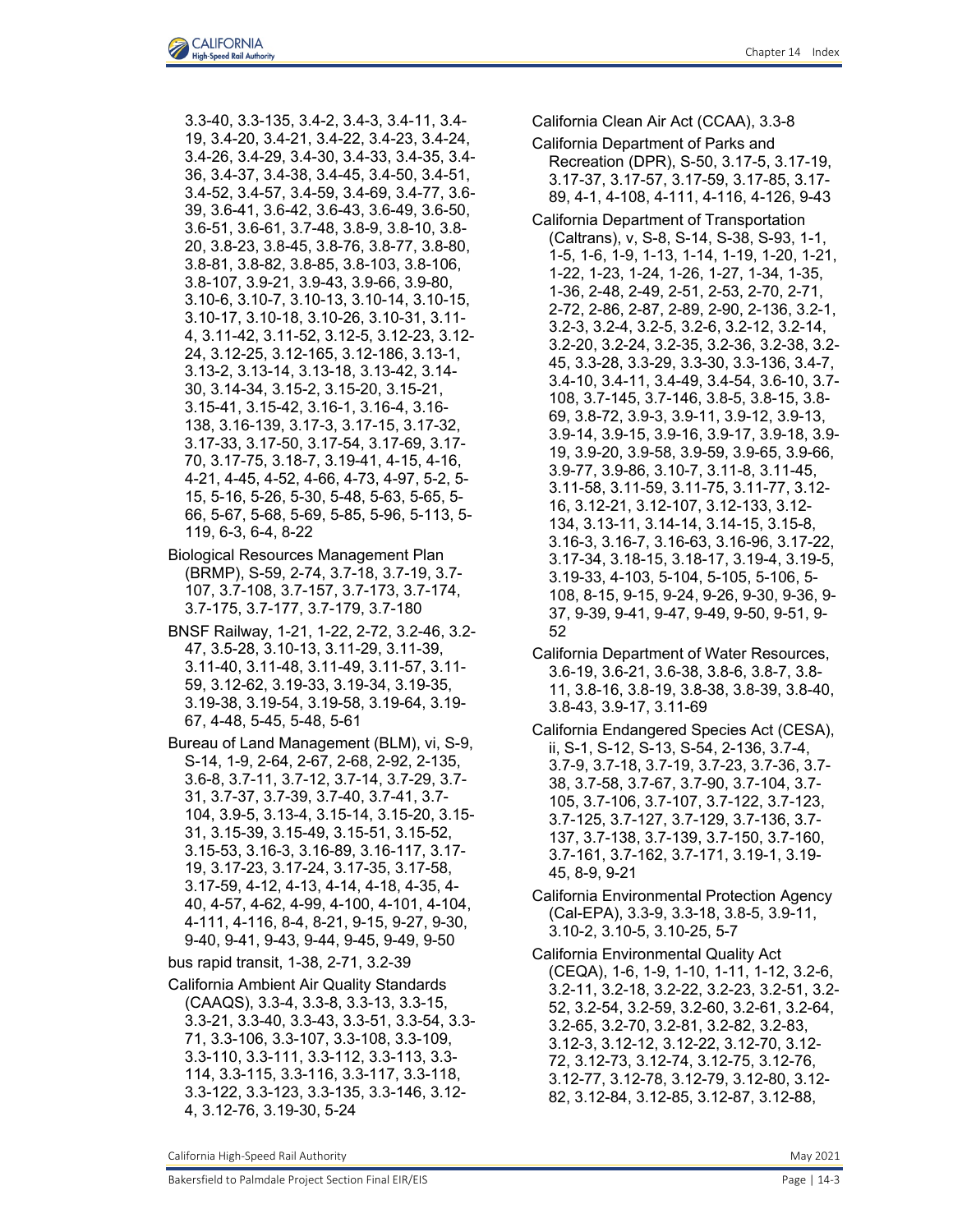3.3-40, 3.3-135, 3.4-2, 3.4-3, 3.4-11, 3.4- 19, 3.4-20, 3.4-21, 3.4-22, 3.4-23, 3.4-24, 3.4-26, 3.4-29, 3.4-30, 3.4-33, 3.4-35, 3.4- 36, 3.4-37, 3.4-38, 3.4-45, 3.4-50, 3.4-51, 3.4-52, 3.4-57, 3.4-59, 3.4-69, 3.4-77, 3.6- 39, 3.6-41, 3.6-42, 3.6-43, 3.6-49, 3.6-50, 3.6-51, 3.6-61, 3.7-48, 3.8-9, 3.8-10, 3.8- 20, 3.8-23, 3.8-45, 3.8-76, 3.8-77, 3.8-80, 3.8-81, 3.8-82, 3.8-85, 3.8-103, 3.8-106, 3.8-107, 3.9-21, 3.9-43, 3.9-66, 3.9-80, 3.10-6, 3.10-7, 3.10-13, 3.10-14, 3.10-15, 3.10-17, 3.10-18, 3.10-26, 3.10-31, 3.11- 4, 3.11-42, 3.11-52, 3.12-5, 3.12-23, 3.12- 24, 3.12-25, 3.12-165, 3.12-186, 3.13-1, 3.13-2, 3.13-14, 3.13-18, 3.13-42, 3.14- 30, 3.14-34, 3.15-2, 3.15-20, 3.15-21, 3.15-41, 3.15-42, 3.16-1, 3.16-4, 3.16- 138, 3.16-139, 3.17-3, 3.17-15, 3.17-32, 3.17-33, 3.17-50, 3.17-54, 3.17-69, 3.17- 70, 3.17-75, 3.18-7, 3.19-41, 4-15, 4-16, 4-21, 4-45, 4-52, 4-66, 4-73, 4-97, 5-2, 5- 15, 5-16, 5-26, 5-30, 5-48, 5-63, 5-65, 5- 66, 5-67, 5-68, 5-69, 5-85, 5-96, 5-113, 5- 119, 6-3, 6-4, 8-22

- Biological Resources Management Plan (BRMP), S-59, 2-74, 3.7-18, 3.7-19, 3.7- 107, 3.7-108, 3.7-157, 3.7-173, 3.7-174, 3.7-175, 3.7-177, 3.7-179, 3.7-180
- BNSF Railway, 1-21, 1-22, 2-72, 3.2-46, 3.2- 47, 3.5-28, 3.10-13, 3.11-29, 3.11-39, 3.11-40, 3.11-48, 3.11-49, 3.11-57, 3.11- 59, 3.12-62, 3.19-33, 3.19-34, 3.19-35, 3.19-38, 3.19-54, 3.19-58, 3.19-64, 3.19- 67, 4-48, 5-45, 5-48, 5-61
- Bureau of Land Management (BLM), vi, S-9, S-14, 1-9, 2-64, 2-67, 2-68, 2-92, 2-135, 3.6-8, 3.7-11, 3.7-12, 3.7-14, 3.7-29, 3.7- 31, 3.7-37, 3.7-39, 3.7-40, 3.7-41, 3.7- 104, 3.9-5, 3.13-4, 3.15-14, 3.15-20, 3.15- 31, 3.15-39, 3.15-49, 3.15-51, 3.15-52, 3.15-53, 3.16-3, 3.16-89, 3.16-117, 3.17- 19, 3.17-23, 3.17-24, 3.17-35, 3.17-58, 3.17-59, 4-12, 4-13, 4-14, 4-18, 4-35, 4- 40, 4-57, 4-62, 4-99, 4-100, 4-101, 4-104, 4-111, 4-116, 8-4, 8-21, 9-15, 9-27, 9-30, 9-40, 9-41, 9-43, 9-44, 9-45, 9-49, 9-50

bus rapid transit, 1-38, 2-71, 3.2-39

California Ambient Air Quality Standards (CAAQS), 3.3-4, 3.3-8, 3.3-13, 3.3-15, 3.3-21, 3.3-40, 3.3-43, 3.3-51, 3.3-54, 3.3- 71, 3.3-106, 3.3-107, 3.3-108, 3.3-109, 3.3-110, 3.3-111, 3.3-112, 3.3-113, 3.3- 114, 3.3-115, 3.3-116, 3.3-117, 3.3-118, 3.3-122, 3.3-123, 3.3-135, 3.3-146, 3.12- 4, 3.12-76, 3.19-30, 5-24

California Clean Air Act (CCAA), 3.3-8

- California Department of Parks and Recreation (DPR), S-50, 3.17-5, 3.17-19, 3.17-37, 3.17-57, 3.17-59, 3.17-85, 3.17- 89, 4-1, 4-108, 4-111, 4-116, 4-126, 9-43
- California Department of Transportation (Caltrans), v, S-8, S-14, S-38, S-93, 1-1, 1-5, 1-6, 1-9, 1-13, 1-14, 1-19, 1-20, 1-21, 1-22, 1-23, 1-24, 1-26, 1-27, 1-34, 1-35, 1-36, 2-48, 2-49, 2-51, 2-53, 2-70, 2-71, 2-72, 2-86, 2-87, 2-89, 2-90, 2-136, 3.2-1, 3.2-3, 3.2-4, 3.2-5, 3.2-6, 3.2-12, 3.2-14, 3.2-20, 3.2-24, 3.2-35, 3.2-36, 3.2-38, 3.2- 45, 3.3-28, 3.3-29, 3.3-30, 3.3-136, 3.4-7, 3.4-10, 3.4-11, 3.4-49, 3.4-54, 3.6-10, 3.7- 108, 3.7-145, 3.7-146, 3.8-5, 3.8-15, 3.8- 69, 3.8-72, 3.9-3, 3.9-11, 3.9-12, 3.9-13, 3.9-14, 3.9-15, 3.9-16, 3.9-17, 3.9-18, 3.9- 19, 3.9-20, 3.9-58, 3.9-59, 3.9-65, 3.9-66, 3.9-77, 3.9-86, 3.10-7, 3.11-8, 3.11-45, 3.11-58, 3.11-59, 3.11-75, 3.11-77, 3.12- 16, 3.12-21, 3.12-107, 3.12-133, 3.12- 134, 3.13-11, 3.14-14, 3.14-15, 3.15-8, 3.16-3, 3.16-7, 3.16-63, 3.16-96, 3.17-22, 3.17-34, 3.18-15, 3.18-17, 3.19-4, 3.19-5, 3.19-33, 4-103, 5-104, 5-105, 5-106, 5- 108, 8-15, 9-15, 9-24, 9-26, 9-30, 9-36, 9- 37, 9-39, 9-41, 9-47, 9-49, 9-50, 9-51, 9- 52
- California Department of Water Resources, 3.6-19, 3.6-21, 3.6-38, 3.8-6, 3.8-7, 3.8- 11, 3.8-16, 3.8-19, 3.8-38, 3.8-39, 3.8-40, 3.8-43, 3.9-17, 3.11-69
- California Endangered Species Act (CESA), ii, S-1, S-12, S-13, S-54, 2-136, 3.7-4, 3.7-9, 3.7-18, 3.7-19, 3.7-23, 3.7-36, 3.7- 38, 3.7-58, 3.7-67, 3.7-90, 3.7-104, 3.7- 105, 3.7-106, 3.7-107, 3.7-122, 3.7-123, 3.7-125, 3.7-127, 3.7-129, 3.7-136, 3.7- 137, 3.7-138, 3.7-139, 3.7-150, 3.7-160, 3.7-161, 3.7-162, 3.7-171, 3.19-1, 3.19- 45, 8-9, 9-21
- California Environmental Protection Agency (Cal-EPA), 3.3-9, 3.3-18, 3.8-5, 3.9-11, 3.10-2, 3.10-5, 3.10-25, 5-7

California Environmental Quality Act (CEQA), 1-6, 1-9, 1-10, 1-11, 1-12, 3.2-6, 3.2-11, 3.2-18, 3.2-22, 3.2-23, 3.2-51, 3.2- 52, 3.2-54, 3.2-59, 3.2-60, 3.2-61, 3.2-64, 3.2-65, 3.2-70, 3.2-81, 3.2-82, 3.2-83, 3.12-3, 3.12-12, 3.12-22, 3.12-70, 3.12- 72, 3.12-73, 3.12-74, 3.12-75, 3.12-76, 3.12-77, 3.12-78, 3.12-79, 3.12-80, 3.12- 82, 3.12-84, 3.12-85, 3.12-87, 3.12-88,

California High-Speed Rail Authority **May 2021** 2021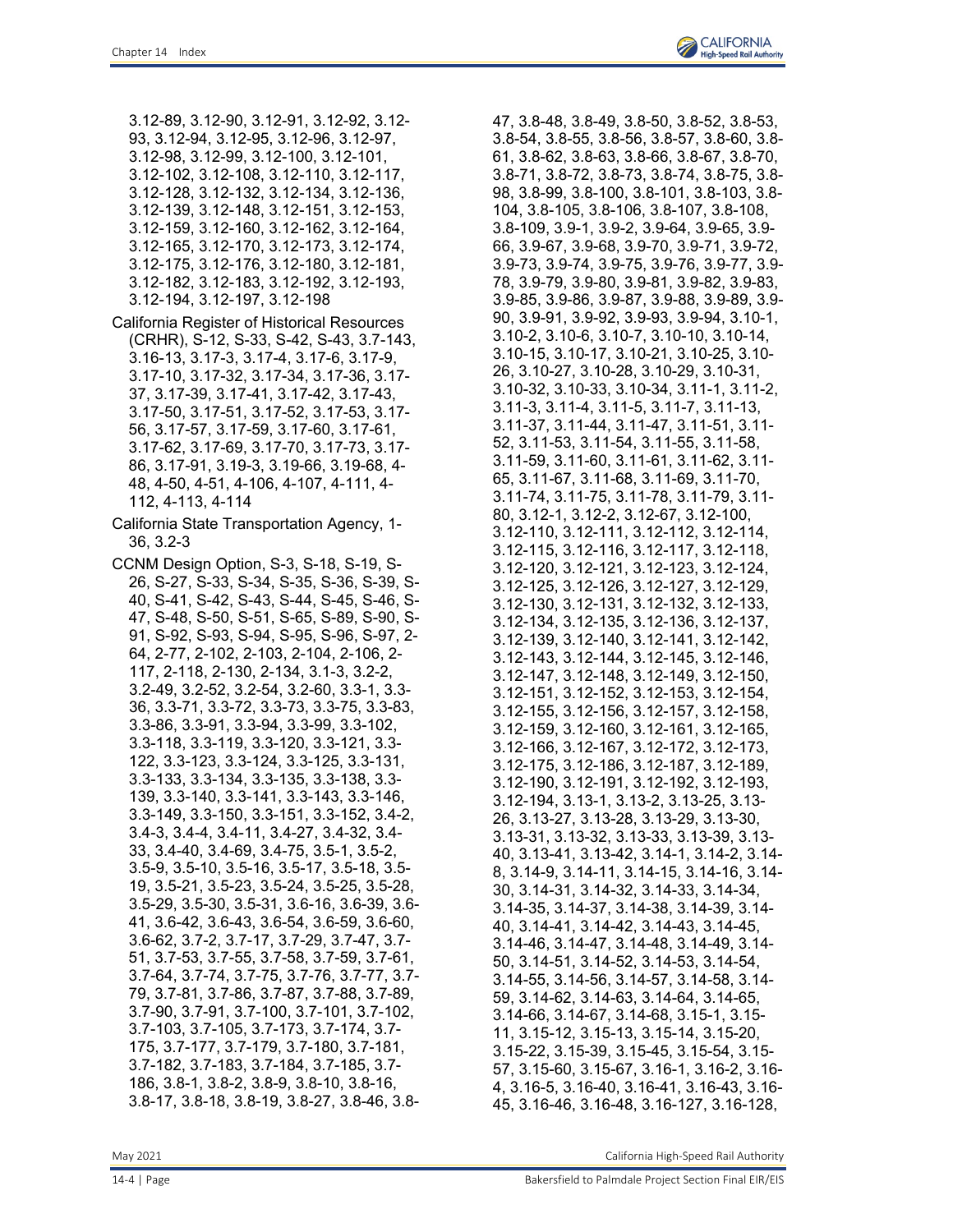- 3.12-89, 3.12-90, 3.12-91, 3.12-92, 3.12- 93, 3.12-94, 3.12-95, 3.12-96, 3.12-97, 3.12-98, 3.12-99, 3.12-100, 3.12-101, 3.12-102, 3.12-108, 3.12-110, 3.12-117, 3.12-128, 3.12-132, 3.12-134, 3.12-136, 3.12-139, 3.12-148, 3.12-151, 3.12-153, 3.12-159, 3.12-160, 3.12-162, 3.12-164, 3.12-165, 3.12-170, 3.12-173, 3.12-174, 3.12-175, 3.12-176, 3.12-180, 3.12-181, 3.12-182, 3.12-183, 3.12-192, 3.12-193, 3.12-194, 3.12-197, 3.12-198
- California Register of Historical Resources (CRHR), S-12, S-33, S-42, S-43, 3.7-143, 3.16-13, 3.17-3, 3.17-4, 3.17-6, 3.17-9, 3.17-10, 3.17-32, 3.17-34, 3.17-36, 3.17- 37, 3.17-39, 3.17-41, 3.17-42, 3.17-43, 3.17-50, 3.17-51, 3.17-52, 3.17-53, 3.17- 56, 3.17-57, 3.17-59, 3.17-60, 3.17-61, 3.17-62, 3.17-69, 3.17-70, 3.17-73, 3.17- 86, 3.17-91, 3.19-3, 3.19-66, 3.19-68, 4- 48, 4-50, 4-51, 4-106, 4-107, 4-111, 4- 112, 4-113, 4-114
- California State Transportation Agency, 1- 36, 3.2-3
- CCNM Design Option, S-3, S-18, S-19, S-26, S-27, S-33, S-34, S-35, S-36, S-39, S-40, S-41, S-42, S-43, S-44, S-45, S-46, S-47, S-48, S-50, S-51, S-65, S-89, S-90, S-91, S-92, S-93, S-94, S-95, S-96, S-97, 2- 64, 2-77, 2-102, 2-103, 2-104, 2-106, 2- 117, 2-118, 2-130, 2-134, 3.1-3, 3.2-2, 3.2-49, 3.2-52, 3.2-54, 3.2-60, 3.3-1, 3.3- 36, 3.3-71, 3.3-72, 3.3-73, 3.3-75, 3.3-83, 3.3-86, 3.3-91, 3.3-94, 3.3-99, 3.3-102, 3.3-118, 3.3-119, 3.3-120, 3.3-121, 3.3- 122, 3.3-123, 3.3-124, 3.3-125, 3.3-131, 3.3-133, 3.3-134, 3.3-135, 3.3-138, 3.3- 139, 3.3-140, 3.3-141, 3.3-143, 3.3-146, 3.3-149, 3.3-150, 3.3-151, 3.3-152, 3.4-2, 3.4-3, 3.4-4, 3.4-11, 3.4-27, 3.4-32, 3.4- 33, 3.4-40, 3.4-69, 3.4-75, 3.5-1, 3.5-2, 3.5-9, 3.5-10, 3.5-16, 3.5-17, 3.5-18, 3.5- 19, 3.5-21, 3.5-23, 3.5-24, 3.5-25, 3.5-28, 3.5-29, 3.5-30, 3.5-31, 3.6-16, 3.6-39, 3.6- 41, 3.6-42, 3.6-43, 3.6-54, 3.6-59, 3.6-60, 3.6-62, 3.7-2, 3.7-17, 3.7-29, 3.7-47, 3.7- 51, 3.7-53, 3.7-55, 3.7-58, 3.7-59, 3.7-61, 3.7-64, 3.7-74, 3.7-75, 3.7-76, 3.7-77, 3.7- 79, 3.7-81, 3.7-86, 3.7-87, 3.7-88, 3.7-89, 3.7-90, 3.7-91, 3.7-100, 3.7-101, 3.7-102, 3.7-103, 3.7-105, 3.7-173, 3.7-174, 3.7- 175, 3.7-177, 3.7-179, 3.7-180, 3.7-181, 3.7-182, 3.7-183, 3.7-184, 3.7-185, 3.7- 186, 3.8-1, 3.8-2, 3.8-9, 3.8-10, 3.8-16, 3.8-17, 3.8-18, 3.8-19, 3.8-27, 3.8-46, 3.8-

47, 3.8-48, 3.8-49, 3.8-50, 3.8-52, 3.8-53, 3.8-54, 3.8-55, 3.8-56, 3.8-57, 3.8-60, 3.8- 61, 3.8-62, 3.8-63, 3.8-66, 3.8-67, 3.8-70, 3.8-71, 3.8-72, 3.8-73, 3.8-74, 3.8-75, 3.8- 98, 3.8-99, 3.8-100, 3.8-101, 3.8-103, 3.8- 104, 3.8-105, 3.8-106, 3.8-107, 3.8-108, 3.8-109, 3.9-1, 3.9-2, 3.9-64, 3.9-65, 3.9- 66, 3.9-67, 3.9-68, 3.9-70, 3.9-71, 3.9-72, 3.9-73, 3.9-74, 3.9-75, 3.9-76, 3.9-77, 3.9- 78, 3.9-79, 3.9-80, 3.9-81, 3.9-82, 3.9-83, 3.9-85, 3.9-86, 3.9-87, 3.9-88, 3.9-89, 3.9- 90, 3.9-91, 3.9-92, 3.9-93, 3.9-94, 3.10-1, 3.10-2, 3.10-6, 3.10-7, 3.10-10, 3.10-14, 3.10-15, 3.10-17, 3.10-21, 3.10-25, 3.10- 26, 3.10-27, 3.10-28, 3.10-29, 3.10-31, 3.10-32, 3.10-33, 3.10-34, 3.11-1, 3.11-2, 3.11-3, 3.11-4, 3.11-5, 3.11-7, 3.11-13, 3.11-37, 3.11-44, 3.11-47, 3.11-51, 3.11- 52, 3.11-53, 3.11-54, 3.11-55, 3.11-58, 3.11-59, 3.11-60, 3.11-61, 3.11-62, 3.11- 65, 3.11-67, 3.11-68, 3.11-69, 3.11-70, 3.11-74, 3.11-75, 3.11-78, 3.11-79, 3.11- 80, 3.12-1, 3.12-2, 3.12-67, 3.12-100, 3.12-110, 3.12-111, 3.12-112, 3.12-114, 3.12-115, 3.12-116, 3.12-117, 3.12-118, 3.12-120, 3.12-121, 3.12-123, 3.12-124, 3.12-125, 3.12-126, 3.12-127, 3.12-129, 3.12-130, 3.12-131, 3.12-132, 3.12-133, 3.12-134, 3.12-135, 3.12-136, 3.12-137, 3.12-139, 3.12-140, 3.12-141, 3.12-142, 3.12-143, 3.12-144, 3.12-145, 3.12-146, 3.12-147, 3.12-148, 3.12-149, 3.12-150, 3.12-151, 3.12-152, 3.12-153, 3.12-154, 3.12-155, 3.12-156, 3.12-157, 3.12-158, 3.12-159, 3.12-160, 3.12-161, 3.12-165, 3.12-166, 3.12-167, 3.12-172, 3.12-173, 3.12-175, 3.12-186, 3.12-187, 3.12-189, 3.12-190, 3.12-191, 3.12-192, 3.12-193, 3.12-194, 3.13-1, 3.13-2, 3.13-25, 3.13- 26, 3.13-27, 3.13-28, 3.13-29, 3.13-30, 3.13-31, 3.13-32, 3.13-33, 3.13-39, 3.13- 40, 3.13-41, 3.13-42, 3.14-1, 3.14-2, 3.14- 8, 3.14-9, 3.14-11, 3.14-15, 3.14-16, 3.14- 30, 3.14-31, 3.14-32, 3.14-33, 3.14-34, 3.14-35, 3.14-37, 3.14-38, 3.14-39, 3.14- 40, 3.14-41, 3.14-42, 3.14-43, 3.14-45, 3.14-46, 3.14-47, 3.14-48, 3.14-49, 3.14- 50, 3.14-51, 3.14-52, 3.14-53, 3.14-54, 3.14-55, 3.14-56, 3.14-57, 3.14-58, 3.14- 59, 3.14-62, 3.14-63, 3.14-64, 3.14-65, 3.14-66, 3.14-67, 3.14-68, 3.15-1, 3.15- 11, 3.15-12, 3.15-13, 3.15-14, 3.15-20, 3.15-22, 3.15-39, 3.15-45, 3.15-54, 3.15- 57, 3.15-60, 3.15-67, 3.16-1, 3.16-2, 3.16- 4, 3.16-5, 3.16-40, 3.16-41, 3.16-43, 3.16- 45, 3.16-46, 3.16-48, 3.16-127, 3.16-128,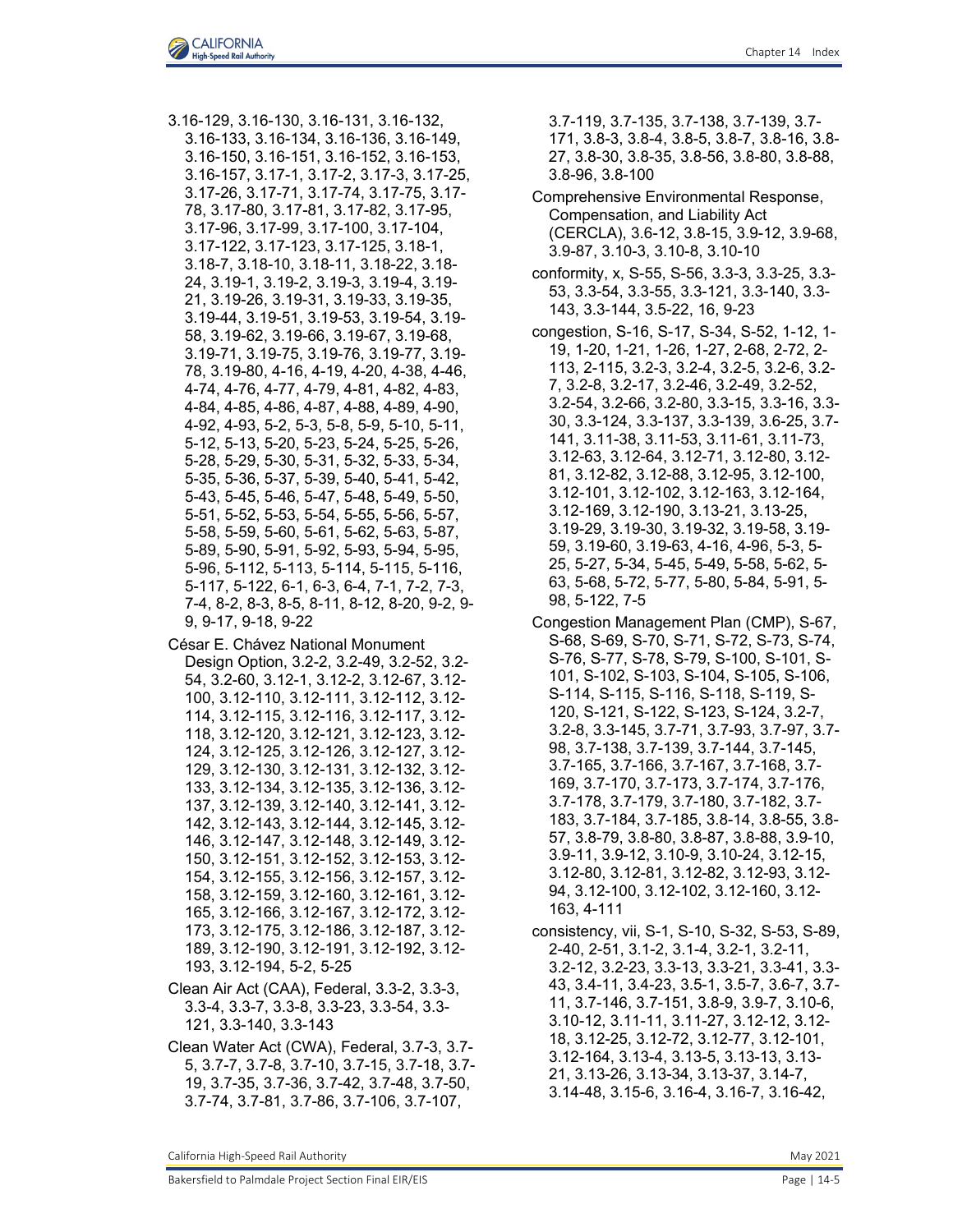- 3.16-129, 3.16-130, 3.16-131, 3.16-132, 3.16-133, 3.16-134, 3.16-136, 3.16-149, 3.16-150, 3.16-151, 3.16-152, 3.16-153, 3.16-157, 3.17-1, 3.17-2, 3.17-3, 3.17-25, 3.17-26, 3.17-71, 3.17-74, 3.17-75, 3.17- 78, 3.17-80, 3.17-81, 3.17-82, 3.17-95, 3.17-96, 3.17-99, 3.17-100, 3.17-104, 3.17-122, 3.17-123, 3.17-125, 3.18-1, 3.18-7, 3.18-10, 3.18-11, 3.18-22, 3.18- 24, 3.19-1, 3.19-2, 3.19-3, 3.19-4, 3.19- 21, 3.19-26, 3.19-31, 3.19-33, 3.19-35, 3.19-44, 3.19-51, 3.19-53, 3.19-54, 3.19- 58, 3.19-62, 3.19-66, 3.19-67, 3.19-68, 3.19-71, 3.19-75, 3.19-76, 3.19-77, 3.19- 78, 3.19-80, 4-16, 4-19, 4-20, 4-38, 4-46, 4-74, 4-76, 4-77, 4-79, 4-81, 4-82, 4-83, 4-84, 4-85, 4-86, 4-87, 4-88, 4-89, 4-90, 4-92, 4-93, 5-2, 5-3, 5-8, 5-9, 5-10, 5-11, 5-12, 5-13, 5-20, 5-23, 5-24, 5-25, 5-26, 5-28, 5-29, 5-30, 5-31, 5-32, 5-33, 5-34, 5-35, 5-36, 5-37, 5-39, 5-40, 5-41, 5-42, 5-43, 5-45, 5-46, 5-47, 5-48, 5-49, 5-50, 5-51, 5-52, 5-53, 5-54, 5-55, 5-56, 5-57, 5-58, 5-59, 5-60, 5-61, 5-62, 5-63, 5-87, 5-89, 5-90, 5-91, 5-92, 5-93, 5-94, 5-95, 5-96, 5-112, 5-113, 5-114, 5-115, 5-116, 5-117, 5-122, 6-1, 6-3, 6-4, 7-1, 7-2, 7-3, 7-4, 8-2, 8-3, 8-5, 8-11, 8-12, 8-20, 9-2, 9- 9, 9-17, 9-18, 9-22
- César E. Chávez National Monument
- Design Option, 3.2-2, 3.2-49, 3.2-52, 3.2- 54, 3.2-60, 3.12-1, 3.12-2, 3.12-67, 3.12- 100, 3.12-110, 3.12-111, 3.12-112, 3.12- 114, 3.12-115, 3.12-116, 3.12-117, 3.12- 118, 3.12-120, 3.12-121, 3.12-123, 3.12- 124, 3.12-125, 3.12-126, 3.12-127, 3.12- 129, 3.12-130, 3.12-131, 3.12-132, 3.12- 133, 3.12-134, 3.12-135, 3.12-136, 3.12- 137, 3.12-139, 3.12-140, 3.12-141, 3.12- 142, 3.12-143, 3.12-144, 3.12-145, 3.12- 146, 3.12-147, 3.12-148, 3.12-149, 3.12- 150, 3.12-151, 3.12-152, 3.12-153, 3.12- 154, 3.12-155, 3.12-156, 3.12-157, 3.12- 158, 3.12-159, 3.12-160, 3.12-161, 3.12- 165, 3.12-166, 3.12-167, 3.12-172, 3.12- 173, 3.12-175, 3.12-186, 3.12-187, 3.12- 189, 3.12-190, 3.12-191, 3.12-192, 3.12- 193, 3.12-194, 5-2, 5-25
- Clean Air Act (CAA), Federal, 3.3-2, 3.3-3, 3.3-4, 3.3-7, 3.3-8, 3.3-23, 3.3-54, 3.3- 121, 3.3-140, 3.3-143
- Clean Water Act (CWA), Federal, 3.7-3, 3.7- 5, 3.7-7, 3.7-8, 3.7-10, 3.7-15, 3.7-18, 3.7- 19, 3.7-35, 3.7-36, 3.7-42, 3.7-48, 3.7-50, 3.7-74, 3.7-81, 3.7-86, 3.7-106, 3.7-107,

3.7-119, 3.7-135, 3.7-138, 3.7-139, 3.7- 171, 3.8-3, 3.8-4, 3.8-5, 3.8-7, 3.8-16, 3.8- 27, 3.8-30, 3.8-35, 3.8-56, 3.8-80, 3.8-88, 3.8-96, 3.8-100

- Comprehensive Environmental Response, Compensation, and Liability Act (CERCLA), 3.6-12, 3.8-15, 3.9-12, 3.9-68, 3.9-87, 3.10-3, 3.10-8, 3.10-10
- conformity, x, S-55, S-56, 3.3-3, 3.3-25, 3.3- 53, 3.3-54, 3.3-55, 3.3-121, 3.3-140, 3.3- 143, 3.3-144, 3.5-22, 16, 9-23
- congestion, S-16, S-17, S-34, S-52, 1-12, 1- 19, 1-20, 1-21, 1-26, 1-27, 2-68, 2-72, 2- 113, 2-115, 3.2-3, 3.2-4, 3.2-5, 3.2-6, 3.2- 7, 3.2-8, 3.2-17, 3.2-46, 3.2-49, 3.2-52, 3.2-54, 3.2-66, 3.2-80, 3.3-15, 3.3-16, 3.3- 30, 3.3-124, 3.3-137, 3.3-139, 3.6-25, 3.7- 141, 3.11-38, 3.11-53, 3.11-61, 3.11-73, 3.12-63, 3.12-64, 3.12-71, 3.12-80, 3.12- 81, 3.12-82, 3.12-88, 3.12-95, 3.12-100, 3.12-101, 3.12-102, 3.12-163, 3.12-164, 3.12-169, 3.12-190, 3.13-21, 3.13-25, 3.19-29, 3.19-30, 3.19-32, 3.19-58, 3.19- 59, 3.19-60, 3.19-63, 4-16, 4-96, 5-3, 5- 25, 5-27, 5-34, 5-45, 5-49, 5-58, 5-62, 5- 63, 5-68, 5-72, 5-77, 5-80, 5-84, 5-91, 5- 98, 5-122, 7-5
- Congestion Management Plan (CMP), S-67, S-68, S-69, S-70, S-71, S-72, S-73, S-74, S-76, S-77, S-78, S-79, S-100, S-101, S-101, S-102, S-103, S-104, S-105, S-106, S-114, S-115, S-116, S-118, S-119, S-120, S-121, S-122, S-123, S-124, 3.2-7, 3.2-8, 3.3-145, 3.7-71, 3.7-93, 3.7-97, 3.7- 98, 3.7-138, 3.7-139, 3.7-144, 3.7-145, 3.7-165, 3.7-166, 3.7-167, 3.7-168, 3.7- 169, 3.7-170, 3.7-173, 3.7-174, 3.7-176, 3.7-178, 3.7-179, 3.7-180, 3.7-182, 3.7- 183, 3.7-184, 3.7-185, 3.8-14, 3.8-55, 3.8- 57, 3.8-79, 3.8-80, 3.8-87, 3.8-88, 3.9-10, 3.9-11, 3.9-12, 3.10-9, 3.10-24, 3.12-15, 3.12-80, 3.12-81, 3.12-82, 3.12-93, 3.12- 94, 3.12-100, 3.12-102, 3.12-160, 3.12- 163, 4-111
- consistency, vii, S-1, S-10, S-32, S-53, S-89, 2-40, 2-51, 3.1-2, 3.1-4, 3.2-1, 3.2-11, 3.2-12, 3.2-23, 3.3-13, 3.3-21, 3.3-41, 3.3- 43, 3.4-11, 3.4-23, 3.5-1, 3.5-7, 3.6-7, 3.7- 11, 3.7-146, 3.7-151, 3.8-9, 3.9-7, 3.10-6, 3.10-12, 3.11-11, 3.11-27, 3.12-12, 3.12- 18, 3.12-25, 3.12-72, 3.12-77, 3.12-101, 3.12-164, 3.13-4, 3.13-5, 3.13-13, 3.13- 21, 3.13-26, 3.13-34, 3.13-37, 3.14-7, 3.14-48, 3.15-6, 3.16-4, 3.16-7, 3.16-42,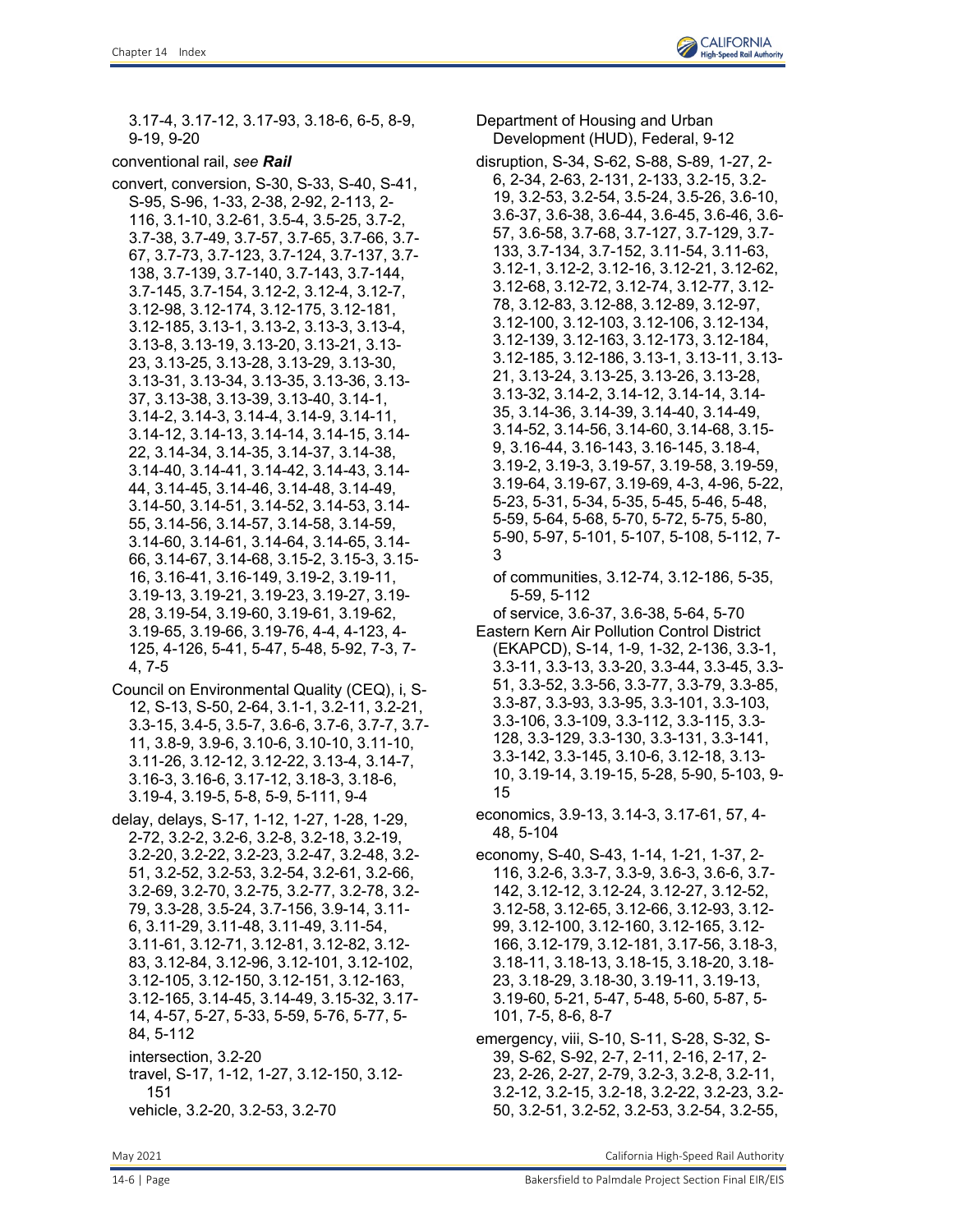3.17-4, 3.17-12, 3.17-93, 3.18-6, 6-5, 8-9, 9-19, 9-20

conventional rail, *see Rail*

convert, conversion, S-30, S-33, S-40, S-41, S-95, S-96, 1-33, 2-38, 2-92, 2-113, 2- 116, 3.1-10, 3.2-61, 3.5-4, 3.5-25, 3.7-2, 3.7-38, 3.7-49, 3.7-57, 3.7-65, 3.7-66, 3.7- 67, 3.7-73, 3.7-123, 3.7-124, 3.7-137, 3.7- 138, 3.7-139, 3.7-140, 3.7-143, 3.7-144, 3.7-145, 3.7-154, 3.12-2, 3.12-4, 3.12-7, 3.12-98, 3.12-174, 3.12-175, 3.12-181, 3.12-185, 3.13-1, 3.13-2, 3.13-3, 3.13-4, 3.13-8, 3.13-19, 3.13-20, 3.13-21, 3.13- 23, 3.13-25, 3.13-28, 3.13-29, 3.13-30, 3.13-31, 3.13-34, 3.13-35, 3.13-36, 3.13- 37, 3.13-38, 3.13-39, 3.13-40, 3.14-1, 3.14-2, 3.14-3, 3.14-4, 3.14-9, 3.14-11, 3.14-12, 3.14-13, 3.14-14, 3.14-15, 3.14- 22, 3.14-34, 3.14-35, 3.14-37, 3.14-38, 3.14-40, 3.14-41, 3.14-42, 3.14-43, 3.14- 44, 3.14-45, 3.14-46, 3.14-48, 3.14-49, 3.14-50, 3.14-51, 3.14-52, 3.14-53, 3.14- 55, 3.14-56, 3.14-57, 3.14-58, 3.14-59, 3.14-60, 3.14-61, 3.14-64, 3.14-65, 3.14- 66, 3.14-67, 3.14-68, 3.15-2, 3.15-3, 3.15- 16, 3.16-41, 3.16-149, 3.19-2, 3.19-11, 3.19-13, 3.19-21, 3.19-23, 3.19-27, 3.19- 28, 3.19-54, 3.19-60, 3.19-61, 3.19-62, 3.19-65, 3.19-66, 3.19-76, 4-4, 4-123, 4- 125, 4-126, 5-41, 5-47, 5-48, 5-92, 7-3, 7- 4, 7-5

- Council on Environmental Quality (CEQ), i, S-12, S-13, S-50, 2-64, 3.1-1, 3.2-11, 3.2-21, 3.3-15, 3.4-5, 3.5-7, 3.6-6, 3.7-6, 3.7-7, 3.7- 11, 3.8-9, 3.9-6, 3.10-6, 3.10-10, 3.11-10, 3.11-26, 3.12-12, 3.12-22, 3.13-4, 3.14-7, 3.16-3, 3.16-6, 3.17-12, 3.18-3, 3.18-6, 3.19-4, 3.19-5, 5-8, 5-9, 5-111, 9-4
- delay, delays, S-17, 1-12, 1-27, 1-28, 1-29, 2-72, 3.2-2, 3.2-6, 3.2-8, 3.2-18, 3.2-19, 3.2-20, 3.2-22, 3.2-23, 3.2-47, 3.2-48, 3.2- 51, 3.2-52, 3.2-53, 3.2-54, 3.2-61, 3.2-66, 3.2-69, 3.2-70, 3.2-75, 3.2-77, 3.2-78, 3.2- 79, 3.3-28, 3.5-24, 3.7-156, 3.9-14, 3.11- 6, 3.11-29, 3.11-48, 3.11-49, 3.11-54, 3.11-61, 3.12-71, 3.12-81, 3.12-82, 3.12- 83, 3.12-84, 3.12-96, 3.12-101, 3.12-102, 3.12-105, 3.12-150, 3.12-151, 3.12-163, 3.12-165, 3.14-45, 3.14-49, 3.15-32, 3.17- 14, 4-57, 5-27, 5-33, 5-59, 5-76, 5-77, 5- 84, 5-112 intersection, 3.2-20
	- travel, S-17, 1-12, 1-27, 3.12-150, 3.12- 151 vehicle, 3.2-20, 3.2-53, 3.2-70

Department of Housing and Urban Development (HUD), Federal, 9-12 disruption, S-34, S-62, S-88, S-89, 1-27, 2- 6, 2-34, 2-63, 2-131, 2-133, 3.2-15, 3.2- 19, 3.2-53, 3.2-54, 3.5-24, 3.5-26, 3.6-10, 3.6-37, 3.6-38, 3.6-44, 3.6-45, 3.6-46, 3.6- 57, 3.6-58, 3.7-68, 3.7-127, 3.7-129, 3.7- 133, 3.7-134, 3.7-152, 3.11-54, 3.11-63, 3.12-1, 3.12-2, 3.12-16, 3.12-21, 3.12-62, 3.12-68, 3.12-72, 3.12-74, 3.12-77, 3.12- 78, 3.12-83, 3.12-88, 3.12-89, 3.12-97, 3.12-100, 3.12-103, 3.12-106, 3.12-134, 3.12-139, 3.12-163, 3.12-173, 3.12-184, 3.12-185, 3.12-186, 3.13-1, 3.13-11, 3.13- 21, 3.13-24, 3.13-25, 3.13-26, 3.13-28, 3.13-32, 3.14-2, 3.14-12, 3.14-14, 3.14- 35, 3.14-36, 3.14-39, 3.14-40, 3.14-49, 3.14-52, 3.14-56, 3.14-60, 3.14-68, 3.15- 9, 3.16-44, 3.16-143, 3.16-145, 3.18-4, 3.19-2, 3.19-3, 3.19-57, 3.19-58, 3.19-59, 3.19-64, 3.19-67, 3.19-69, 4-3, 4-96, 5-22, 5-23, 5-31, 5-34, 5-35, 5-45, 5-46, 5-48, 5-59, 5-64, 5-68, 5-70, 5-72, 5-75, 5-80, 5-90, 5-97, 5-101, 5-107, 5-108, 5-112, 7- 3

of communities, 3.12-74, 3.12-186, 5-35, 5-59, 5-112

of service, 3.6-37, 3.6-38, 5-64, 5-70

- Eastern Kern Air Pollution Control District (EKAPCD), S-14, 1-9, 1-32, 2-136, 3.3-1, 3.3-11, 3.3-13, 3.3-20, 3.3-44, 3.3-45, 3.3- 51, 3.3-52, 3.3-56, 3.3-77, 3.3-79, 3.3-85, 3.3-87, 3.3-93, 3.3-95, 3.3-101, 3.3-103, 3.3-106, 3.3-109, 3.3-112, 3.3-115, 3.3- 128, 3.3-129, 3.3-130, 3.3-131, 3.3-141, 3.3-142, 3.3-145, 3.10-6, 3.12-18, 3.13- 10, 3.19-14, 3.19-15, 5-28, 5-90, 5-103, 9- 15
- economics, 3.9-13, 3.14-3, 3.17-61, 57, 4- 48, 5-104
- economy, S-40, S-43, 1-14, 1-21, 1-37, 2- 116, 3.2-6, 3.3-7, 3.3-9, 3.6-3, 3.6-6, 3.7- 142, 3.12-12, 3.12-24, 3.12-27, 3.12-52, 3.12-58, 3.12-65, 3.12-66, 3.12-93, 3.12- 99, 3.12-100, 3.12-160, 3.12-165, 3.12- 166, 3.12-179, 3.12-181, 3.17-56, 3.18-3, 3.18-11, 3.18-13, 3.18-15, 3.18-20, 3.18- 23, 3.18-29, 3.18-30, 3.19-11, 3.19-13, 3.19-60, 5-21, 5-47, 5-48, 5-60, 5-87, 5- 101, 7-5, 8-6, 8-7
- emergency, viii, S-10, S-11, S-28, S-32, S-39, S-62, S-92, 2-7, 2-11, 2-16, 2-17, 2- 23, 2-26, 2-27, 2-79, 3.2-3, 3.2-8, 3.2-11, 3.2-12, 3.2-15, 3.2-18, 3.2-22, 3.2-23, 3.2- 50, 3.2-51, 3.2-52, 3.2-53, 3.2-54, 3.2-55,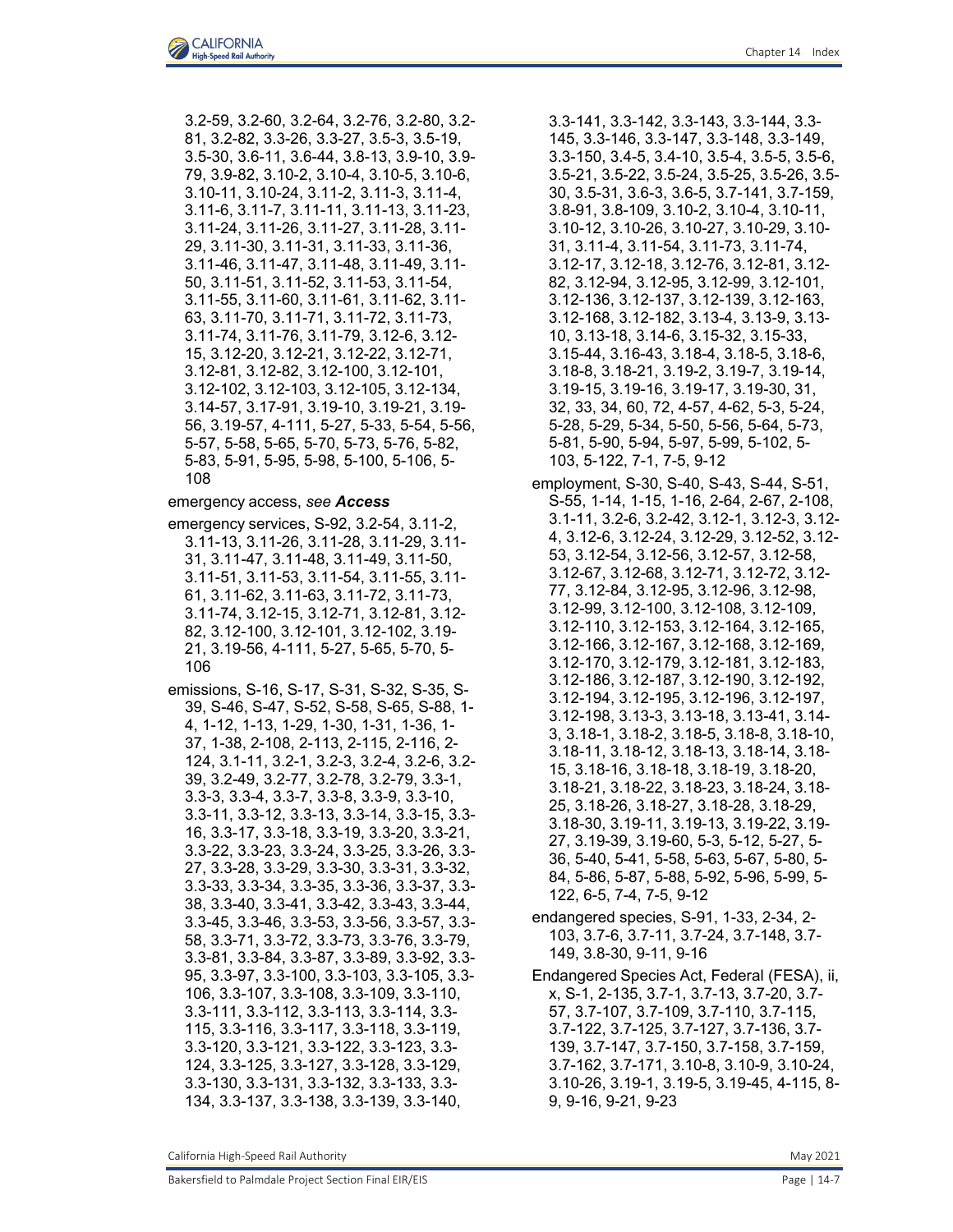3.2-59, 3.2-60, 3.2-64, 3.2-76, 3.2-80, 3.2- 81, 3.2-82, 3.3-26, 3.3-27, 3.5-3, 3.5-19, 3.5-30, 3.6-11, 3.6-44, 3.8-13, 3.9-10, 3.9- 79, 3.9-82, 3.10-2, 3.10-4, 3.10-5, 3.10-6, 3.10-11, 3.10-24, 3.11-2, 3.11-3, 3.11-4, 3.11-6, 3.11-7, 3.11-11, 3.11-13, 3.11-23, 3.11-24, 3.11-26, 3.11-27, 3.11-28, 3.11- 29, 3.11-30, 3.11-31, 3.11-33, 3.11-36, 3.11-46, 3.11-47, 3.11-48, 3.11-49, 3.11- 50, 3.11-51, 3.11-52, 3.11-53, 3.11-54, 3.11-55, 3.11-60, 3.11-61, 3.11-62, 3.11- 63, 3.11-70, 3.11-71, 3.11-72, 3.11-73, 3.11-74, 3.11-76, 3.11-79, 3.12-6, 3.12- 15, 3.12-20, 3.12-21, 3.12-22, 3.12-71, 3.12-81, 3.12-82, 3.12-100, 3.12-101, 3.12-102, 3.12-103, 3.12-105, 3.12-134, 3.14-57, 3.17-91, 3.19-10, 3.19-21, 3.19- 56, 3.19-57, 4-111, 5-27, 5-33, 5-54, 5-56, 5-57, 5-58, 5-65, 5-70, 5-73, 5-76, 5-82, 5-83, 5-91, 5-95, 5-98, 5-100, 5-106, 5- 108

emergency access, *see Access*

- emergency services, S-92, 3.2-54, 3.11-2, 3.11-13, 3.11-26, 3.11-28, 3.11-29, 3.11- 31, 3.11-47, 3.11-48, 3.11-49, 3.11-50, 3.11-51, 3.11-53, 3.11-54, 3.11-55, 3.11- 61, 3.11-62, 3.11-63, 3.11-72, 3.11-73, 3.11-74, 3.12-15, 3.12-71, 3.12-81, 3.12- 82, 3.12-100, 3.12-101, 3.12-102, 3.19- 21, 3.19-56, 4-111, 5-27, 5-65, 5-70, 5- 106
- emissions, S-16, S-17, S-31, S-32, S-35, S-39, S-46, S-47, S-52, S-58, S-65, S-88, 1- 4, 1-12, 1-13, 1-29, 1-30, 1-31, 1-36, 1- 37, 1-38, 2-108, 2-113, 2-115, 2-116, 2- 124, 3.1-11, 3.2-1, 3.2-3, 3.2-4, 3.2-6, 3.2- 39, 3.2-49, 3.2-77, 3.2-78, 3.2-79, 3.3-1, 3.3-3, 3.3-4, 3.3-7, 3.3-8, 3.3-9, 3.3-10, 3.3-11, 3.3-12, 3.3-13, 3.3-14, 3.3-15, 3.3- 16, 3.3-17, 3.3-18, 3.3-19, 3.3-20, 3.3-21, 3.3-22, 3.3-23, 3.3-24, 3.3-25, 3.3-26, 3.3- 27, 3.3-28, 3.3-29, 3.3-30, 3.3-31, 3.3-32, 3.3-33, 3.3-34, 3.3-35, 3.3-36, 3.3-37, 3.3- 38, 3.3-40, 3.3-41, 3.3-42, 3.3-43, 3.3-44, 3.3-45, 3.3-46, 3.3-53, 3.3-56, 3.3-57, 3.3- 58, 3.3-71, 3.3-72, 3.3-73, 3.3-76, 3.3-79, 3.3-81, 3.3-84, 3.3-87, 3.3-89, 3.3-92, 3.3- 95, 3.3-97, 3.3-100, 3.3-103, 3.3-105, 3.3- 106, 3.3-107, 3.3-108, 3.3-109, 3.3-110, 3.3-111, 3.3-112, 3.3-113, 3.3-114, 3.3- 115, 3.3-116, 3.3-117, 3.3-118, 3.3-119, 3.3-120, 3.3-121, 3.3-122, 3.3-123, 3.3- 124, 3.3-125, 3.3-127, 3.3-128, 3.3-129, 3.3-130, 3.3-131, 3.3-132, 3.3-133, 3.3- 134, 3.3-137, 3.3-138, 3.3-139, 3.3-140,

3.3-141, 3.3-142, 3.3-143, 3.3-144, 3.3- 145, 3.3-146, 3.3-147, 3.3-148, 3.3-149, 3.3-150, 3.4-5, 3.4-10, 3.5-4, 3.5-5, 3.5-6, 3.5-21, 3.5-22, 3.5-24, 3.5-25, 3.5-26, 3.5- 30, 3.5-31, 3.6-3, 3.6-5, 3.7-141, 3.7-159, 3.8-91, 3.8-109, 3.10-2, 3.10-4, 3.10-11, 3.10-12, 3.10-26, 3.10-27, 3.10-29, 3.10- 31, 3.11-4, 3.11-54, 3.11-73, 3.11-74, 3.12-17, 3.12-18, 3.12-76, 3.12-81, 3.12- 82, 3.12-94, 3.12-95, 3.12-99, 3.12-101, 3.12-136, 3.12-137, 3.12-139, 3.12-163, 3.12-168, 3.12-182, 3.13-4, 3.13-9, 3.13- 10, 3.13-18, 3.14-6, 3.15-32, 3.15-33, 3.15-44, 3.16-43, 3.18-4, 3.18-5, 3.18-6, 3.18-8, 3.18-21, 3.19-2, 3.19-7, 3.19-14, 3.19-15, 3.19-16, 3.19-17, 3.19-30, 31, 32, 33, 34, 60, 72, 4-57, 4-62, 5-3, 5-24, 5-28, 5-29, 5-34, 5-50, 5-56, 5-64, 5-73, 5-81, 5-90, 5-94, 5-97, 5-99, 5-102, 5- 103, 5-122, 7-1, 7-5, 9-12

- employment, S-30, S-40, S-43, S-44, S-51, S-55, 1-14, 1-15, 1-16, 2-64, 2-67, 2-108, 3.1-11, 3.2-6, 3.2-42, 3.12-1, 3.12-3, 3.12- 4, 3.12-6, 3.12-24, 3.12-29, 3.12-52, 3.12- 53, 3.12-54, 3.12-56, 3.12-57, 3.12-58, 3.12-67, 3.12-68, 3.12-71, 3.12-72, 3.12- 77, 3.12-84, 3.12-95, 3.12-96, 3.12-98, 3.12-99, 3.12-100, 3.12-108, 3.12-109, 3.12-110, 3.12-153, 3.12-164, 3.12-165, 3.12-166, 3.12-167, 3.12-168, 3.12-169, 3.12-170, 3.12-179, 3.12-181, 3.12-183, 3.12-186, 3.12-187, 3.12-190, 3.12-192, 3.12-194, 3.12-195, 3.12-196, 3.12-197, 3.12-198, 3.13-3, 3.13-18, 3.13-41, 3.14- 3, 3.18-1, 3.18-2, 3.18-5, 3.18-8, 3.18-10, 3.18-11, 3.18-12, 3.18-13, 3.18-14, 3.18- 15, 3.18-16, 3.18-18, 3.18-19, 3.18-20, 3.18-21, 3.18-22, 3.18-23, 3.18-24, 3.18- 25, 3.18-26, 3.18-27, 3.18-28, 3.18-29, 3.18-30, 3.19-11, 3.19-13, 3.19-22, 3.19- 27, 3.19-39, 3.19-60, 5-3, 5-12, 5-27, 5- 36, 5-40, 5-41, 5-58, 5-63, 5-67, 5-80, 5- 84, 5-86, 5-87, 5-88, 5-92, 5-96, 5-99, 5- 122, 6-5, 7-4, 7-5, 9-12
- endangered species, S-91, 1-33, 2-34, 2- 103, 3.7-6, 3.7-11, 3.7-24, 3.7-148, 3.7- 149, 3.8-30, 9-11, 9-16
- Endangered Species Act, Federal (FESA), ii, x, S-1, 2-135, 3.7-1, 3.7-13, 3.7-20, 3.7- 57, 3.7-107, 3.7-109, 3.7-110, 3.7-115, 3.7-122, 3.7-125, 3.7-127, 3.7-136, 3.7- 139, 3.7-147, 3.7-150, 3.7-158, 3.7-159, 3.7-162, 3.7-171, 3.10-8, 3.10-9, 3.10-24, 3.10-26, 3.19-1, 3.19-5, 3.19-45, 4-115, 8- 9, 9-16, 9-21, 9-23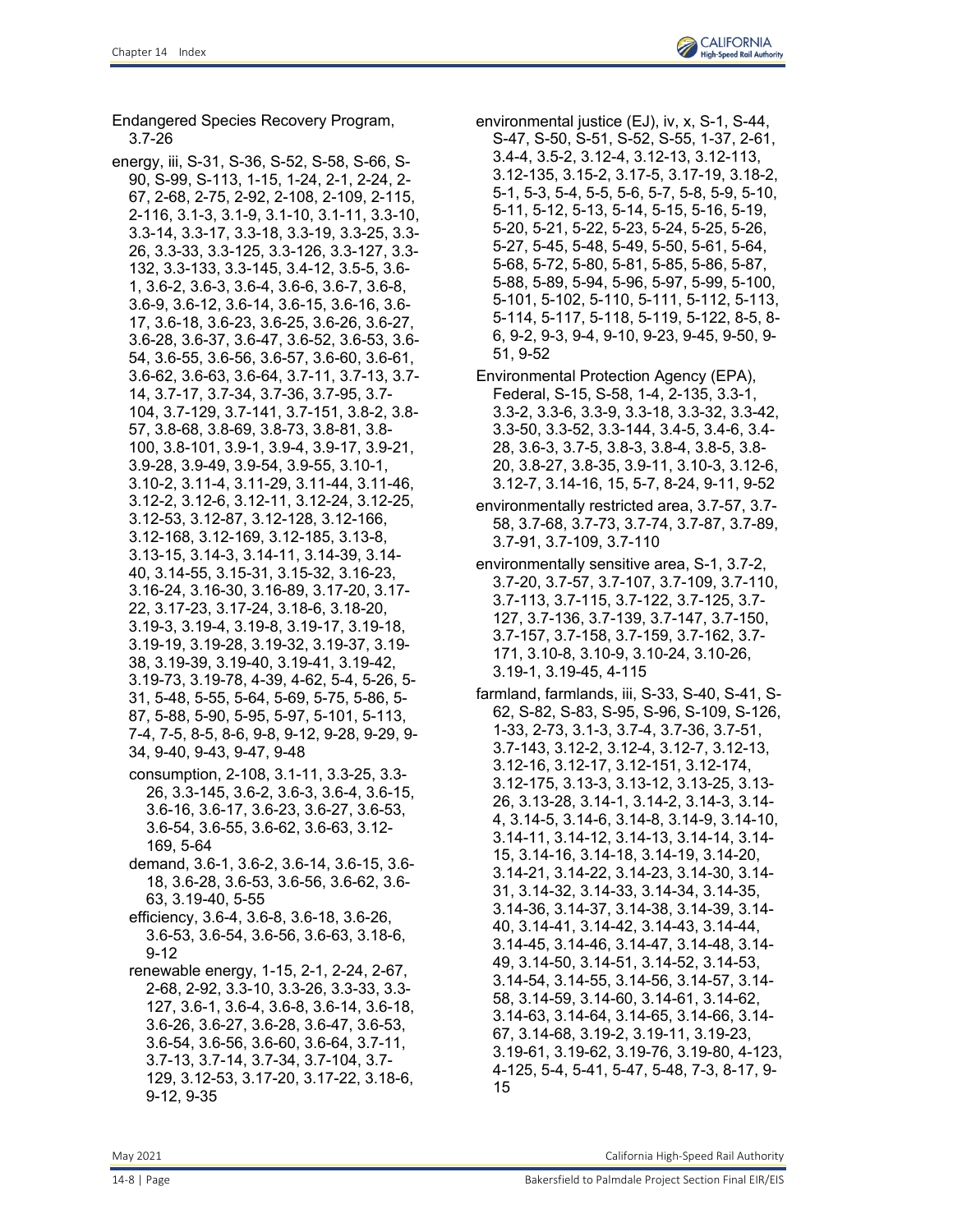Endangered Species Recovery Program, 3.7-26

- energy, iii, S-31, S-36, S-52, S-58, S-66, S-90, S-99, S-113, 1-15, 1-24, 2-1, 2-24, 2- 67, 2-68, 2-75, 2-92, 2-108, 2-109, 2-115, 2-116, 3.1-3, 3.1-9, 3.1-10, 3.1-11, 3.3-10, 3.3-14, 3.3-17, 3.3-18, 3.3-19, 3.3-25, 3.3- 26, 3.3-33, 3.3-125, 3.3-126, 3.3-127, 3.3- 132, 3.3-133, 3.3-145, 3.4-12, 3.5-5, 3.6- 1, 3.6-2, 3.6-3, 3.6-4, 3.6-6, 3.6-7, 3.6-8, 3.6-9, 3.6-12, 3.6-14, 3.6-15, 3.6-16, 3.6- 17, 3.6-18, 3.6-23, 3.6-25, 3.6-26, 3.6-27, 3.6-28, 3.6-37, 3.6-47, 3.6-52, 3.6-53, 3.6- 54, 3.6-55, 3.6-56, 3.6-57, 3.6-60, 3.6-61, 3.6-62, 3.6-63, 3.6-64, 3.7-11, 3.7-13, 3.7- 14, 3.7-17, 3.7-34, 3.7-36, 3.7-95, 3.7- 104, 3.7-129, 3.7-141, 3.7-151, 3.8-2, 3.8- 57, 3.8-68, 3.8-69, 3.8-73, 3.8-81, 3.8- 100, 3.8-101, 3.9-1, 3.9-4, 3.9-17, 3.9-21, 3.9-28, 3.9-49, 3.9-54, 3.9-55, 3.10-1, 3.10-2, 3.11-4, 3.11-29, 3.11-44, 3.11-46, 3.12-2, 3.12-6, 3.12-11, 3.12-24, 3.12-25, 3.12-53, 3.12-87, 3.12-128, 3.12-166, 3.12-168, 3.12-169, 3.12-185, 3.13-8, 3.13-15, 3.14-3, 3.14-11, 3.14-39, 3.14- 40, 3.14-55, 3.15-31, 3.15-32, 3.16-23, 3.16-24, 3.16-30, 3.16-89, 3.17-20, 3.17- 22, 3.17-23, 3.17-24, 3.18-6, 3.18-20, 3.19-3, 3.19-4, 3.19-8, 3.19-17, 3.19-18, 3.19-19, 3.19-28, 3.19-32, 3.19-37, 3.19- 38, 3.19-39, 3.19-40, 3.19-41, 3.19-42, 3.19-73, 3.19-78, 4-39, 4-62, 5-4, 5-26, 5- 31, 5-48, 5-55, 5-64, 5-69, 5-75, 5-86, 5- 87, 5-88, 5-90, 5-95, 5-97, 5-101, 5-113, 7-4, 7-5, 8-5, 8-6, 9-8, 9-12, 9-28, 9-29, 9- 34, 9-40, 9-43, 9-47, 9-48 consumption, 2-108, 3.1-11, 3.3-25, 3.3- 26, 3.3-145, 3.6-2, 3.6-3, 3.6-4, 3.6-15, 3.6-16, 3.6-17, 3.6-23, 3.6-27, 3.6-53, 3.6-54, 3.6-55, 3.6-62, 3.6-63, 3.12- 169, 5-64 demand, 3.6-1, 3.6-2, 3.6-14, 3.6-15, 3.6- 18, 3.6-28, 3.6-53, 3.6-56, 3.6-62, 3.6- 63, 3.19-40, 5-55 efficiency, 3.6-4, 3.6-8, 3.6-18, 3.6-26, 3.6-53, 3.6-54, 3.6-56, 3.6-63, 3.18-6, 9-12 renewable energy, 1-15, 2-1, 2-24, 2-67, 2-68, 2-92, 3.3-10, 3.3-26, 3.3-33, 3.3- 127, 3.6-1, 3.6-4, 3.6-8, 3.6-14, 3.6-18,
	- 3.6-26, 3.6-27, 3.6-28, 3.6-47, 3.6-53, 3.6-54, 3.6-56, 3.6-60, 3.6-64, 3.7-11, 3.7-13, 3.7-14, 3.7-34, 3.7-104, 3.7- 129, 3.12-53, 3.17-20, 3.17-22, 3.18-6, 9-12, 9-35
- environmental justice (EJ), iv, x, S-1, S-44, S-47, S-50, S-51, S-52, S-55, 1-37, 2-61, 3.4-4, 3.5-2, 3.12-4, 3.12-13, 3.12-113, 3.12-135, 3.15-2, 3.17-5, 3.17-19, 3.18-2, 5-1, 5-3, 5-4, 5-5, 5-6, 5-7, 5-8, 5-9, 5-10, 5-11, 5-12, 5-13, 5-14, 5-15, 5-16, 5-19, 5-20, 5-21, 5-22, 5-23, 5-24, 5-25, 5-26, 5-27, 5-45, 5-48, 5-49, 5-50, 5-61, 5-64, 5-68, 5-72, 5-80, 5-81, 5-85, 5-86, 5-87, 5-88, 5-89, 5-94, 5-96, 5-97, 5-99, 5-100, 5-101, 5-102, 5-110, 5-111, 5-112, 5-113, 5-114, 5-117, 5-118, 5-119, 5-122, 8-5, 8- 6, 9-2, 9-3, 9-4, 9-10, 9-23, 9-45, 9-50, 9- 51, 9-52
- Environmental Protection Agency (EPA), Federal, S-15, S-58, 1-4, 2-135, 3.3-1, 3.3-2, 3.3-6, 3.3-9, 3.3-18, 3.3-32, 3.3-42, 3.3-50, 3.3-52, 3.3-144, 3.4-5, 3.4-6, 3.4- 28, 3.6-3, 3.7-5, 3.8-3, 3.8-4, 3.8-5, 3.8- 20, 3.8-27, 3.8-35, 3.9-11, 3.10-3, 3.12-6, 3.12-7, 3.14-16, 15, 5-7, 8-24, 9-11, 9-52
- environmentally restricted area, 3.7-57, 3.7- 58, 3.7-68, 3.7-73, 3.7-74, 3.7-87, 3.7-89, 3.7-91, 3.7-109, 3.7-110
- environmentally sensitive area, S-1, 3.7-2, 3.7-20, 3.7-57, 3.7-107, 3.7-109, 3.7-110, 3.7-113, 3.7-115, 3.7-122, 3.7-125, 3.7- 127, 3.7-136, 3.7-139, 3.7-147, 3.7-150, 3.7-157, 3.7-158, 3.7-159, 3.7-162, 3.7- 171, 3.10-8, 3.10-9, 3.10-24, 3.10-26, 3.19-1, 3.19-45, 4-115
- farmland, farmlands, iii, S-33, S-40, S-41, S-62, S-82, S-83, S-95, S-96, S-109, S-126, 1-33, 2-73, 3.1-3, 3.7-4, 3.7-36, 3.7-51, 3.7-143, 3.12-2, 3.12-4, 3.12-7, 3.12-13, 3.12-16, 3.12-17, 3.12-151, 3.12-174, 3.12-175, 3.13-3, 3.13-12, 3.13-25, 3.13- 26, 3.13-28, 3.14-1, 3.14-2, 3.14-3, 3.14- 4, 3.14-5, 3.14-6, 3.14-8, 3.14-9, 3.14-10, 3.14-11, 3.14-12, 3.14-13, 3.14-14, 3.14- 15, 3.14-16, 3.14-18, 3.14-19, 3.14-20, 3.14-21, 3.14-22, 3.14-23, 3.14-30, 3.14- 31, 3.14-32, 3.14-33, 3.14-34, 3.14-35, 3.14-36, 3.14-37, 3.14-38, 3.14-39, 3.14- 40, 3.14-41, 3.14-42, 3.14-43, 3.14-44, 3.14-45, 3.14-46, 3.14-47, 3.14-48, 3.14- 49, 3.14-50, 3.14-51, 3.14-52, 3.14-53, 3.14-54, 3.14-55, 3.14-56, 3.14-57, 3.14- 58, 3.14-59, 3.14-60, 3.14-61, 3.14-62, 3.14-63, 3.14-64, 3.14-65, 3.14-66, 3.14- 67, 3.14-68, 3.19-2, 3.19-11, 3.19-23, 3.19-61, 3.19-62, 3.19-76, 3.19-80, 4-123, 4-125, 5-4, 5-41, 5-47, 5-48, 7-3, 8-17, 9- 15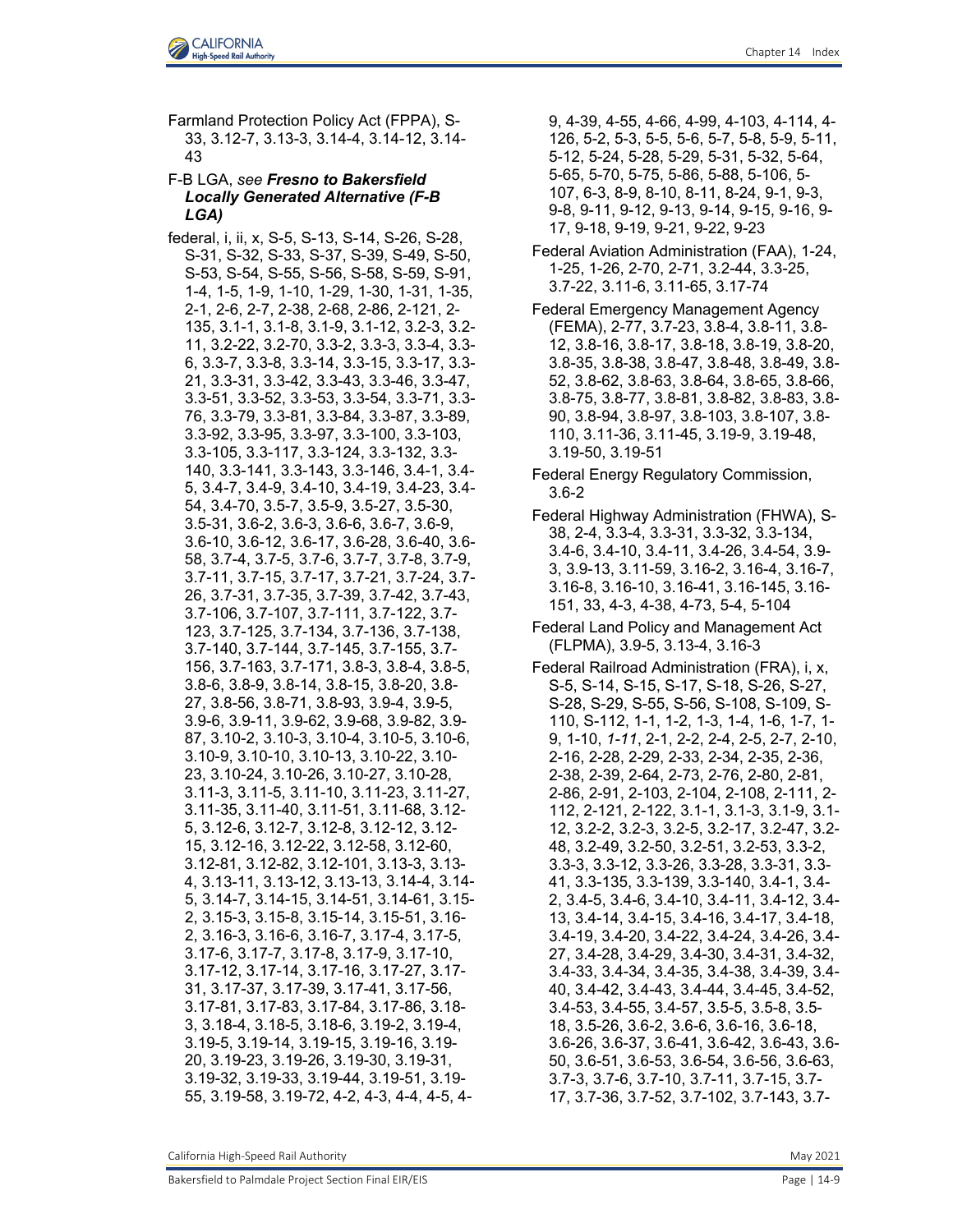Farmland Protection Policy Act (FPPA), S-33, 3.12-7, 3.13-3, 3.14-4, 3.14-12, 3.14- 43

## F-B LGA, *see Fresno to Bakersfield Locally Generated Alternative (F-B LGA)*

federal, i, ii, x, S-5, S-13, S-14, S-26, S-28, S-31, S-32, S-33, S-37, S-39, S-49, S-50, S-53, S-54, S-55, S-56, S-58, S-59, S-91, 1-4, 1-5, 1-9, 1-10, 1-29, 1-30, 1-31, 1-35, 2-1, 2-6, 2-7, 2-38, 2-68, 2-86, 2-121, 2- 135, 3.1-1, 3.1-8, 3.1-9, 3.1-12, 3.2-3, 3.2- 11, 3.2-22, 3.2-70, 3.3-2, 3.3-3, 3.3-4, 3.3- 6, 3.3-7, 3.3-8, 3.3-14, 3.3-15, 3.3-17, 3.3- 21, 3.3-31, 3.3-42, 3.3-43, 3.3-46, 3.3-47, 3.3-51, 3.3-52, 3.3-53, 3.3-54, 3.3-71, 3.3- 76, 3.3-79, 3.3-81, 3.3-84, 3.3-87, 3.3-89, 3.3-92, 3.3-95, 3.3-97, 3.3-100, 3.3-103, 3.3-105, 3.3-117, 3.3-124, 3.3-132, 3.3- 140, 3.3-141, 3.3-143, 3.3-146, 3.4-1, 3.4- 5, 3.4-7, 3.4-9, 3.4-10, 3.4-19, 3.4-23, 3.4- 54, 3.4-70, 3.5-7, 3.5-9, 3.5-27, 3.5-30, 3.5-31, 3.6-2, 3.6-3, 3.6-6, 3.6-7, 3.6-9, 3.6-10, 3.6-12, 3.6-17, 3.6-28, 3.6-40, 3.6- 58, 3.7-4, 3.7-5, 3.7-6, 3.7-7, 3.7-8, 3.7-9, 3.7-11, 3.7-15, 3.7-17, 3.7-21, 3.7-24, 3.7- 26, 3.7-31, 3.7-35, 3.7-39, 3.7-42, 3.7-43, 3.7-106, 3.7-107, 3.7-111, 3.7-122, 3.7- 123, 3.7-125, 3.7-134, 3.7-136, 3.7-138, 3.7-140, 3.7-144, 3.7-145, 3.7-155, 3.7- 156, 3.7-163, 3.7-171, 3.8-3, 3.8-4, 3.8-5, 3.8-6, 3.8-9, 3.8-14, 3.8-15, 3.8-20, 3.8- 27, 3.8-56, 3.8-71, 3.8-93, 3.9-4, 3.9-5, 3.9-6, 3.9-11, 3.9-62, 3.9-68, 3.9-82, 3.9- 87, 3.10-2, 3.10-3, 3.10-4, 3.10-5, 3.10-6, 3.10-9, 3.10-10, 3.10-13, 3.10-22, 3.10- 23, 3.10-24, 3.10-26, 3.10-27, 3.10-28, 3.11-3, 3.11-5, 3.11-10, 3.11-23, 3.11-27, 3.11-35, 3.11-40, 3.11-51, 3.11-68, 3.12- 5, 3.12-6, 3.12-7, 3.12-8, 3.12-12, 3.12- 15, 3.12-16, 3.12-22, 3.12-58, 3.12-60, 3.12-81, 3.12-82, 3.12-101, 3.13-3, 3.13- 4, 3.13-11, 3.13-12, 3.13-13, 3.14-4, 3.14- 5, 3.14-7, 3.14-15, 3.14-51, 3.14-61, 3.15- 2, 3.15-3, 3.15-8, 3.15-14, 3.15-51, 3.16- 2, 3.16-3, 3.16-6, 3.16-7, 3.17-4, 3.17-5, 3.17-6, 3.17-7, 3.17-8, 3.17-9, 3.17-10, 3.17-12, 3.17-14, 3.17-16, 3.17-27, 3.17- 31, 3.17-37, 3.17-39, 3.17-41, 3.17-56, 3.17-81, 3.17-83, 3.17-84, 3.17-86, 3.18- 3, 3.18-4, 3.18-5, 3.18-6, 3.19-2, 3.19-4, 3.19-5, 3.19-14, 3.19-15, 3.19-16, 3.19- 20, 3.19-23, 3.19-26, 3.19-30, 3.19-31, 3.19-32, 3.19-33, 3.19-44, 3.19-51, 3.19- 55, 3.19-58, 3.19-72, 4-2, 4-3, 4-4, 4-5, 49, 4-39, 4-55, 4-66, 4-99, 4-103, 4-114, 4- 126, 5-2, 5-3, 5-5, 5-6, 5-7, 5-8, 5-9, 5-11, 5-12, 5-24, 5-28, 5-29, 5-31, 5-32, 5-64, 5-65, 5-70, 5-75, 5-86, 5-88, 5-106, 5- 107, 6-3, 8-9, 8-10, 8-11, 8-24, 9-1, 9-3, 9-8, 9-11, 9-12, 9-13, 9-14, 9-15, 9-16, 9- 17, 9-18, 9-19, 9-21, 9-22, 9-23

- Federal Aviation Administration (FAA), 1-24, 1-25, 1-26, 2-70, 2-71, 3.2-44, 3.3-25, 3.7-22, 3.11-6, 3.11-65, 3.17-74
- Federal Emergency Management Agency (FEMA), 2-77, 3.7-23, 3.8-4, 3.8-11, 3.8- 12, 3.8-16, 3.8-17, 3.8-18, 3.8-19, 3.8-20, 3.8-35, 3.8-38, 3.8-47, 3.8-48, 3.8-49, 3.8- 52, 3.8-62, 3.8-63, 3.8-64, 3.8-65, 3.8-66, 3.8-75, 3.8-77, 3.8-81, 3.8-82, 3.8-83, 3.8- 90, 3.8-94, 3.8-97, 3.8-103, 3.8-107, 3.8- 110, 3.11-36, 3.11-45, 3.19-9, 3.19-48, 3.19-50, 3.19-51
- Federal Energy Regulatory Commission, 3.6-2
- Federal Highway Administration (FHWA), S-38, 2-4, 3.3-4, 3.3-31, 3.3-32, 3.3-134, 3.4-6, 3.4-10, 3.4-11, 3.4-26, 3.4-54, 3.9- 3, 3.9-13, 3.11-59, 3.16-2, 3.16-4, 3.16-7, 3.16-8, 3.16-10, 3.16-41, 3.16-145, 3.16- 151, 33, 4-3, 4-38, 4-73, 5-4, 5-104
- Federal Land Policy and Management Act (FLPMA), 3.9-5, 3.13-4, 3.16-3
- Federal Railroad Administration (FRA), i, x, S-5, S-14, S-15, S-17, S-18, S-26, S-27, S-28, S-29, S-55, S-56, S-108, S-109, S-110, S-112, 1-1, 1-2, 1-3, 1-4, 1-6, 1-7, 1- 9, 1-10, *1-11*, 2-1, 2-2, 2-4, 2-5, 2-7, 2-10, 2-16, 2-28, 2-29, 2-33, 2-34, 2-35, 2-36, 2-38, 2-39, 2-64, 2-73, 2-76, 2-80, 2-81, 2-86, 2-91, 2-103, 2-104, 2-108, 2-111, 2- 112, 2-121, 2-122, 3.1-1, 3.1-3, 3.1-9, 3.1- 12, 3.2-2, 3.2-3, 3.2-5, 3.2-17, 3.2-47, 3.2- 48, 3.2-49, 3.2-50, 3.2-51, 3.2-53, 3.3-2, 3.3-3, 3.3-12, 3.3-26, 3.3-28, 3.3-31, 3.3- 41, 3.3-135, 3.3-139, 3.3-140, 3.4-1, 3.4- 2, 3.4-5, 3.4-6, 3.4-10, 3.4-11, 3.4-12, 3.4- 13, 3.4-14, 3.4-15, 3.4-16, 3.4-17, 3.4-18, 3.4-19, 3.4-20, 3.4-22, 3.4-24, 3.4-26, 3.4- 27, 3.4-28, 3.4-29, 3.4-30, 3.4-31, 3.4-32, 3.4-33, 3.4-34, 3.4-35, 3.4-38, 3.4-39, 3.4- 40, 3.4-42, 3.4-43, 3.4-44, 3.4-45, 3.4-52, 3.4-53, 3.4-55, 3.4-57, 3.5-5, 3.5-8, 3.5- 18, 3.5-26, 3.6-2, 3.6-6, 3.6-16, 3.6-18, 3.6-26, 3.6-37, 3.6-41, 3.6-42, 3.6-43, 3.6- 50, 3.6-51, 3.6-53, 3.6-54, 3.6-56, 3.6-63, 3.7-3, 3.7-6, 3.7-10, 3.7-11, 3.7-15, 3.7- 17, 3.7-36, 3.7-52, 3.7-102, 3.7-143, 3.7-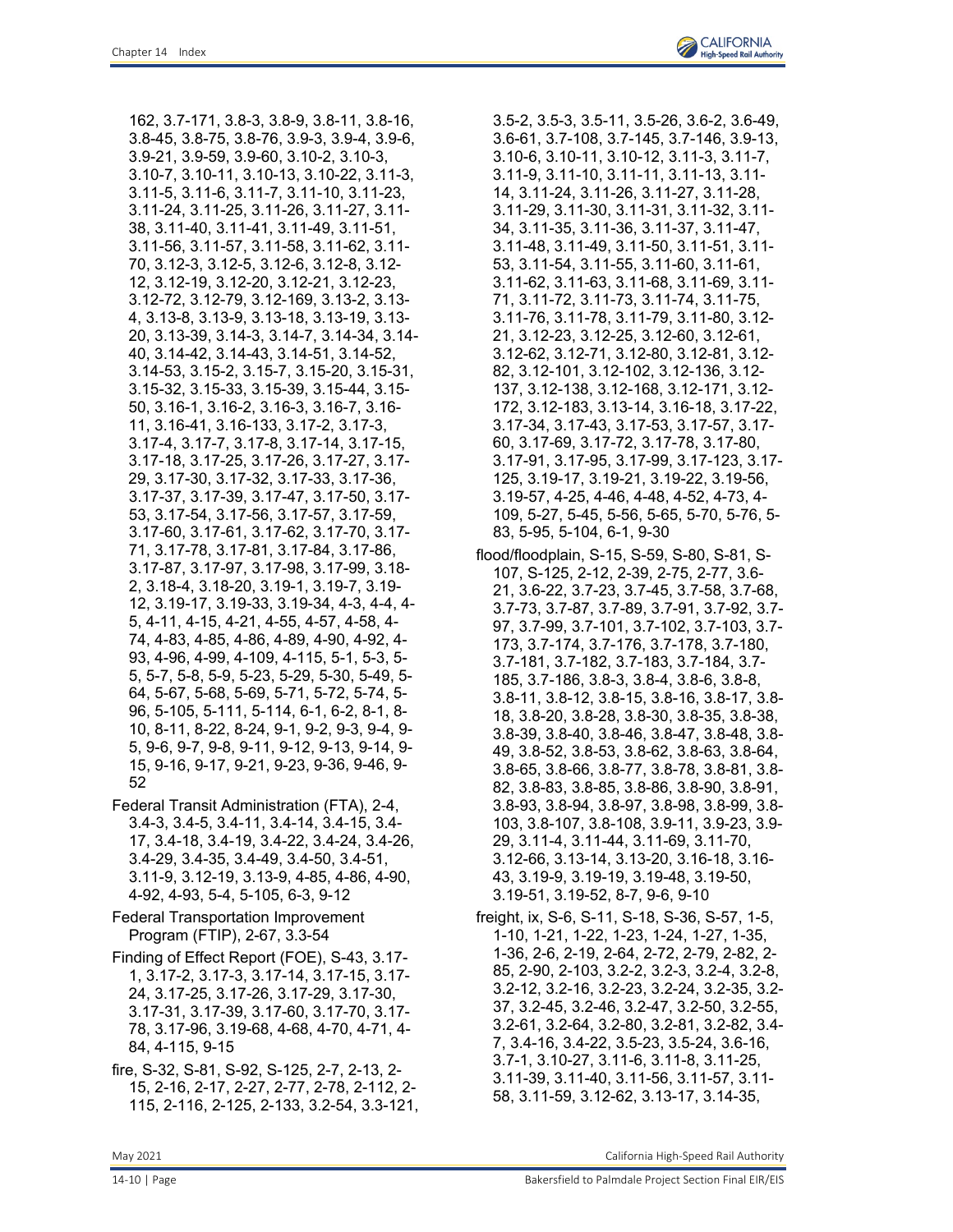162, 3.7-171, 3.8-3, 3.8-9, 3.8-11, 3.8-16, 3.8-45, 3.8-75, 3.8-76, 3.9-3, 3.9-4, 3.9-6, 3.9-21, 3.9-59, 3.9-60, 3.10-2, 3.10-3, 3.10-7, 3.10-11, 3.10-13, 3.10-22, 3.11-3, 3.11-5, 3.11-6, 3.11-7, 3.11-10, 3.11-23, 3.11-24, 3.11-25, 3.11-26, 3.11-27, 3.11- 38, 3.11-40, 3.11-41, 3.11-49, 3.11-51, 3.11-56, 3.11-57, 3.11-58, 3.11-62, 3.11- 70, 3.12-3, 3.12-5, 3.12-6, 3.12-8, 3.12- 12, 3.12-19, 3.12-20, 3.12-21, 3.12-23, 3.12-72, 3.12-79, 3.12-169, 3.13-2, 3.13- 4, 3.13-8, 3.13-9, 3.13-18, 3.13-19, 3.13- 20, 3.13-39, 3.14-3, 3.14-7, 3.14-34, 3.14- 40, 3.14-42, 3.14-43, 3.14-51, 3.14-52, 3.14-53, 3.15-2, 3.15-7, 3.15-20, 3.15-31, 3.15-32, 3.15-33, 3.15-39, 3.15-44, 3.15- 50, 3.16-1, 3.16-2, 3.16-3, 3.16-7, 3.16- 11, 3.16-41, 3.16-133, 3.17-2, 3.17-3, 3.17-4, 3.17-7, 3.17-8, 3.17-14, 3.17-15, 3.17-18, 3.17-25, 3.17-26, 3.17-27, 3.17- 29, 3.17-30, 3.17-32, 3.17-33, 3.17-36, 3.17-37, 3.17-39, 3.17-47, 3.17-50, 3.17- 53, 3.17-54, 3.17-56, 3.17-57, 3.17-59, 3.17-60, 3.17-61, 3.17-62, 3.17-70, 3.17- 71, 3.17-78, 3.17-81, 3.17-84, 3.17-86, 3.17-87, 3.17-97, 3.17-98, 3.17-99, 3.18- 2, 3.18-4, 3.18-20, 3.19-1, 3.19-7, 3.19- 12, 3.19-17, 3.19-33, 3.19-34, 4-3, 4-4, 4- 5, 4-11, 4-15, 4-21, 4-55, 4-57, 4-58, 4- 74, 4-83, 4-85, 4-86, 4-89, 4-90, 4-92, 4- 93, 4-96, 4-99, 4-109, 4-115, 5-1, 5-3, 5- 5, 5-7, 5-8, 5-9, 5-23, 5-29, 5-30, 5-49, 5- 64, 5-67, 5-68, 5-69, 5-71, 5-72, 5-74, 5- 96, 5-105, 5-111, 5-114, 6-1, 6-2, 8-1, 8- 10, 8-11, 8-22, 8-24, 9-1, 9-2, 9-3, 9-4, 9- 5, 9-6, 9-7, 9-8, 9-11, 9-12, 9-13, 9-14, 9- 15, 9-16, 9-17, 9-21, 9-23, 9-36, 9-46, 9- 52

- Federal Transit Administration (FTA), 2-4, 3.4-3, 3.4-5, 3.4-11, 3.4-14, 3.4-15, 3.4- 17, 3.4-18, 3.4-19, 3.4-22, 3.4-24, 3.4-26, 3.4-29, 3.4-35, 3.4-49, 3.4-50, 3.4-51, 3.11-9, 3.12-19, 3.13-9, 4-85, 4-86, 4-90, 4-92, 4-93, 5-4, 5-105, 6-3, 9-12
- Federal Transportation Improvement Program (FTIP), 2-67, 3.3-54
- Finding of Effect Report (FOE), S-43, 3.17- 1, 3.17-2, 3.17-3, 3.17-14, 3.17-15, 3.17- 24, 3.17-25, 3.17-26, 3.17-29, 3.17-30, 3.17-31, 3.17-39, 3.17-60, 3.17-70, 3.17- 78, 3.17-96, 3.19-68, 4-68, 4-70, 4-71, 4- 84, 4-115, 9-15
- fire, S-32, S-81, S-92, S-125, 2-7, 2-13, 2- 15, 2-16, 2-17, 2-27, 2-77, 2-78, 2-112, 2- 115, 2-116, 2-125, 2-133, 3.2-54, 3.3-121,

3.5-2, 3.5-3, 3.5-11, 3.5-26, 3.6-2, 3.6-49, 3.6-61, 3.7-108, 3.7-145, 3.7-146, 3.9-13, 3.10-6, 3.10-11, 3.10-12, 3.11-3, 3.11-7, 3.11-9, 3.11-10, 3.11-11, 3.11-13, 3.11- 14, 3.11-24, 3.11-26, 3.11-27, 3.11-28, 3.11-29, 3.11-30, 3.11-31, 3.11-32, 3.11- 34, 3.11-35, 3.11-36, 3.11-37, 3.11-47, 3.11-48, 3.11-49, 3.11-50, 3.11-51, 3.11- 53, 3.11-54, 3.11-55, 3.11-60, 3.11-61, 3.11-62, 3.11-63, 3.11-68, 3.11-69, 3.11- 71, 3.11-72, 3.11-73, 3.11-74, 3.11-75, 3.11-76, 3.11-78, 3.11-79, 3.11-80, 3.12- 21, 3.12-23, 3.12-25, 3.12-60, 3.12-61, 3.12-62, 3.12-71, 3.12-80, 3.12-81, 3.12- 82, 3.12-101, 3.12-102, 3.12-136, 3.12- 137, 3.12-138, 3.12-168, 3.12-171, 3.12- 172, 3.12-183, 3.13-14, 3.16-18, 3.17-22, 3.17-34, 3.17-43, 3.17-53, 3.17-57, 3.17- 60, 3.17-69, 3.17-72, 3.17-78, 3.17-80, 3.17-91, 3.17-95, 3.17-99, 3.17-123, 3.17- 125, 3.19-17, 3.19-21, 3.19-22, 3.19-56, 3.19-57, 4-25, 4-46, 4-48, 4-52, 4-73, 4- 109, 5-27, 5-45, 5-56, 5-65, 5-70, 5-76, 5- 83, 5-95, 5-104, 6-1, 9-30

- flood/floodplain, S-15, S-59, S-80, S-81, S-107, S-125, 2-12, 2-39, 2-75, 2-77, 3.6- 21, 3.6-22, 3.7-23, 3.7-45, 3.7-58, 3.7-68, 3.7-73, 3.7-87, 3.7-89, 3.7-91, 3.7-92, 3.7- 97, 3.7-99, 3.7-101, 3.7-102, 3.7-103, 3.7- 173, 3.7-174, 3.7-176, 3.7-178, 3.7-180, 3.7-181, 3.7-182, 3.7-183, 3.7-184, 3.7- 185, 3.7-186, 3.8-3, 3.8-4, 3.8-6, 3.8-8, 3.8-11, 3.8-12, 3.8-15, 3.8-16, 3.8-17, 3.8- 18, 3.8-20, 3.8-28, 3.8-30, 3.8-35, 3.8-38, 3.8-39, 3.8-40, 3.8-46, 3.8-47, 3.8-48, 3.8- 49, 3.8-52, 3.8-53, 3.8-62, 3.8-63, 3.8-64, 3.8-65, 3.8-66, 3.8-77, 3.8-78, 3.8-81, 3.8- 82, 3.8-83, 3.8-85, 3.8-86, 3.8-90, 3.8-91, 3.8-93, 3.8-94, 3.8-97, 3.8-98, 3.8-99, 3.8- 103, 3.8-107, 3.8-108, 3.9-11, 3.9-23, 3.9- 29, 3.11-4, 3.11-44, 3.11-69, 3.11-70, 3.12-66, 3.13-14, 3.13-20, 3.16-18, 3.16- 43, 3.19-9, 3.19-19, 3.19-48, 3.19-50, 3.19-51, 3.19-52, 8-7, 9-6, 9-10
- freight, ix, S-6, S-11, S-18, S-36, S-57, 1-5, 1-10, 1-21, 1-22, 1-23, 1-24, 1-27, 1-35, 1-36, 2-6, 2-19, 2-64, 2-72, 2-79, 2-82, 2- 85, 2-90, 2-103, 3.2-2, 3.2-3, 3.2-4, 3.2-8, 3.2-12, 3.2-16, 3.2-23, 3.2-24, 3.2-35, 3.2- 37, 3.2-45, 3.2-46, 3.2-47, 3.2-50, 3.2-55, 3.2-61, 3.2-64, 3.2-80, 3.2-81, 3.2-82, 3.4- 7, 3.4-16, 3.4-22, 3.5-23, 3.5-24, 3.6-16, 3.7-1, 3.10-27, 3.11-6, 3.11-8, 3.11-25, 3.11-39, 3.11-40, 3.11-56, 3.11-57, 3.11- 58, 3.11-59, 3.12-62, 3.13-17, 3.14-35,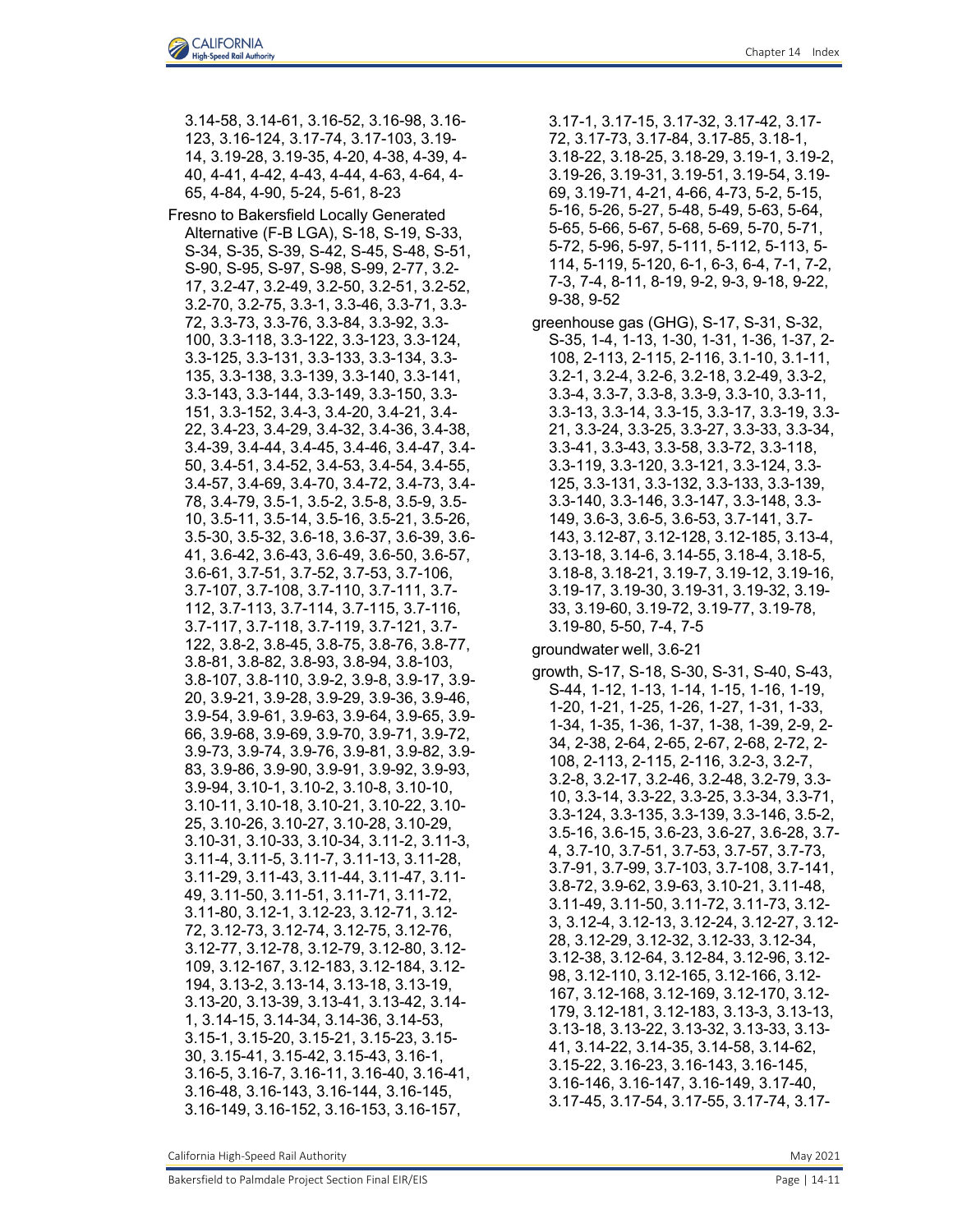3.14-58, 3.14-61, 3.16-52, 3.16-98, 3.16- 123, 3.16-124, 3.17-74, 3.17-103, 3.19- 14, 3.19-28, 3.19-35, 4-20, 4-38, 4-39, 4- 40, 4-41, 4-42, 4-43, 4-44, 4-63, 4-64, 4- 65, 4-84, 4-90, 5-24, 5-61, 8-23

Fresno to Bakersfield Locally Generated Alternative (F-B LGA), S-18, S-19, S-33, S-34, S-35, S-39, S-42, S-45, S-48, S-51, S-90, S-95, S-97, S-98, S-99, 2-77, 3.2- 17, 3.2-47, 3.2-49, 3.2-50, 3.2-51, 3.2-52, 3.2-70, 3.2-75, 3.3-1, 3.3-46, 3.3-71, 3.3- 72, 3.3-73, 3.3-76, 3.3-84, 3.3-92, 3.3- 100, 3.3-118, 3.3-122, 3.3-123, 3.3-124, 3.3-125, 3.3-131, 3.3-133, 3.3-134, 3.3- 135, 3.3-138, 3.3-139, 3.3-140, 3.3-141, 3.3-143, 3.3-144, 3.3-149, 3.3-150, 3.3- 151, 3.3-152, 3.4-3, 3.4-20, 3.4-21, 3.4- 22, 3.4-23, 3.4-29, 3.4-32, 3.4-36, 3.4-38, 3.4-39, 3.4-44, 3.4-45, 3.4-46, 3.4-47, 3.4- 50, 3.4-51, 3.4-52, 3.4-53, 3.4-54, 3.4-55, 3.4-57, 3.4-69, 3.4-70, 3.4-72, 3.4-73, 3.4- 78, 3.4-79, 3.5-1, 3.5-2, 3.5-8, 3.5-9, 3.5- 10, 3.5-11, 3.5-14, 3.5-16, 3.5-21, 3.5-26, 3.5-30, 3.5-32, 3.6-18, 3.6-37, 3.6-39, 3.6- 41, 3.6-42, 3.6-43, 3.6-49, 3.6-50, 3.6-57, 3.6-61, 3.7-51, 3.7-52, 3.7-53, 3.7-106, 3.7-107, 3.7-108, 3.7-110, 3.7-111, 3.7- 112, 3.7-113, 3.7-114, 3.7-115, 3.7-116, 3.7-117, 3.7-118, 3.7-119, 3.7-121, 3.7- 122, 3.8-2, 3.8-45, 3.8-75, 3.8-76, 3.8-77, 3.8-81, 3.8-82, 3.8-93, 3.8-94, 3.8-103, 3.8-107, 3.8-110, 3.9-2, 3.9-8, 3.9-17, 3.9- 20, 3.9-21, 3.9-28, 3.9-29, 3.9-36, 3.9-46, 3.9-54, 3.9-61, 3.9-63, 3.9-64, 3.9-65, 3.9- 66, 3.9-68, 3.9-69, 3.9-70, 3.9-71, 3.9-72, 3.9-73, 3.9-74, 3.9-76, 3.9-81, 3.9-82, 3.9- 83, 3.9-86, 3.9-90, 3.9-91, 3.9-92, 3.9-93, 3.9-94, 3.10-1, 3.10-2, 3.10-8, 3.10-10, 3.10-11, 3.10-18, 3.10-21, 3.10-22, 3.10- 25, 3.10-26, 3.10-27, 3.10-28, 3.10-29, 3.10-31, 3.10-33, 3.10-34, 3.11-2, 3.11-3, 3.11-4, 3.11-5, 3.11-7, 3.11-13, 3.11-28, 3.11-29, 3.11-43, 3.11-44, 3.11-47, 3.11- 49, 3.11-50, 3.11-51, 3.11-71, 3.11-72, 3.11-80, 3.12-1, 3.12-23, 3.12-71, 3.12- 72, 3.12-73, 3.12-74, 3.12-75, 3.12-76, 3.12-77, 3.12-78, 3.12-79, 3.12-80, 3.12- 109, 3.12-167, 3.12-183, 3.12-184, 3.12- 194, 3.13-2, 3.13-14, 3.13-18, 3.13-19, 3.13-20, 3.13-39, 3.13-41, 3.13-42, 3.14- 1, 3.14-15, 3.14-34, 3.14-36, 3.14-53, 3.15-1, 3.15-20, 3.15-21, 3.15-23, 3.15- 30, 3.15-41, 3.15-42, 3.15-43, 3.16-1, 3.16-5, 3.16-7, 3.16-11, 3.16-40, 3.16-41, 3.16-48, 3.16-143, 3.16-144, 3.16-145, 3.16-149, 3.16-152, 3.16-153, 3.16-157,

3.17-1, 3.17-15, 3.17-32, 3.17-42, 3.17- 72, 3.17-73, 3.17-84, 3.17-85, 3.18-1, 3.18-22, 3.18-25, 3.18-29, 3.19-1, 3.19-2, 3.19-26, 3.19-31, 3.19-51, 3.19-54, 3.19- 69, 3.19-71, 4-21, 4-66, 4-73, 5-2, 5-15, 5-16, 5-26, 5-27, 5-48, 5-49, 5-63, 5-64, 5-65, 5-66, 5-67, 5-68, 5-69, 5-70, 5-71, 5-72, 5-96, 5-97, 5-111, 5-112, 5-113, 5- 114, 5-119, 5-120, 6-1, 6-3, 6-4, 7-1, 7-2, 7-3, 7-4, 8-11, 8-19, 9-2, 9-3, 9-18, 9-22, 9-38, 9-52

greenhouse gas (GHG), S-17, S-31, S-32, S-35, 1-4, 1-13, 1-30, 1-31, 1-36, 1-37, 2- 108, 2-113, 2-115, 2-116, 3.1-10, 3.1-11, 3.2-1, 3.2-4, 3.2-6, 3.2-18, 3.2-49, 3.3-2, 3.3-4, 3.3-7, 3.3-8, 3.3-9, 3.3-10, 3.3-11, 3.3-13, 3.3-14, 3.3-15, 3.3-17, 3.3-19, 3.3- 21, 3.3-24, 3.3-25, 3.3-27, 3.3-33, 3.3-34, 3.3-41, 3.3-43, 3.3-58, 3.3-72, 3.3-118, 3.3-119, 3.3-120, 3.3-121, 3.3-124, 3.3- 125, 3.3-131, 3.3-132, 3.3-133, 3.3-139, 3.3-140, 3.3-146, 3.3-147, 3.3-148, 3.3- 149, 3.6-3, 3.6-5, 3.6-53, 3.7-141, 3.7- 143, 3.12-87, 3.12-128, 3.12-185, 3.13-4, 3.13-18, 3.14-6, 3.14-55, 3.18-4, 3.18-5, 3.18-8, 3.18-21, 3.19-7, 3.19-12, 3.19-16, 3.19-17, 3.19-30, 3.19-31, 3.19-32, 3.19- 33, 3.19-60, 3.19-72, 3.19-77, 3.19-78, 3.19-80, 5-50, 7-4, 7-5

groundwater well, 3.6-21

growth, S-17, S-18, S-30, S-31, S-40, S-43, S-44, 1-12, 1-13, 1-14, 1-15, 1-16, 1-19, 1-20, 1-21, 1-25, 1-26, 1-27, 1-31, 1-33, 1-34, 1-35, 1-36, 1-37, 1-38, 1-39, 2-9, 2- 34, 2-38, 2-64, 2-65, 2-67, 2-68, 2-72, 2- 108, 2-113, 2-115, 2-116, 3.2-3, 3.2-7, 3.2-8, 3.2-17, 3.2-46, 3.2-48, 3.2-79, 3.3- 10, 3.3-14, 3.3-22, 3.3-25, 3.3-34, 3.3-71, 3.3-124, 3.3-135, 3.3-139, 3.3-146, 3.5-2, 3.5-16, 3.6-15, 3.6-23, 3.6-27, 3.6-28, 3.7- 4, 3.7-10, 3.7-51, 3.7-53, 3.7-57, 3.7-73, 3.7-91, 3.7-99, 3.7-103, 3.7-108, 3.7-141, 3.8-72, 3.9-62, 3.9-63, 3.10-21, 3.11-48, 3.11-49, 3.11-50, 3.11-72, 3.11-73, 3.12- 3, 3.12-4, 3.12-13, 3.12-24, 3.12-27, 3.12- 28, 3.12-29, 3.12-32, 3.12-33, 3.12-34, 3.12-38, 3.12-64, 3.12-84, 3.12-96, 3.12- 98, 3.12-110, 3.12-165, 3.12-166, 3.12- 167, 3.12-168, 3.12-169, 3.12-170, 3.12- 179, 3.12-181, 3.12-183, 3.13-3, 3.13-13, 3.13-18, 3.13-22, 3.13-32, 3.13-33, 3.13- 41, 3.14-22, 3.14-35, 3.14-58, 3.14-62, 3.15-22, 3.16-23, 3.16-143, 3.16-145, 3.16-146, 3.16-147, 3.16-149, 3.17-40, 3.17-45, 3.17-54, 3.17-55, 3.17-74, 3.17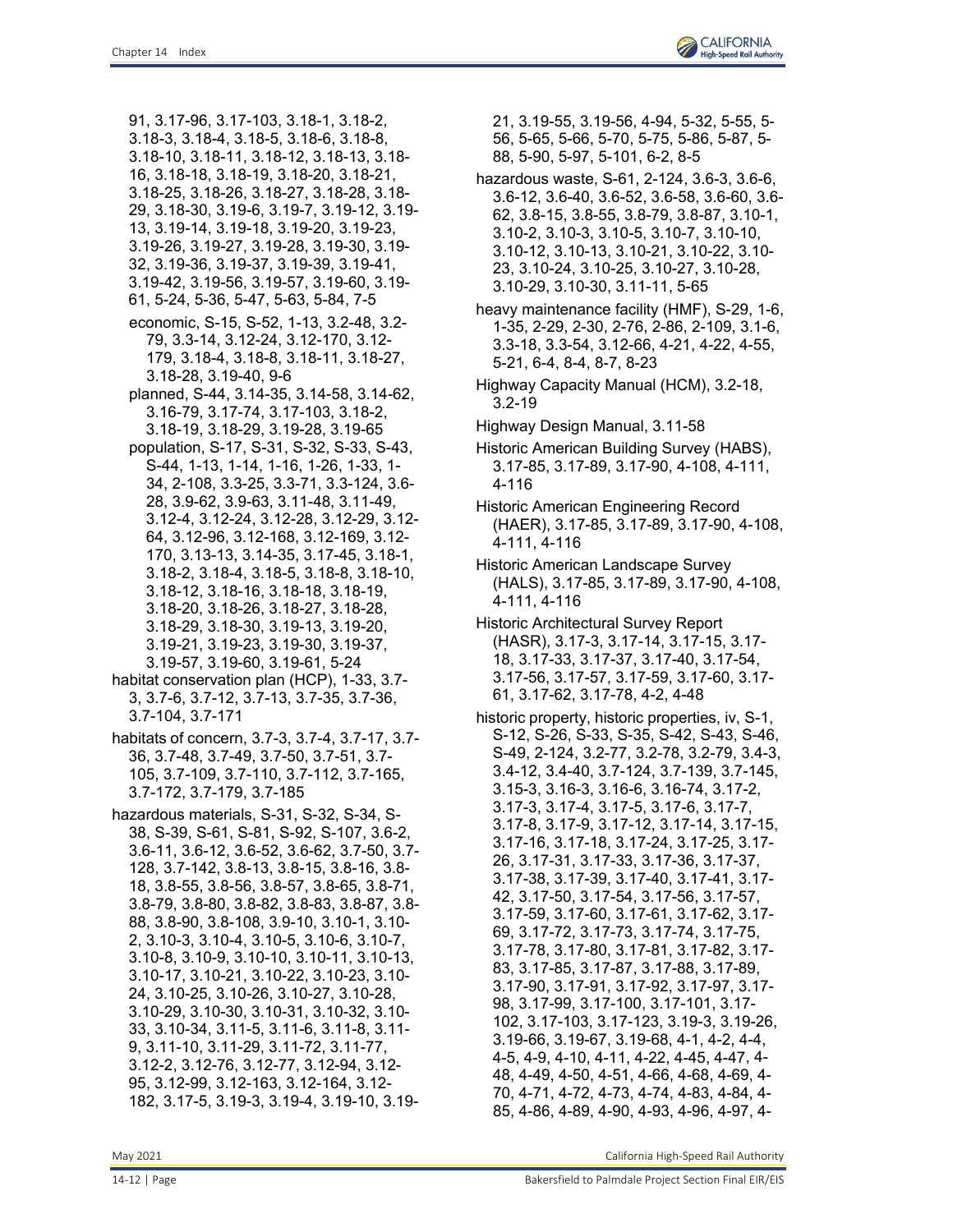91, 3.17-96, 3.17-103, 3.18-1, 3.18-2, 3.18-3, 3.18-4, 3.18-5, 3.18-6, 3.18-8,

- 3.18-10, 3.18-11, 3.18-12, 3.18-13, 3.18-
- 16, 3.18-18, 3.18-19, 3.18-20, 3.18-21,
- 3.18-25, 3.18-26, 3.18-27, 3.18-28, 3.18-
- 29, 3.18-30, 3.19-6, 3.19-7, 3.19-12, 3.19-
- 13, 3.19-14, 3.19-18, 3.19-20, 3.19-23,
- 3.19-26, 3.19-27, 3.19-28, 3.19-30, 3.19-
- 32, 3.19-36, 3.19-37, 3.19-39, 3.19-41, 3.19-42, 3.19-56, 3.19-57, 3.19-60, 3.19-
- 61, 5-24, 5-36, 5-47, 5-63, 5-84, 7-5
- economic, S-15, S-52, 1-13, 3.2-48, 3.2- 79, 3.3-14, 3.12-24, 3.12-170, 3.12- 179, 3.18-4, 3.18-8, 3.18-11, 3.18-27, 3.18-28, 3.19-40, 9-6
- planned, S-44, 3.14-35, 3.14-58, 3.14-62, 3.16-79, 3.17-74, 3.17-103, 3.18-2, 3.18-19, 3.18-29, 3.19-28, 3.19-65
- population, S-17, S-31, S-32, S-33, S-43, S-44, 1-13, 1-14, 1-16, 1-26, 1-33, 1- 34, 2-108, 3.3-25, 3.3-71, 3.3-124, 3.6- 28, 3.9-62, 3.9-63, 3.11-48, 3.11-49, 3.12-4, 3.12-24, 3.12-28, 3.12-29, 3.12- 64, 3.12-96, 3.12-168, 3.12-169, 3.12- 170, 3.13-13, 3.14-35, 3.17-45, 3.18-1, 3.18-2, 3.18-4, 3.18-5, 3.18-8, 3.18-10, 3.18-12, 3.18-16, 3.18-18, 3.18-19, 3.18-20, 3.18-26, 3.18-27, 3.18-28, 3.18-29, 3.18-30, 3.19-13, 3.19-20, 3.19-21, 3.19-23, 3.19-30, 3.19-37, 3.19-57, 3.19-60, 3.19-61, 5-24
- habitat conservation plan (HCP), 1-33, 3.7- 3, 3.7-6, 3.7-12, 3.7-13, 3.7-35, 3.7-36, 3.7-104, 3.7-171
- habitats of concern, 3.7-3, 3.7-4, 3.7-17, 3.7- 36, 3.7-48, 3.7-49, 3.7-50, 3.7-51, 3.7- 105, 3.7-109, 3.7-110, 3.7-112, 3.7-165, 3.7-172, 3.7-179, 3.7-185
- hazardous materials, S-31, S-32, S-34, S-38, S-39, S-61, S-81, S-92, S-107, 3.6-2, 3.6-11, 3.6-12, 3.6-52, 3.6-62, 3.7-50, 3.7- 128, 3.7-142, 3.8-13, 3.8-15, 3.8-16, 3.8- 18, 3.8-55, 3.8-56, 3.8-57, 3.8-65, 3.8-71, 3.8-79, 3.8-80, 3.8-82, 3.8-83, 3.8-87, 3.8- 88, 3.8-90, 3.8-108, 3.9-10, 3.10-1, 3.10- 2, 3.10-3, 3.10-4, 3.10-5, 3.10-6, 3.10-7, 3.10-8, 3.10-9, 3.10-10, 3.10-11, 3.10-13, 3.10-17, 3.10-21, 3.10-22, 3.10-23, 3.10- 24, 3.10-25, 3.10-26, 3.10-27, 3.10-28, 3.10-29, 3.10-30, 3.10-31, 3.10-32, 3.10- 33, 3.10-34, 3.11-5, 3.11-6, 3.11-8, 3.11- 9, 3.11-10, 3.11-29, 3.11-72, 3.11-77, 3.12-2, 3.12-76, 3.12-77, 3.12-94, 3.12- 95, 3.12-99, 3.12-163, 3.12-164, 3.12- 182, 3.17-5, 3.19-3, 3.19-4, 3.19-10, 3.19-

21, 3.19-55, 3.19-56, 4-94, 5-32, 5-55, 5- 56, 5-65, 5-66, 5-70, 5-75, 5-86, 5-87, 5- 88, 5-90, 5-97, 5-101, 6-2, 8-5

- hazardous waste, S-61, 2-124, 3.6-3, 3.6-6, 3.6-12, 3.6-40, 3.6-52, 3.6-58, 3.6-60, 3.6- 62, 3.8-15, 3.8-55, 3.8-79, 3.8-87, 3.10-1, 3.10-2, 3.10-3, 3.10-5, 3.10-7, 3.10-10, 3.10-12, 3.10-13, 3.10-21, 3.10-22, 3.10- 23, 3.10-24, 3.10-25, 3.10-27, 3.10-28, 3.10-29, 3.10-30, 3.11-11, 5-65
- heavy maintenance facility (HMF), S-29, 1-6, 1-35, 2-29, 2-30, 2-76, 2-86, 2-109, 3.1-6, 3.3-18, 3.3-54, 3.12-66, 4-21, 4-22, 4-55, 5-21, 6-4, 8-4, 8-7, 8-23
- Highway Capacity Manual (HCM), 3.2-18, 3.2-19
- Highway Design Manual, 3.11-58
- Historic American Building Survey (HABS), 3.17-85, 3.17-89, 3.17-90, 4-108, 4-111, 4-116
- Historic American Engineering Record (HAER), 3.17-85, 3.17-89, 3.17-90, 4-108, 4-111, 4-116
- Historic American Landscape Survey (HALS), 3.17-85, 3.17-89, 3.17-90, 4-108, 4-111, 4-116
- Historic Architectural Survey Report (HASR), 3.17-3, 3.17-14, 3.17-15, 3.17- 18, 3.17-33, 3.17-37, 3.17-40, 3.17-54, 3.17-56, 3.17-57, 3.17-59, 3.17-60, 3.17- 61, 3.17-62, 3.17-78, 4-2, 4-48
- historic property, historic properties, iv, S-1, S-12, S-26, S-33, S-35, S-42, S-43, S-46, S-49, 2-124, 3.2-77, 3.2-78, 3.2-79, 3.4-3, 3.4-12, 3.4-40, 3.7-124, 3.7-139, 3.7-145, 3.15-3, 3.16-3, 3.16-6, 3.16-74, 3.17-2, 3.17-3, 3.17-4, 3.17-5, 3.17-6, 3.17-7, 3.17-8, 3.17-9, 3.17-12, 3.17-14, 3.17-15, 3.17-16, 3.17-18, 3.17-24, 3.17-25, 3.17- 26, 3.17-31, 3.17-33, 3.17-36, 3.17-37, 3.17-38, 3.17-39, 3.17-40, 3.17-41, 3.17- 42, 3.17-50, 3.17-54, 3.17-56, 3.17-57, 3.17-59, 3.17-60, 3.17-61, 3.17-62, 3.17- 69, 3.17-72, 3.17-73, 3.17-74, 3.17-75, 3.17-78, 3.17-80, 3.17-81, 3.17-82, 3.17- 83, 3.17-85, 3.17-87, 3.17-88, 3.17-89, 3.17-90, 3.17-91, 3.17-92, 3.17-97, 3.17- 98, 3.17-99, 3.17-100, 3.17-101, 3.17- 102, 3.17-103, 3.17-123, 3.19-3, 3.19-26, 3.19-66, 3.19-67, 3.19-68, 4-1, 4-2, 4-4, 4-5, 4-9, 4-10, 4-11, 4-22, 4-45, 4-47, 4- 48, 4-49, 4-50, 4-51, 4-66, 4-68, 4-69, 4- 70, 4-71, 4-72, 4-73, 4-74, 4-83, 4-84, 4- 85, 4-86, 4-89, 4-90, 4-93, 4-96, 4-97, 4-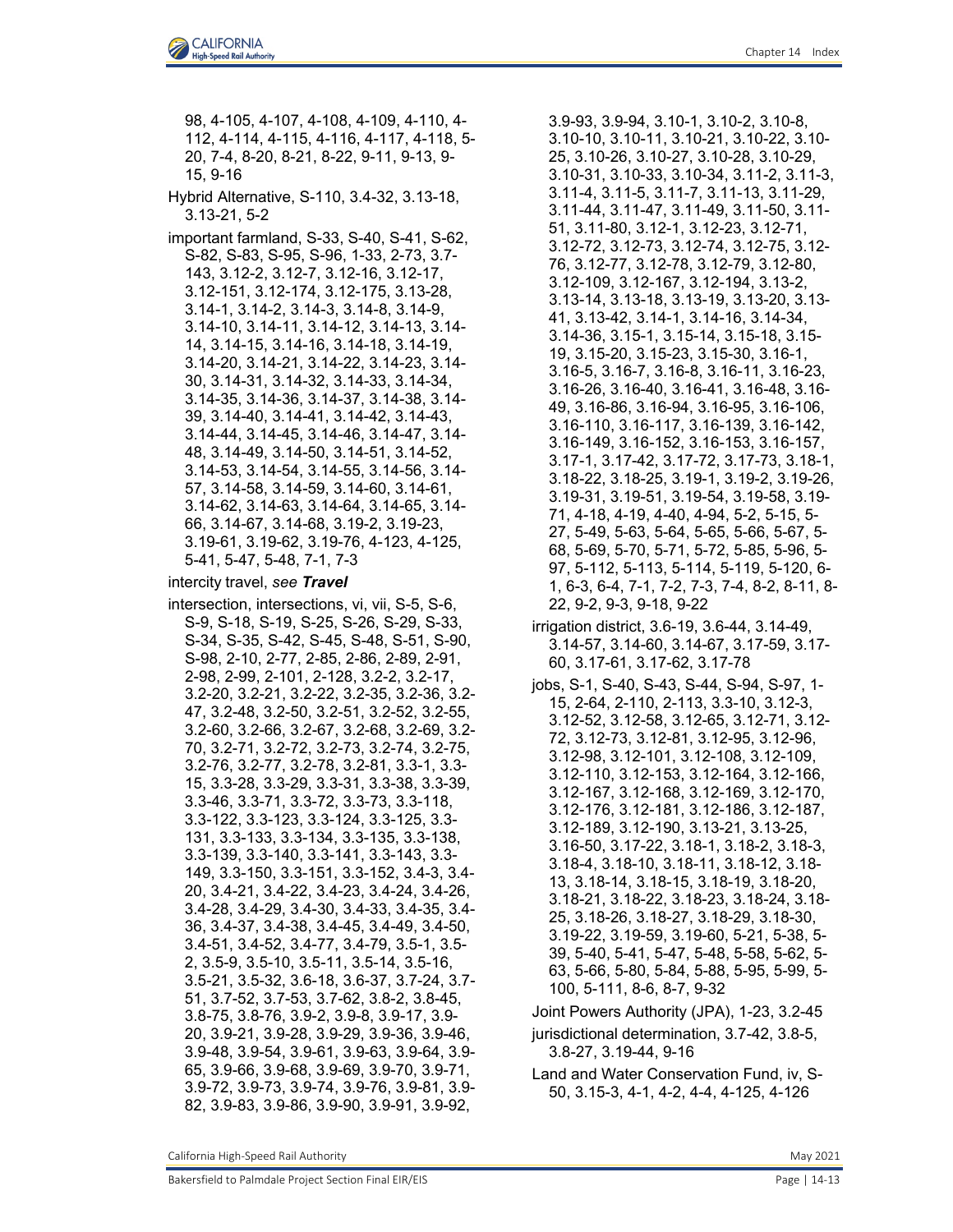98, 4-105, 4-107, 4-108, 4-109, 4-110, 4- 112, 4-114, 4-115, 4-116, 4-117, 4-118, 5- 20, 7-4, 8-20, 8-21, 8-22, 9-11, 9-13, 9- 15, 9-16

Hybrid Alternative, S-110, 3.4-32, 3.13-18, 3.13-21, 5-2

important farmland, S-33, S-40, S-41, S-62, S-82, S-83, S-95, S-96, 1-33, 2-73, 3.7- 143, 3.12-2, 3.12-7, 3.12-16, 3.12-17, 3.12-151, 3.12-174, 3.12-175, 3.13-28, 3.14-1, 3.14-2, 3.14-3, 3.14-8, 3.14-9, 3.14-10, 3.14-11, 3.14-12, 3.14-13, 3.14- 14, 3.14-15, 3.14-16, 3.14-18, 3.14-19, 3.14-20, 3.14-21, 3.14-22, 3.14-23, 3.14- 30, 3.14-31, 3.14-32, 3.14-33, 3.14-34, 3.14-35, 3.14-36, 3.14-37, 3.14-38, 3.14- 39, 3.14-40, 3.14-41, 3.14-42, 3.14-43, 3.14-44, 3.14-45, 3.14-46, 3.14-47, 3.14- 48, 3.14-49, 3.14-50, 3.14-51, 3.14-52, 3.14-53, 3.14-54, 3.14-55, 3.14-56, 3.14- 57, 3.14-58, 3.14-59, 3.14-60, 3.14-61, 3.14-62, 3.14-63, 3.14-64, 3.14-65, 3.14- 66, 3.14-67, 3.14-68, 3.19-2, 3.19-23, 3.19-61, 3.19-62, 3.19-76, 4-123, 4-125, 5-41, 5-47, 5-48, 7-1, 7-3

intercity travel, *see Travel*

intersection, intersections, vi, vii, S-5, S-6, S-9, S-18, S-19, S-25, S-26, S-29, S-33, S-34, S-35, S-42, S-45, S-48, S-51, S-90, S-98, 2-10, 2-77, 2-85, 2-86, 2-89, 2-91, 2-98, 2-99, 2-101, 2-128, 3.2-2, 3.2-17, 3.2-20, 3.2-21, 3.2-22, 3.2-35, 3.2-36, 3.2- 47, 3.2-48, 3.2-50, 3.2-51, 3.2-52, 3.2-55, 3.2-60, 3.2-66, 3.2-67, 3.2-68, 3.2-69, 3.2- 70, 3.2-71, 3.2-72, 3.2-73, 3.2-74, 3.2-75, 3.2-76, 3.2-77, 3.2-78, 3.2-81, 3.3-1, 3.3- 15, 3.3-28, 3.3-29, 3.3-31, 3.3-38, 3.3-39, 3.3-46, 3.3-71, 3.3-72, 3.3-73, 3.3-118, 3.3-122, 3.3-123, 3.3-124, 3.3-125, 3.3- 131, 3.3-133, 3.3-134, 3.3-135, 3.3-138, 3.3-139, 3.3-140, 3.3-141, 3.3-143, 3.3- 149, 3.3-150, 3.3-151, 3.3-152, 3.4-3, 3.4- 20, 3.4-21, 3.4-22, 3.4-23, 3.4-24, 3.4-26, 3.4-28, 3.4-29, 3.4-30, 3.4-33, 3.4-35, 3.4- 36, 3.4-37, 3.4-38, 3.4-45, 3.4-49, 3.4-50, 3.4-51, 3.4-52, 3.4-77, 3.4-79, 3.5-1, 3.5- 2, 3.5-9, 3.5-10, 3.5-11, 3.5-14, 3.5-16, 3.5-21, 3.5-32, 3.6-18, 3.6-37, 3.7-24, 3.7- 51, 3.7-52, 3.7-53, 3.7-62, 3.8-2, 3.8-45, 3.8-75, 3.8-76, 3.9-2, 3.9-8, 3.9-17, 3.9- 20, 3.9-21, 3.9-28, 3.9-29, 3.9-36, 3.9-46, 3.9-48, 3.9-54, 3.9-61, 3.9-63, 3.9-64, 3.9- 65, 3.9-66, 3.9-68, 3.9-69, 3.9-70, 3.9-71, 3.9-72, 3.9-73, 3.9-74, 3.9-76, 3.9-81, 3.9- 82, 3.9-83, 3.9-86, 3.9-90, 3.9-91, 3.9-92,

3.9-93, 3.9-94, 3.10-1, 3.10-2, 3.10-8, 3.10-10, 3.10-11, 3.10-21, 3.10-22, 3.10- 25, 3.10-26, 3.10-27, 3.10-28, 3.10-29, 3.10-31, 3.10-33, 3.10-34, 3.11-2, 3.11-3, 3.11-4, 3.11-5, 3.11-7, 3.11-13, 3.11-29, 3.11-44, 3.11-47, 3.11-49, 3.11-50, 3.11- 51, 3.11-80, 3.12-1, 3.12-23, 3.12-71, 3.12-72, 3.12-73, 3.12-74, 3.12-75, 3.12- 76, 3.12-77, 3.12-78, 3.12-79, 3.12-80, 3.12-109, 3.12-167, 3.12-194, 3.13-2, 3.13-14, 3.13-18, 3.13-19, 3.13-20, 3.13- 41, 3.13-42, 3.14-1, 3.14-16, 3.14-34, 3.14-36, 3.15-1, 3.15-14, 3.15-18, 3.15- 19, 3.15-20, 3.15-23, 3.15-30, 3.16-1, 3.16-5, 3.16-7, 3.16-8, 3.16-11, 3.16-23, 3.16-26, 3.16-40, 3.16-41, 3.16-48, 3.16- 49, 3.16-86, 3.16-94, 3.16-95, 3.16-106, 3.16-110, 3.16-117, 3.16-139, 3.16-142, 3.16-149, 3.16-152, 3.16-153, 3.16-157, 3.17-1, 3.17-42, 3.17-72, 3.17-73, 3.18-1, 3.18-22, 3.18-25, 3.19-1, 3.19-2, 3.19-26, 3.19-31, 3.19-51, 3.19-54, 3.19-58, 3.19- 71, 4-18, 4-19, 4-40, 4-94, 5-2, 5-15, 5- 27, 5-49, 5-63, 5-64, 5-65, 5-66, 5-67, 5- 68, 5-69, 5-70, 5-71, 5-72, 5-85, 5-96, 5- 97, 5-112, 5-113, 5-114, 5-119, 5-120, 6- 1, 6-3, 6-4, 7-1, 7-2, 7-3, 7-4, 8-2, 8-11, 8- 22, 9-2, 9-3, 9-18, 9-22

- irrigation district, 3.6-19, 3.6-44, 3.14-49, 3.14-57, 3.14-60, 3.14-67, 3.17-59, 3.17- 60, 3.17-61, 3.17-62, 3.17-78
- jobs, S-1, S-40, S-43, S-44, S-94, S-97, 1- 15, 2-64, 2-110, 2-113, 3.3-10, 3.12-3, 3.12-52, 3.12-58, 3.12-65, 3.12-71, 3.12- 72, 3.12-73, 3.12-81, 3.12-95, 3.12-96, 3.12-98, 3.12-101, 3.12-108, 3.12-109, 3.12-110, 3.12-153, 3.12-164, 3.12-166, 3.12-167, 3.12-168, 3.12-169, 3.12-170, 3.12-176, 3.12-181, 3.12-186, 3.12-187, 3.12-189, 3.12-190, 3.13-21, 3.13-25, 3.16-50, 3.17-22, 3.18-1, 3.18-2, 3.18-3, 3.18-4, 3.18-10, 3.18-11, 3.18-12, 3.18- 13, 3.18-14, 3.18-15, 3.18-19, 3.18-20, 3.18-21, 3.18-22, 3.18-23, 3.18-24, 3.18- 25, 3.18-26, 3.18-27, 3.18-29, 3.18-30, 3.19-22, 3.19-59, 3.19-60, 5-21, 5-38, 5- 39, 5-40, 5-41, 5-47, 5-48, 5-58, 5-62, 5- 63, 5-66, 5-80, 5-84, 5-88, 5-95, 5-99, 5- 100, 5-111, 8-6, 8-7, 9-32

Joint Powers Authority (JPA), 1-23, 3.2-45

- jurisdictional determination, 3.7-42, 3.8-5, 3.8-27, 3.19-44, 9-16
- Land and Water Conservation Fund, iv, S-50, 3.15-3, 4-1, 4-2, 4-4, 4-125, 4-126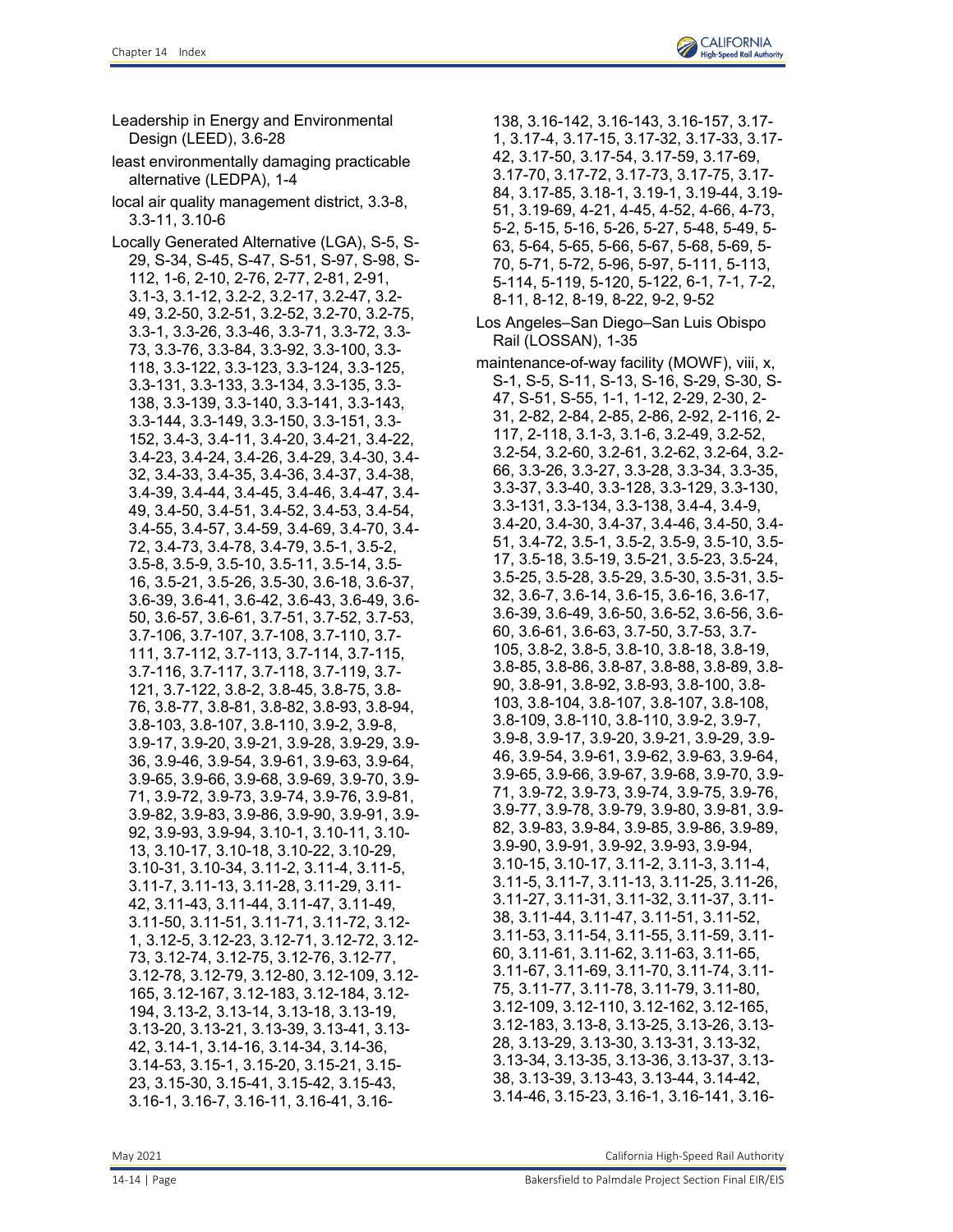Leadership in Energy and Environmental

Design (LEED), 3.6-28

least environmentally damaging practicable alternative (LEDPA), 1-4 local air quality management district, 3.3-8, 3.3-11, 3.10-6 Locally Generated Alternative (LGA), S-5, S-29, S-34, S-45, S-47, S-51, S-97, S-98, S-112, 1-6, 2-10, 2-76, 2-77, 2-81, 2-91, 3.1-3, 3.1-12, 3.2-2, 3.2-17, 3.2-47, 3.2- 49, 3.2-50, 3.2-51, 3.2-52, 3.2-70, 3.2-75, 3.3-1, 3.3-26, 3.3-46, 3.3-71, 3.3-72, 3.3- 73, 3.3-76, 3.3-84, 3.3-92, 3.3-100, 3.3- 118, 3.3-122, 3.3-123, 3.3-124, 3.3-125, 3.3-131, 3.3-133, 3.3-134, 3.3-135, 3.3- 138, 3.3-139, 3.3-140, 3.3-141, 3.3-143, 3.3-144, 3.3-149, 3.3-150, 3.3-151, 3.3- 152, 3.4-3, 3.4-11, 3.4-20, 3.4-21, 3.4-22, 3.4-23, 3.4-24, 3.4-26, 3.4-29, 3.4-30, 3.4- 32, 3.4-33, 3.4-35, 3.4-36, 3.4-37, 3.4-38, 3.4-39, 3.4-44, 3.4-45, 3.4-46, 3.4-47, 3.4- 49, 3.4-50, 3.4-51, 3.4-52, 3.4-53, 3.4-54, 3.4-55, 3.4-57, 3.4-59, 3.4-69, 3.4-70, 3.4- 72, 3.4-73, 3.4-78, 3.4-79, 3.5-1, 3.5-2, 3.5-8, 3.5-9, 3.5-10, 3.5-11, 3.5-14, 3.5- 16, 3.5-21, 3.5-26, 3.5-30, 3.6-18, 3.6-37, 3.6-39, 3.6-41, 3.6-42, 3.6-43, 3.6-49, 3.6- 50, 3.6-57, 3.6-61, 3.7-51, 3.7-52, 3.7-53, 3.7-106, 3.7-107, 3.7-108, 3.7-110, 3.7- 111, 3.7-112, 3.7-113, 3.7-114, 3.7-115, 3.7-116, 3.7-117, 3.7-118, 3.7-119, 3.7- 121, 3.7-122, 3.8-2, 3.8-45, 3.8-75, 3.8- 76, 3.8-77, 3.8-81, 3.8-82, 3.8-93, 3.8-94, 3.8-103, 3.8-107, 3.8-110, 3.9-2, 3.9-8, 3.9-17, 3.9-20, 3.9-21, 3.9-28, 3.9-29, 3.9- 36, 3.9-46, 3.9-54, 3.9-61, 3.9-63, 3.9-64, 3.9-65, 3.9-66, 3.9-68, 3.9-69, 3.9-70, 3.9- 71, 3.9-72, 3.9-73, 3.9-74, 3.9-76, 3.9-81, 3.9-82, 3.9-83, 3.9-86, 3.9-90, 3.9-91, 3.9- 92, 3.9-93, 3.9-94, 3.10-1, 3.10-11, 3.10- 13, 3.10-17, 3.10-18, 3.10-22, 3.10-29, 3.10-31, 3.10-34, 3.11-2, 3.11-4, 3.11-5, 3.11-7, 3.11-13, 3.11-28, 3.11-29, 3.11- 42, 3.11-43, 3.11-44, 3.11-47, 3.11-49, 3.11-50, 3.11-51, 3.11-71, 3.11-72, 3.12- 1, 3.12-5, 3.12-23, 3.12-71, 3.12-72, 3.12- 73, 3.12-74, 3.12-75, 3.12-76, 3.12-77, 3.12-78, 3.12-79, 3.12-80, 3.12-109, 3.12- 165, 3.12-167, 3.12-183, 3.12-184, 3.12- 194, 3.13-2, 3.13-14, 3.13-18, 3.13-19, 3.13-20, 3.13-21, 3.13-39, 3.13-41, 3.13- 42, 3.14-1, 3.14-16, 3.14-34, 3.14-36, 3.14-53, 3.15-1, 3.15-20, 3.15-21, 3.15- 23, 3.15-30, 3.15-41, 3.15-42, 3.15-43, 3.16-1, 3.16-7, 3.16-11, 3.16-41, 3.16-

138, 3.16-142, 3.16-143, 3.16-157, 3.17- 1, 3.17-4, 3.17-15, 3.17-32, 3.17-33, 3.17- 42, 3.17-50, 3.17-54, 3.17-59, 3.17-69, 3.17-70, 3.17-72, 3.17-73, 3.17-75, 3.17- 84, 3.17-85, 3.18-1, 3.19-1, 3.19-44, 3.19- 51, 3.19-69, 4-21, 4-45, 4-52, 4-66, 4-73, 5-2, 5-15, 5-16, 5-26, 5-27, 5-48, 5-49, 5- 63, 5-64, 5-65, 5-66, 5-67, 5-68, 5-69, 5- 70, 5-71, 5-72, 5-96, 5-97, 5-111, 5-113, 5-114, 5-119, 5-120, 5-122, 6-1, 7-1, 7-2, 8-11, 8-12, 8-19, 8-22, 9-2, 9-52

- Los Angeles–San Diego–San Luis Obispo Rail (LOSSAN), 1-35
- maintenance-of-way facility (MOWF), viii, x, S-1, S-5, S-11, S-13, S-16, S-29, S-30, S-47, S-51, S-55, 1-1, 1-12, 2-29, 2-30, 2- 31, 2-82, 2-84, 2-85, 2-86, 2-92, 2-116, 2- 117, 2-118, 3.1-3, 3.1-6, 3.2-49, 3.2-52, 3.2-54, 3.2-60, 3.2-61, 3.2-62, 3.2-64, 3.2- 66, 3.3-26, 3.3-27, 3.3-28, 3.3-34, 3.3-35, 3.3-37, 3.3-40, 3.3-128, 3.3-129, 3.3-130, 3.3-131, 3.3-134, 3.3-138, 3.4-4, 3.4-9, 3.4-20, 3.4-30, 3.4-37, 3.4-46, 3.4-50, 3.4- 51, 3.4-72, 3.5-1, 3.5-2, 3.5-9, 3.5-10, 3.5- 17, 3.5-18, 3.5-19, 3.5-21, 3.5-23, 3.5-24, 3.5-25, 3.5-28, 3.5-29, 3.5-30, 3.5-31, 3.5- 32, 3.6-7, 3.6-14, 3.6-15, 3.6-16, 3.6-17, 3.6-39, 3.6-49, 3.6-50, 3.6-52, 3.6-56, 3.6- 60, 3.6-61, 3.6-63, 3.7-50, 3.7-53, 3.7- 105, 3.8-2, 3.8-5, 3.8-10, 3.8-18, 3.8-19, 3.8-85, 3.8-86, 3.8-87, 3.8-88, 3.8-89, 3.8- 90, 3.8-91, 3.8-92, 3.8-93, 3.8-100, 3.8- 103, 3.8-104, 3.8-107, 3.8-107, 3.8-108, 3.8-109, 3.8-110, 3.8-110, 3.9-2, 3.9-7, 3.9-8, 3.9-17, 3.9-20, 3.9-21, 3.9-29, 3.9- 46, 3.9-54, 3.9-61, 3.9-62, 3.9-63, 3.9-64, 3.9-65, 3.9-66, 3.9-67, 3.9-68, 3.9-70, 3.9- 71, 3.9-72, 3.9-73, 3.9-74, 3.9-75, 3.9-76, 3.9-77, 3.9-78, 3.9-79, 3.9-80, 3.9-81, 3.9- 82, 3.9-83, 3.9-84, 3.9-85, 3.9-86, 3.9-89, 3.9-90, 3.9-91, 3.9-92, 3.9-93, 3.9-94, 3.10-15, 3.10-17, 3.11-2, 3.11-3, 3.11-4, 3.11-5, 3.11-7, 3.11-13, 3.11-25, 3.11-26, 3.11-27, 3.11-31, 3.11-32, 3.11-37, 3.11- 38, 3.11-44, 3.11-47, 3.11-51, 3.11-52, 3.11-53, 3.11-54, 3.11-55, 3.11-59, 3.11- 60, 3.11-61, 3.11-62, 3.11-63, 3.11-65, 3.11-67, 3.11-69, 3.11-70, 3.11-74, 3.11- 75, 3.11-77, 3.11-78, 3.11-79, 3.11-80, 3.12-109, 3.12-110, 3.12-162, 3.12-165, 3.12-183, 3.13-8, 3.13-25, 3.13-26, 3.13- 28, 3.13-29, 3.13-30, 3.13-31, 3.13-32, 3.13-34, 3.13-35, 3.13-36, 3.13-37, 3.13- 38, 3.13-39, 3.13-43, 3.13-44, 3.14-42, 3.14-46, 3.15-23, 3.16-1, 3.16-141, 3.16-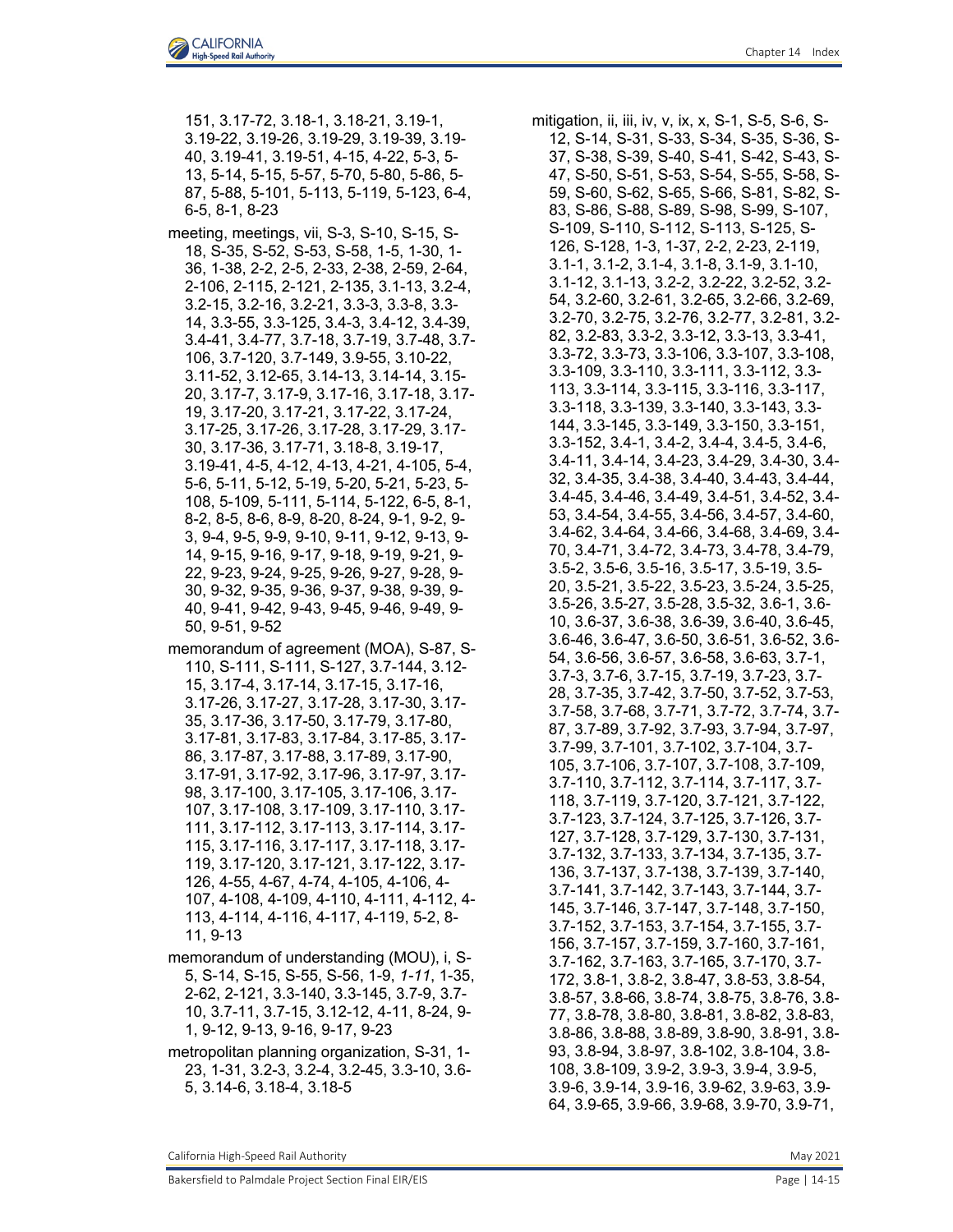151, 3.17-72, 3.18-1, 3.18-21, 3.19-1, 3.19-22, 3.19-26, 3.19-29, 3.19-39, 3.19- 40, 3.19-41, 3.19-51, 4-15, 4-22, 5-3, 5- 13, 5-14, 5-15, 5-57, 5-70, 5-80, 5-86, 5- 87, 5-88, 5-101, 5-113, 5-119, 5-123, 6-4, 6-5, 8-1, 8-23

meeting, meetings, vii, S-3, S-10, S-15, S-18, S-35, S-52, S-53, S-58, 1-5, 1-30, 1- 36, 1-38, 2-2, 2-5, 2-33, 2-38, 2-59, 2-64, 2-106, 2-115, 2-121, 2-135, 3.1-13, 3.2-4, 3.2-15, 3.2-16, 3.2-21, 3.3-3, 3.3-8, 3.3- 14, 3.3-55, 3.3-125, 3.4-3, 3.4-12, 3.4-39, 3.4-41, 3.4-77, 3.7-18, 3.7-19, 3.7-48, 3.7- 106, 3.7-120, 3.7-149, 3.9-55, 3.10-22, 3.11-52, 3.12-65, 3.14-13, 3.14-14, 3.15- 20, 3.17-7, 3.17-9, 3.17-16, 3.17-18, 3.17- 19, 3.17-20, 3.17-21, 3.17-22, 3.17-24, 3.17-25, 3.17-26, 3.17-28, 3.17-29, 3.17- 30, 3.17-36, 3.17-71, 3.18-8, 3.19-17, 3.19-41, 4-5, 4-12, 4-13, 4-21, 4-105, 5-4, 5-6, 5-11, 5-12, 5-19, 5-20, 5-21, 5-23, 5- 108, 5-109, 5-111, 5-114, 5-122, 6-5, 8-1, 8-2, 8-5, 8-6, 8-9, 8-20, 8-24, 9-1, 9-2, 9- 3, 9-4, 9-5, 9-9, 9-10, 9-11, 9-12, 9-13, 9- 14, 9-15, 9-16, 9-17, 9-18, 9-19, 9-21, 9- 22, 9-23, 9-24, 9-25, 9-26, 9-27, 9-28, 9- 30, 9-32, 9-35, 9-36, 9-37, 9-38, 9-39, 9- 40, 9-41, 9-42, 9-43, 9-45, 9-46, 9-49, 9- 50, 9-51, 9-52

- memorandum of agreement (MOA), S-87, S-110, S-111, S-111, S-127, 3.7-144, 3.12- 15, 3.17-4, 3.17-14, 3.17-15, 3.17-16, 3.17-26, 3.17-27, 3.17-28, 3.17-30, 3.17- 35, 3.17-36, 3.17-50, 3.17-79, 3.17-80, 3.17-81, 3.17-83, 3.17-84, 3.17-85, 3.17- 86, 3.17-87, 3.17-88, 3.17-89, 3.17-90, 3.17-91, 3.17-92, 3.17-96, 3.17-97, 3.17- 98, 3.17-100, 3.17-105, 3.17-106, 3.17- 107, 3.17-108, 3.17-109, 3.17-110, 3.17- 111, 3.17-112, 3.17-113, 3.17-114, 3.17- 115, 3.17-116, 3.17-117, 3.17-118, 3.17- 119, 3.17-120, 3.17-121, 3.17-122, 3.17- 126, 4-55, 4-67, 4-74, 4-105, 4-106, 4- 107, 4-108, 4-109, 4-110, 4-111, 4-112, 4- 113, 4-114, 4-116, 4-117, 4-119, 5-2, 8- 11, 9-13
- memorandum of understanding (MOU), i, S-5, S-14, S-15, S-55, S-56, 1-9, *1-11*, 1-35, 2-62, 2-121, 3.3-140, 3.3-145, 3.7-9, 3.7- 10, 3.7-11, 3.7-15, 3.12-12, 4-11, 8-24, 9- 1, 9-12, 9-13, 9-16, 9-17, 9-23
- metropolitan planning organization, S-31, 1- 23, 1-31, 3.2-3, 3.2-4, 3.2-45, 3.3-10, 3.6- 5, 3.14-6, 3.18-4, 3.18-5

mitigation, ii, iii, iv, v, ix, x, S-1, S-5, S-6, S-12, S-14, S-31, S-33, S-34, S-35, S-36, S-37, S-38, S-39, S-40, S-41, S-42, S-43, S-47, S-50, S-51, S-53, S-54, S-55, S-58, S-59, S-60, S-62, S-65, S-66, S-81, S-82, S-83, S-86, S-88, S-89, S-98, S-99, S-107, S-109, S-110, S-112, S-113, S-125, S-126, S-128, 1-3, 1-37, 2-2, 2-23, 2-119, 3.1-1, 3.1-2, 3.1-4, 3.1-8, 3.1-9, 3.1-10, 3.1-12, 3.1-13, 3.2-2, 3.2-22, 3.2-52, 3.2- 54, 3.2-60, 3.2-61, 3.2-65, 3.2-66, 3.2-69, 3.2-70, 3.2-75, 3.2-76, 3.2-77, 3.2-81, 3.2- 82, 3.2-83, 3.3-2, 3.3-12, 3.3-13, 3.3-41, 3.3-72, 3.3-73, 3.3-106, 3.3-107, 3.3-108, 3.3-109, 3.3-110, 3.3-111, 3.3-112, 3.3- 113, 3.3-114, 3.3-115, 3.3-116, 3.3-117, 3.3-118, 3.3-139, 3.3-140, 3.3-143, 3.3- 144, 3.3-145, 3.3-149, 3.3-150, 3.3-151, 3.3-152, 3.4-1, 3.4-2, 3.4-4, 3.4-5, 3.4-6, 3.4-11, 3.4-14, 3.4-23, 3.4-29, 3.4-30, 3.4- 32, 3.4-35, 3.4-38, 3.4-40, 3.4-43, 3.4-44, 3.4-45, 3.4-46, 3.4-49, 3.4-51, 3.4-52, 3.4- 53, 3.4-54, 3.4-55, 3.4-56, 3.4-57, 3.4-60, 3.4-62, 3.4-64, 3.4-66, 3.4-68, 3.4-69, 3.4- 70, 3.4-71, 3.4-72, 3.4-73, 3.4-78, 3.4-79, 3.5-2, 3.5-6, 3.5-16, 3.5-17, 3.5-19, 3.5- 20, 3.5-21, 3.5-22, 3.5-23, 3.5-24, 3.5-25, 3.5-26, 3.5-27, 3.5-28, 3.5-32, 3.6-1, 3.6- 10, 3.6-37, 3.6-38, 3.6-39, 3.6-40, 3.6-45, 3.6-46, 3.6-47, 3.6-50, 3.6-51, 3.6-52, 3.6- 54, 3.6-56, 3.6-57, 3.6-58, 3.6-63, 3.7-1, 3.7-3, 3.7-6, 3.7-15, 3.7-19, 3.7-23, 3.7- 28, 3.7-35, 3.7-42, 3.7-50, 3.7-52, 3.7-53, 3.7-58, 3.7-68, 3.7-71, 3.7-72, 3.7-74, 3.7- 87, 3.7-89, 3.7-92, 3.7-93, 3.7-94, 3.7-97, 3.7-99, 3.7-101, 3.7-102, 3.7-104, 3.7- 105, 3.7-106, 3.7-107, 3.7-108, 3.7-109, 3.7-110, 3.7-112, 3.7-114, 3.7-117, 3.7- 118, 3.7-119, 3.7-120, 3.7-121, 3.7-122, 3.7-123, 3.7-124, 3.7-125, 3.7-126, 3.7- 127, 3.7-128, 3.7-129, 3.7-130, 3.7-131, 3.7-132, 3.7-133, 3.7-134, 3.7-135, 3.7- 136, 3.7-137, 3.7-138, 3.7-139, 3.7-140, 3.7-141, 3.7-142, 3.7-143, 3.7-144, 3.7- 145, 3.7-146, 3.7-147, 3.7-148, 3.7-150, 3.7-152, 3.7-153, 3.7-154, 3.7-155, 3.7- 156, 3.7-157, 3.7-159, 3.7-160, 3.7-161, 3.7-162, 3.7-163, 3.7-165, 3.7-170, 3.7- 172, 3.8-1, 3.8-2, 3.8-47, 3.8-53, 3.8-54, 3.8-57, 3.8-66, 3.8-74, 3.8-75, 3.8-76, 3.8- 77, 3.8-78, 3.8-80, 3.8-81, 3.8-82, 3.8-83, 3.8-86, 3.8-88, 3.8-89, 3.8-90, 3.8-91, 3.8- 93, 3.8-94, 3.8-97, 3.8-102, 3.8-104, 3.8- 108, 3.8-109, 3.9-2, 3.9-3, 3.9-4, 3.9-5, 3.9-6, 3.9-14, 3.9-16, 3.9-62, 3.9-63, 3.9- 64, 3.9-65, 3.9-66, 3.9-68, 3.9-70, 3.9-71,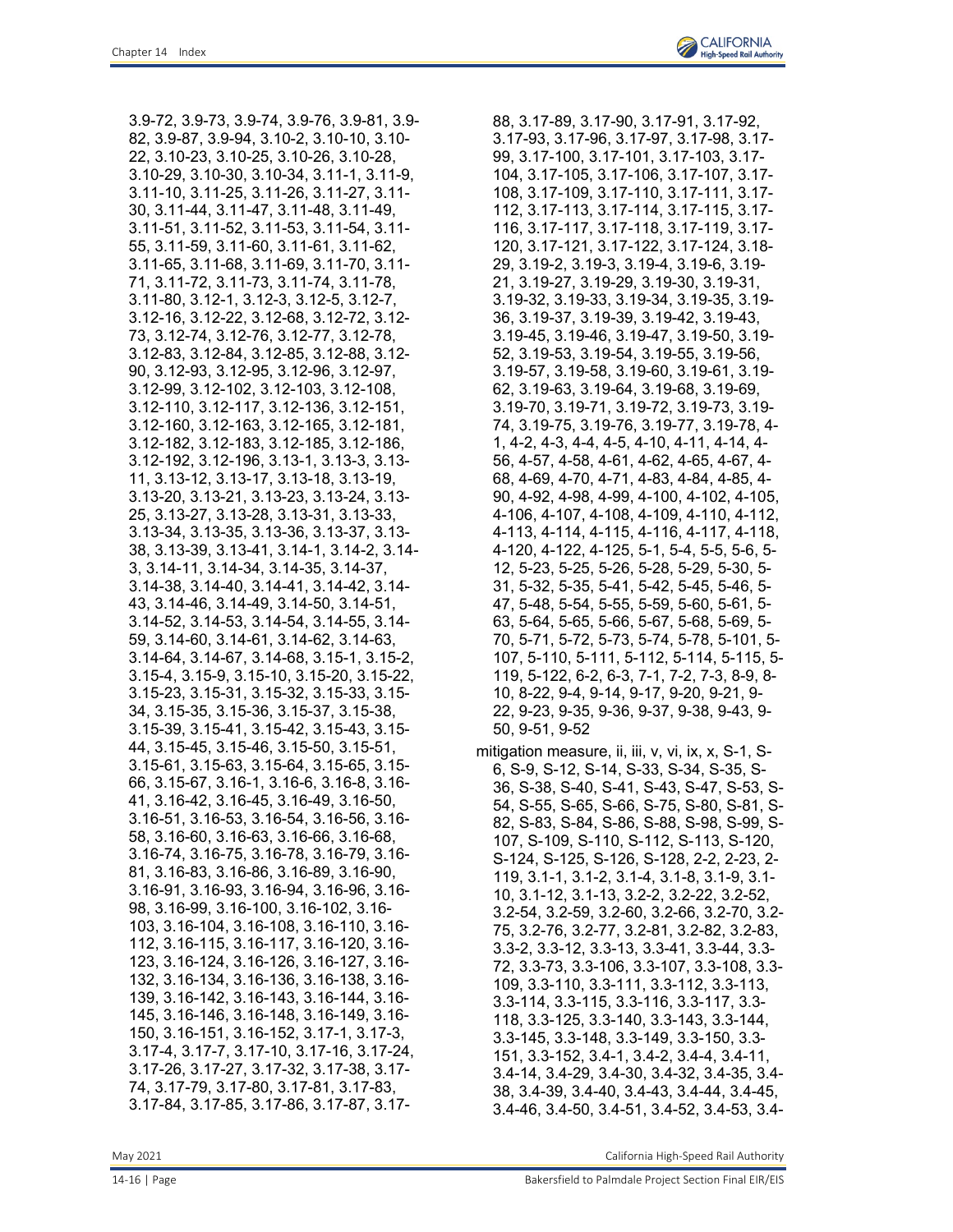3.9-72, 3.9-73, 3.9-74, 3.9-76, 3.9-81, 3.9- 82, 3.9-87, 3.9-94, 3.10-2, 3.10-10, 3.10- 22, 3.10-23, 3.10-25, 3.10-26, 3.10-28, 3.10-29, 3.10-30, 3.10-34, 3.11-1, 3.11-9, 3.11-10, 3.11-25, 3.11-26, 3.11-27, 3.11- 30, 3.11-44, 3.11-47, 3.11-48, 3.11-49, 3.11-51, 3.11-52, 3.11-53, 3.11-54, 3.11- 55, 3.11-59, 3.11-60, 3.11-61, 3.11-62, 3.11-65, 3.11-68, 3.11-69, 3.11-70, 3.11- 71, 3.11-72, 3.11-73, 3.11-74, 3.11-78, 3.11-80, 3.12-1, 3.12-3, 3.12-5, 3.12-7, 3.12-16, 3.12-22, 3.12-68, 3.12-72, 3.12- 73, 3.12-74, 3.12-76, 3.12-77, 3.12-78, 3.12-83, 3.12-84, 3.12-85, 3.12-88, 3.12- 90, 3.12-93, 3.12-95, 3.12-96, 3.12-97, 3.12-99, 3.12-102, 3.12-103, 3.12-108, 3.12-110, 3.12-117, 3.12-136, 3.12-151, 3.12-160, 3.12-163, 3.12-165, 3.12-181, 3.12-182, 3.12-183, 3.12-185, 3.12-186, 3.12-192, 3.12-196, 3.13-1, 3.13-3, 3.13- 11, 3.13-12, 3.13-17, 3.13-18, 3.13-19, 3.13-20, 3.13-21, 3.13-23, 3.13-24, 3.13- 25, 3.13-27, 3.13-28, 3.13-31, 3.13-33, 3.13-34, 3.13-35, 3.13-36, 3.13-37, 3.13- 38, 3.13-39, 3.13-41, 3.14-1, 3.14-2, 3.14- 3, 3.14-11, 3.14-34, 3.14-35, 3.14-37, 3.14-38, 3.14-40, 3.14-41, 3.14-42, 3.14- 43, 3.14-46, 3.14-49, 3.14-50, 3.14-51, 3.14-52, 3.14-53, 3.14-54, 3.14-55, 3.14- 59, 3.14-60, 3.14-61, 3.14-62, 3.14-63, 3.14-64, 3.14-67, 3.14-68, 3.15-1, 3.15-2, 3.15-4, 3.15-9, 3.15-10, 3.15-20, 3.15-22, 3.15-23, 3.15-31, 3.15-32, 3.15-33, 3.15- 34, 3.15-35, 3.15-36, 3.15-37, 3.15-38, 3.15-39, 3.15-41, 3.15-42, 3.15-43, 3.15- 44, 3.15-45, 3.15-46, 3.15-50, 3.15-51, 3.15-61, 3.15-63, 3.15-64, 3.15-65, 3.15- 66, 3.15-67, 3.16-1, 3.16-6, 3.16-8, 3.16- 41, 3.16-42, 3.16-45, 3.16-49, 3.16-50, 3.16-51, 3.16-53, 3.16-54, 3.16-56, 3.16- 58, 3.16-60, 3.16-63, 3.16-66, 3.16-68, 3.16-74, 3.16-75, 3.16-78, 3.16-79, 3.16- 81, 3.16-83, 3.16-86, 3.16-89, 3.16-90, 3.16-91, 3.16-93, 3.16-94, 3.16-96, 3.16- 98, 3.16-99, 3.16-100, 3.16-102, 3.16- 103, 3.16-104, 3.16-108, 3.16-110, 3.16- 112, 3.16-115, 3.16-117, 3.16-120, 3.16- 123, 3.16-124, 3.16-126, 3.16-127, 3.16- 132, 3.16-134, 3.16-136, 3.16-138, 3.16- 139, 3.16-142, 3.16-143, 3.16-144, 3.16- 145, 3.16-146, 3.16-148, 3.16-149, 3.16- 150, 3.16-151, 3.16-152, 3.17-1, 3.17-3, 3.17-4, 3.17-7, 3.17-10, 3.17-16, 3.17-24, 3.17-26, 3.17-27, 3.17-32, 3.17-38, 3.17- 74, 3.17-79, 3.17-80, 3.17-81, 3.17-83, 3.17-84, 3.17-85, 3.17-86, 3.17-87, 3.1788, 3.17-89, 3.17-90, 3.17-91, 3.17-92, 3.17-93, 3.17-96, 3.17-97, 3.17-98, 3.17- 99, 3.17-100, 3.17-101, 3.17-103, 3.17- 104, 3.17-105, 3.17-106, 3.17-107, 3.17- 108, 3.17-109, 3.17-110, 3.17-111, 3.17- 112, 3.17-113, 3.17-114, 3.17-115, 3.17- 116, 3.17-117, 3.17-118, 3.17-119, 3.17- 120, 3.17-121, 3.17-122, 3.17-124, 3.18- 29, 3.19-2, 3.19-3, 3.19-4, 3.19-6, 3.19- 21, 3.19-27, 3.19-29, 3.19-30, 3.19-31, 3.19-32, 3.19-33, 3.19-34, 3.19-35, 3.19- 36, 3.19-37, 3.19-39, 3.19-42, 3.19-43, 3.19-45, 3.19-46, 3.19-47, 3.19-50, 3.19- 52, 3.19-53, 3.19-54, 3.19-55, 3.19-56, 3.19-57, 3.19-58, 3.19-60, 3.19-61, 3.19- 62, 3.19-63, 3.19-64, 3.19-68, 3.19-69, 3.19-70, 3.19-71, 3.19-72, 3.19-73, 3.19- 74, 3.19-75, 3.19-76, 3.19-77, 3.19-78, 4- 1, 4-2, 4-3, 4-4, 4-5, 4-10, 4-11, 4-14, 4- 56, 4-57, 4-58, 4-61, 4-62, 4-65, 4-67, 4- 68, 4-69, 4-70, 4-71, 4-83, 4-84, 4-85, 4- 90, 4-92, 4-98, 4-99, 4-100, 4-102, 4-105, 4-106, 4-107, 4-108, 4-109, 4-110, 4-112, 4-113, 4-114, 4-115, 4-116, 4-117, 4-118, 4-120, 4-122, 4-125, 5-1, 5-4, 5-5, 5-6, 5- 12, 5-23, 5-25, 5-26, 5-28, 5-29, 5-30, 5- 31, 5-32, 5-35, 5-41, 5-42, 5-45, 5-46, 5- 47, 5-48, 5-54, 5-55, 5-59, 5-60, 5-61, 5- 63, 5-64, 5-65, 5-66, 5-67, 5-68, 5-69, 5- 70, 5-71, 5-72, 5-73, 5-74, 5-78, 5-101, 5- 107, 5-110, 5-111, 5-112, 5-114, 5-115, 5- 119, 5-122, 6-2, 6-3, 7-1, 7-2, 7-3, 8-9, 8- 10, 8-22, 9-4, 9-14, 9-17, 9-20, 9-21, 9- 22, 9-23, 9-35, 9-36, 9-37, 9-38, 9-43, 9- 50, 9-51, 9-52

mitigation measure, ii, iii, v, vi, ix, x, S-1, S-6, S-9, S-12, S-14, S-33, S-34, S-35, S-36, S-38, S-40, S-41, S-43, S-47, S-53, S-54, S-55, S-65, S-66, S-75, S-80, S-81, S-82, S-83, S-84, S-86, S-88, S-98, S-99, S-107, S-109, S-110, S-112, S-113, S-120, S-124, S-125, S-126, S-128, 2-2, 2-23, 2- 119, 3.1-1, 3.1-2, 3.1-4, 3.1-8, 3.1-9, 3.1- 10, 3.1-12, 3.1-13, 3.2-2, 3.2-22, 3.2-52, 3.2-54, 3.2-59, 3.2-60, 3.2-66, 3.2-70, 3.2- 75, 3.2-76, 3.2-77, 3.2-81, 3.2-82, 3.2-83, 3.3-2, 3.3-12, 3.3-13, 3.3-41, 3.3-44, 3.3- 72, 3.3-73, 3.3-106, 3.3-107, 3.3-108, 3.3- 109, 3.3-110, 3.3-111, 3.3-112, 3.3-113, 3.3-114, 3.3-115, 3.3-116, 3.3-117, 3.3- 118, 3.3-125, 3.3-140, 3.3-143, 3.3-144, 3.3-145, 3.3-148, 3.3-149, 3.3-150, 3.3- 151, 3.3-152, 3.4-1, 3.4-2, 3.4-4, 3.4-11, 3.4-14, 3.4-29, 3.4-30, 3.4-32, 3.4-35, 3.4- 38, 3.4-39, 3.4-40, 3.4-43, 3.4-44, 3.4-45, 3.4-46, 3.4-50, 3.4-51, 3.4-52, 3.4-53, 3.4-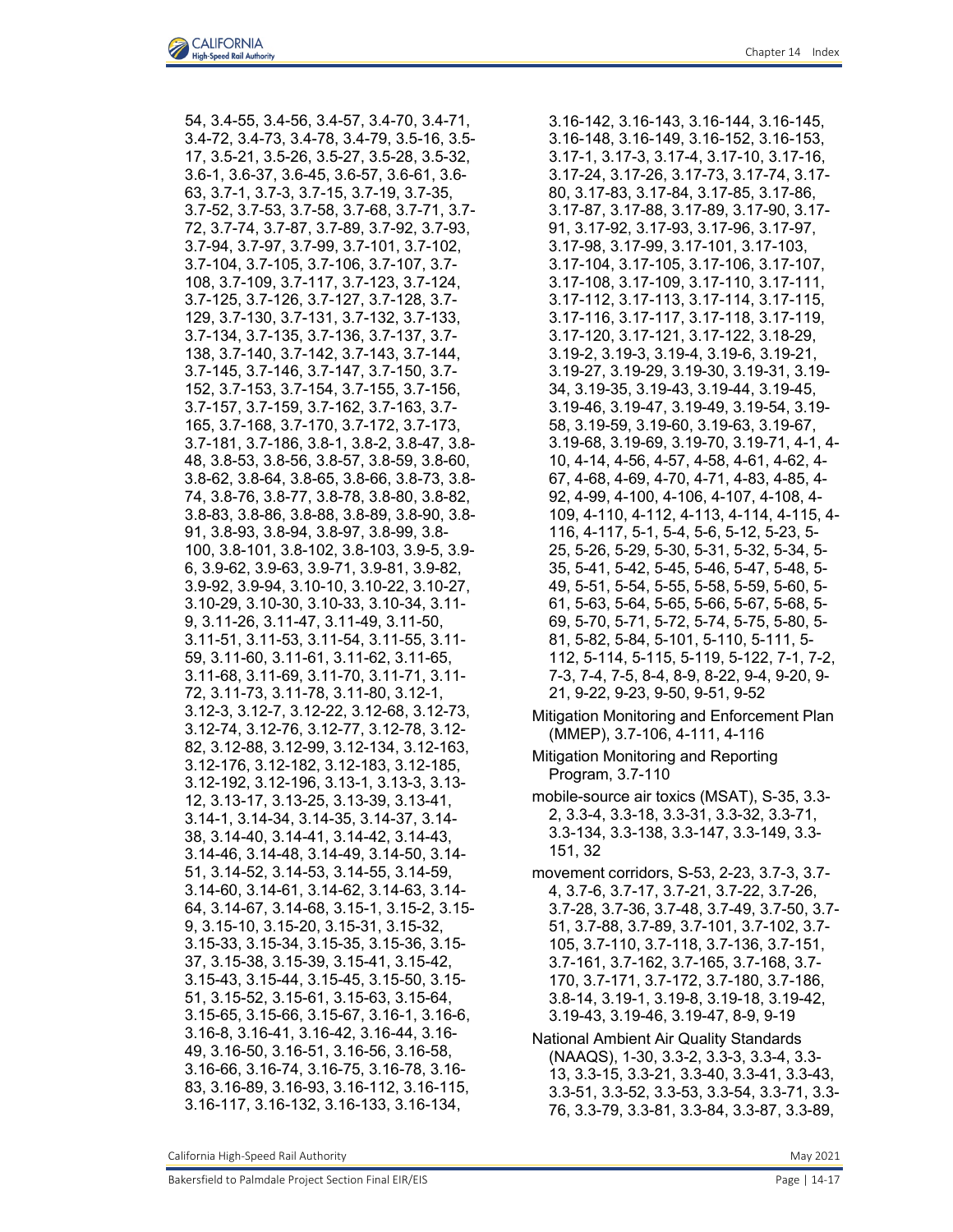54, 3.4-55, 3.4-56, 3.4-57, 3.4-70, 3.4-71, 3.4-72, 3.4-73, 3.4-78, 3.4-79, 3.5-16, 3.5- 17, 3.5-21, 3.5-26, 3.5-27, 3.5-28, 3.5-32, 3.6-1, 3.6-37, 3.6-45, 3.6-57, 3.6-61, 3.6- 63, 3.7-1, 3.7-3, 3.7-15, 3.7-19, 3.7-35, 3.7-52, 3.7-53, 3.7-58, 3.7-68, 3.7-71, 3.7- 72, 3.7-74, 3.7-87, 3.7-89, 3.7-92, 3.7-93, 3.7-94, 3.7-97, 3.7-99, 3.7-101, 3.7-102, 3.7-104, 3.7-105, 3.7-106, 3.7-107, 3.7- 108, 3.7-109, 3.7-117, 3.7-123, 3.7-124, 3.7-125, 3.7-126, 3.7-127, 3.7-128, 3.7- 129, 3.7-130, 3.7-131, 3.7-132, 3.7-133, 3.7-134, 3.7-135, 3.7-136, 3.7-137, 3.7- 138, 3.7-140, 3.7-142, 3.7-143, 3.7-144, 3.7-145, 3.7-146, 3.7-147, 3.7-150, 3.7- 152, 3.7-153, 3.7-154, 3.7-155, 3.7-156, 3.7-157, 3.7-159, 3.7-162, 3.7-163, 3.7- 165, 3.7-168, 3.7-170, 3.7-172, 3.7-173, 3.7-181, 3.7-186, 3.8-1, 3.8-2, 3.8-47, 3.8- 48, 3.8-53, 3.8-56, 3.8-57, 3.8-59, 3.8-60, 3.8-62, 3.8-64, 3.8-65, 3.8-66, 3.8-73, 3.8- 74, 3.8-76, 3.8-77, 3.8-78, 3.8-80, 3.8-82, 3.8-83, 3.8-86, 3.8-88, 3.8-89, 3.8-90, 3.8- 91, 3.8-93, 3.8-94, 3.8-97, 3.8-99, 3.8- 100, 3.8-101, 3.8-102, 3.8-103, 3.9-5, 3.9- 6, 3.9-62, 3.9-63, 3.9-71, 3.9-81, 3.9-82, 3.9-92, 3.9-94, 3.10-10, 3.10-22, 3.10-27, 3.10-29, 3.10-30, 3.10-33, 3.10-34, 3.11- 9, 3.11-26, 3.11-47, 3.11-49, 3.11-50, 3.11-51, 3.11-53, 3.11-54, 3.11-55, 3.11- 59, 3.11-60, 3.11-61, 3.11-62, 3.11-65, 3.11-68, 3.11-69, 3.11-70, 3.11-71, 3.11- 72, 3.11-73, 3.11-78, 3.11-80, 3.12-1, 3.12-3, 3.12-7, 3.12-22, 3.12-68, 3.12-73, 3.12-74, 3.12-76, 3.12-77, 3.12-78, 3.12- 82, 3.12-88, 3.12-99, 3.12-134, 3.12-163, 3.12-176, 3.12-182, 3.12-183, 3.12-185, 3.12-192, 3.12-196, 3.13-1, 3.13-3, 3.13- 12, 3.13-17, 3.13-25, 3.13-39, 3.13-41, 3.14-1, 3.14-34, 3.14-35, 3.14-37, 3.14- 38, 3.14-40, 3.14-41, 3.14-42, 3.14-43, 3.14-46, 3.14-48, 3.14-49, 3.14-50, 3.14- 51, 3.14-52, 3.14-53, 3.14-55, 3.14-59, 3.14-60, 3.14-61, 3.14-62, 3.14-63, 3.14- 64, 3.14-67, 3.14-68, 3.15-1, 3.15-2, 3.15- 9, 3.15-10, 3.15-20, 3.15-31, 3.15-32, 3.15-33, 3.15-34, 3.15-35, 3.15-36, 3.15- 37, 3.15-38, 3.15-39, 3.15-41, 3.15-42, 3.15-43, 3.15-44, 3.15-45, 3.15-50, 3.15- 51, 3.15-52, 3.15-61, 3.15-63, 3.15-64, 3.15-65, 3.15-66, 3.15-67, 3.16-1, 3.16-6, 3.16-8, 3.16-41, 3.16-42, 3.16-44, 3.16- 49, 3.16-50, 3.16-51, 3.16-56, 3.16-58, 3.16-66, 3.16-74, 3.16-75, 3.16-78, 3.16- 83, 3.16-89, 3.16-93, 3.16-112, 3.16-115, 3.16-117, 3.16-132, 3.16-133, 3.16-134,

3.16-142, 3.16-143, 3.16-144, 3.16-145, 3.16-148, 3.16-149, 3.16-152, 3.16-153, 3.17-1, 3.17-3, 3.17-4, 3.17-10, 3.17-16, 3.17-24, 3.17-26, 3.17-73, 3.17-74, 3.17- 80, 3.17-83, 3.17-84, 3.17-85, 3.17-86, 3.17-87, 3.17-88, 3.17-89, 3.17-90, 3.17- 91, 3.17-92, 3.17-93, 3.17-96, 3.17-97, 3.17-98, 3.17-99, 3.17-101, 3.17-103, 3.17-104, 3.17-105, 3.17-106, 3.17-107, 3.17-108, 3.17-109, 3.17-110, 3.17-111, 3.17-112, 3.17-113, 3.17-114, 3.17-115, 3.17-116, 3.17-117, 3.17-118, 3.17-119, 3.17-120, 3.17-121, 3.17-122, 3.18-29, 3.19-2, 3.19-3, 3.19-4, 3.19-6, 3.19-21, 3.19-27, 3.19-29, 3.19-30, 3.19-31, 3.19- 34, 3.19-35, 3.19-43, 3.19-44, 3.19-45, 3.19-46, 3.19-47, 3.19-49, 3.19-54, 3.19- 58, 3.19-59, 3.19-60, 3.19-63, 3.19-67, 3.19-68, 3.19-69, 3.19-70, 3.19-71, 4-1, 4- 10, 4-14, 4-56, 4-57, 4-58, 4-61, 4-62, 4- 67, 4-68, 4-69, 4-70, 4-71, 4-83, 4-85, 4- 92, 4-99, 4-100, 4-106, 4-107, 4-108, 4- 109, 4-110, 4-112, 4-113, 4-114, 4-115, 4- 116, 4-117, 5-1, 5-4, 5-6, 5-12, 5-23, 5- 25, 5-26, 5-29, 5-30, 5-31, 5-32, 5-34, 5- 35, 5-41, 5-42, 5-45, 5-46, 5-47, 5-48, 5- 49, 5-51, 5-54, 5-55, 5-58, 5-59, 5-60, 5- 61, 5-63, 5-64, 5-65, 5-66, 5-67, 5-68, 5- 69, 5-70, 5-71, 5-72, 5-74, 5-75, 5-80, 5- 81, 5-82, 5-84, 5-101, 5-110, 5-111, 5- 112, 5-114, 5-115, 5-119, 5-122, 7-1, 7-2, 7-3, 7-4, 7-5, 8-4, 8-9, 8-22, 9-4, 9-20, 9- 21, 9-22, 9-23, 9-50, 9-51, 9-52

- Mitigation Monitoring and Enforcement Plan (MMEP), 3.7-106, 4-111, 4-116
- Mitigation Monitoring and Reporting Program, 3.7-110
- mobile-source air toxics (MSAT), S-35, 3.3- 2, 3.3-4, 3.3-18, 3.3-31, 3.3-32, 3.3-71, 3.3-134, 3.3-138, 3.3-147, 3.3-149, 3.3- 151, 32
- movement corridors, S-53, 2-23, 3.7-3, 3.7- 4, 3.7-6, 3.7-17, 3.7-21, 3.7-22, 3.7-26, 3.7-28, 3.7-36, 3.7-48, 3.7-49, 3.7-50, 3.7- 51, 3.7-88, 3.7-89, 3.7-101, 3.7-102, 3.7- 105, 3.7-110, 3.7-118, 3.7-136, 3.7-151, 3.7-161, 3.7-162, 3.7-165, 3.7-168, 3.7- 170, 3.7-171, 3.7-172, 3.7-180, 3.7-186, 3.8-14, 3.19-1, 3.19-8, 3.19-18, 3.19-42, 3.19-43, 3.19-46, 3.19-47, 8-9, 9-19

National Ambient Air Quality Standards (NAAQS), 1-30, 3.3-2, 3.3-3, 3.3-4, 3.3- 13, 3.3-15, 3.3-21, 3.3-40, 3.3-41, 3.3-43, 3.3-51, 3.3-52, 3.3-53, 3.3-54, 3.3-71, 3.3- 76, 3.3-79, 3.3-81, 3.3-84, 3.3-87, 3.3-89,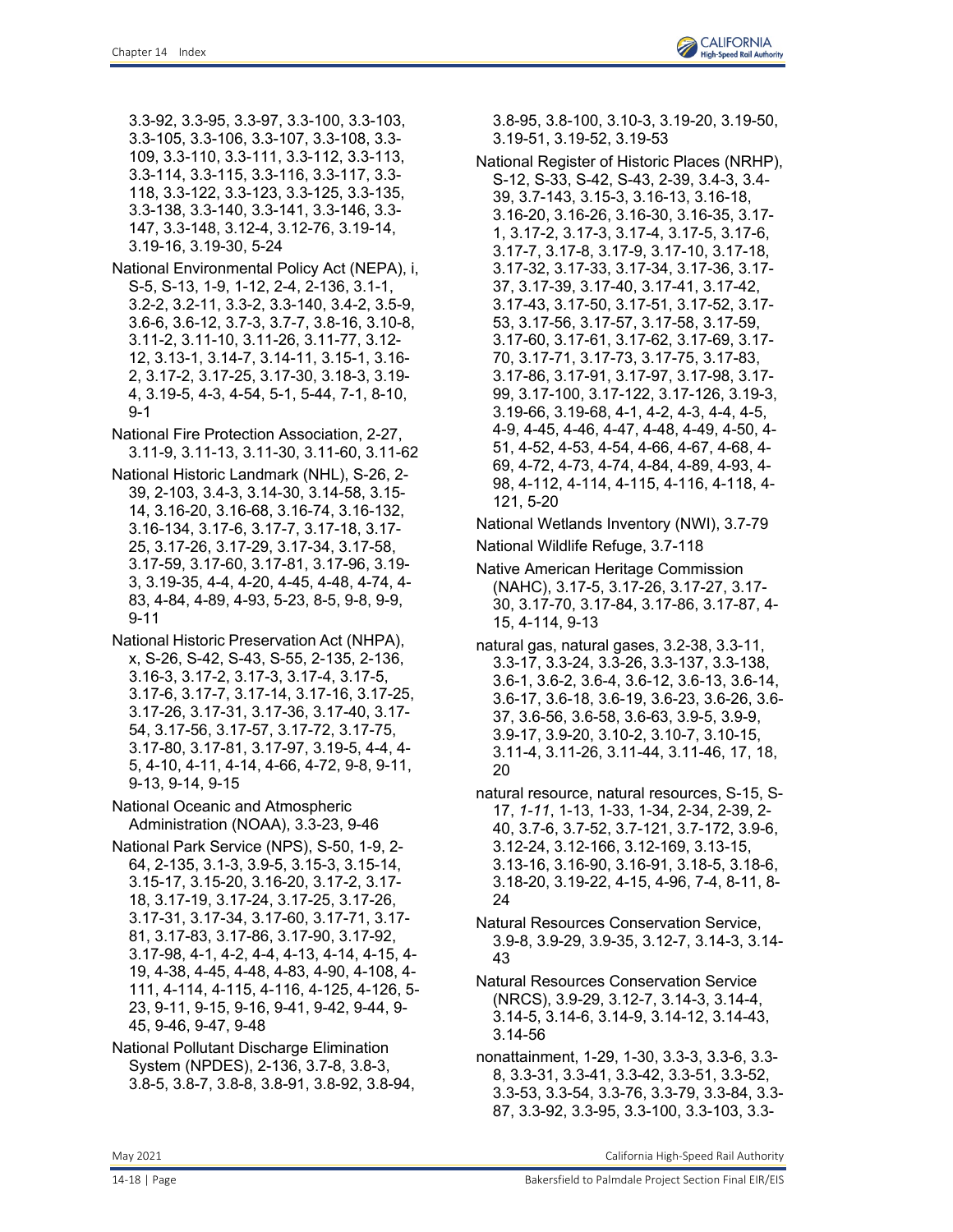3.3-92, 3.3-95, 3.3-97, 3.3-100, 3.3-103, 3.3-105, 3.3-106, 3.3-107, 3.3-108, 3.3- 109, 3.3-110, 3.3-111, 3.3-112, 3.3-113, 3.3-114, 3.3-115, 3.3-116, 3.3-117, 3.3- 118, 3.3-122, 3.3-123, 3.3-125, 3.3-135, 3.3-138, 3.3-140, 3.3-141, 3.3-146, 3.3- 147, 3.3-148, 3.12-4, 3.12-76, 3.19-14, 3.19-16, 3.19-30, 5-24

- National Environmental Policy Act (NEPA), i, S-5, S-13, 1-9, 1-12, 2-4, 2-136, 3.1-1, 3.2-2, 3.2-11, 3.3-2, 3.3-140, 3.4-2, 3.5-9, 3.6-6, 3.6-12, 3.7-3, 3.7-7, 3.8-16, 3.10-8, 3.11-2, 3.11-10, 3.11-26, 3.11-77, 3.12- 12, 3.13-1, 3.14-7, 3.14-11, 3.15-1, 3.16- 2, 3.17-2, 3.17-25, 3.17-30, 3.18-3, 3.19- 4, 3.19-5, 4-3, 4-54, 5-1, 5-44, 7-1, 8-10, 9-1
- National Fire Protection Association, 2-27, 3.11-9, 3.11-13, 3.11-30, 3.11-60, 3.11-62
- National Historic Landmark (NHL), S-26, 2- 39, 2-103, 3.4-3, 3.14-30, 3.14-58, 3.15- 14, 3.16-20, 3.16-68, 3.16-74, 3.16-132, 3.16-134, 3.17-6, 3.17-7, 3.17-18, 3.17- 25, 3.17-26, 3.17-29, 3.17-34, 3.17-58, 3.17-59, 3.17-60, 3.17-81, 3.17-96, 3.19- 3, 3.19-35, 4-4, 4-20, 4-45, 4-48, 4-74, 4- 83, 4-84, 4-89, 4-93, 5-23, 8-5, 9-8, 9-9, 9-11

National Historic Preservation Act (NHPA), x, S-26, S-42, S-43, S-55, 2-135, 2-136, 3.16-3, 3.17-2, 3.17-3, 3.17-4, 3.17-5, 3.17-6, 3.17-7, 3.17-14, 3.17-16, 3.17-25, 3.17-26, 3.17-31, 3.17-36, 3.17-40, 3.17- 54, 3.17-56, 3.17-57, 3.17-72, 3.17-75, 3.17-80, 3.17-81, 3.17-97, 3.19-5, 4-4, 4- 5, 4-10, 4-11, 4-14, 4-66, 4-72, 9-8, 9-11, 9-13, 9-14, 9-15

National Oceanic and Atmospheric Administration (NOAA), 3.3-23, 9-46

- National Park Service (NPS), S-50, 1-9, 2- 64, 2-135, 3.1-3, 3.9-5, 3.15-3, 3.15-14, 3.15-17, 3.15-20, 3.16-20, 3.17-2, 3.17- 18, 3.17-19, 3.17-24, 3.17-25, 3.17-26, 3.17-31, 3.17-34, 3.17-60, 3.17-71, 3.17- 81, 3.17-83, 3.17-86, 3.17-90, 3.17-92, 3.17-98, 4-1, 4-2, 4-4, 4-13, 4-14, 4-15, 4- 19, 4-38, 4-45, 4-48, 4-83, 4-90, 4-108, 4- 111, 4-114, 4-115, 4-116, 4-125, 4-126, 5- 23, 9-11, 9-15, 9-16, 9-41, 9-42, 9-44, 9- 45, 9-46, 9-47, 9-48
- National Pollutant Discharge Elimination System (NPDES), 2-136, 3.7-8, 3.8-3, 3.8-5, 3.8-7, 3.8-8, 3.8-91, 3.8-92, 3.8-94,

3.8-95, 3.8-100, 3.10-3, 3.19-20, 3.19-50, 3.19-51, 3.19-52, 3.19-53

- National Register of Historic Places (NRHP), S-12, S-33, S-42, S-43, 2-39, 3.4-3, 3.4- 39, 3.7-143, 3.15-3, 3.16-13, 3.16-18, 3.16-20, 3.16-26, 3.16-30, 3.16-35, 3.17- 1, 3.17-2, 3.17-3, 3.17-4, 3.17-5, 3.17-6, 3.17-7, 3.17-8, 3.17-9, 3.17-10, 3.17-18, 3.17-32, 3.17-33, 3.17-34, 3.17-36, 3.17- 37, 3.17-39, 3.17-40, 3.17-41, 3.17-42, 3.17-43, 3.17-50, 3.17-51, 3.17-52, 3.17- 53, 3.17-56, 3.17-57, 3.17-58, 3.17-59, 3.17-60, 3.17-61, 3.17-62, 3.17-69, 3.17- 70, 3.17-71, 3.17-73, 3.17-75, 3.17-83, 3.17-86, 3.17-91, 3.17-97, 3.17-98, 3.17- 99, 3.17-100, 3.17-122, 3.17-126, 3.19-3, 3.19-66, 3.19-68, 4-1, 4-2, 4-3, 4-4, 4-5, 4-9, 4-45, 4-46, 4-47, 4-48, 4-49, 4-50, 4- 51, 4-52, 4-53, 4-54, 4-66, 4-67, 4-68, 4- 69, 4-72, 4-73, 4-74, 4-84, 4-89, 4-93, 4- 98, 4-112, 4-114, 4-115, 4-116, 4-118, 4- 121, 5-20
- National Wetlands Inventory (NWI), 3.7-79
- National Wildlife Refuge, 3.7-118
- Native American Heritage Commission (NAHC), 3.17-5, 3.17-26, 3.17-27, 3.17- 30, 3.17-70, 3.17-84, 3.17-86, 3.17-87, 4- 15, 4-114, 9-13
- natural gas, natural gases, 3.2-38, 3.3-11, 3.3-17, 3.3-24, 3.3-26, 3.3-137, 3.3-138, 3.6-1, 3.6-2, 3.6-4, 3.6-12, 3.6-13, 3.6-14, 3.6-17, 3.6-18, 3.6-19, 3.6-23, 3.6-26, 3.6- 37, 3.6-56, 3.6-58, 3.6-63, 3.9-5, 3.9-9, 3.9-17, 3.9-20, 3.10-2, 3.10-7, 3.10-15, 3.11-4, 3.11-26, 3.11-44, 3.11-46, 17, 18, 20
- natural resource, natural resources, S-15, S-17, *1-11*, 1-13, 1-33, 1-34, 2-34, 2-39, 2- 40, 3.7-6, 3.7-52, 3.7-121, 3.7-172, 3.9-6, 3.12-24, 3.12-166, 3.12-169, 3.13-15, 3.13-16, 3.16-90, 3.16-91, 3.18-5, 3.18-6, 3.18-20, 3.19-22, 4-15, 4-96, 7-4, 8-11, 8- 24
- Natural Resources Conservation Service, 3.9-8, 3.9-29, 3.9-35, 3.12-7, 3.14-3, 3.14- 43
- Natural Resources Conservation Service (NRCS), 3.9-29, 3.12-7, 3.14-3, 3.14-4, 3.14-5, 3.14-6, 3.14-9, 3.14-12, 3.14-43, 3.14-56
- nonattainment, 1-29, 1-30, 3.3-3, 3.3-6, 3.3- 8, 3.3-31, 3.3-41, 3.3-42, 3.3-51, 3.3-52, 3.3-53, 3.3-54, 3.3-76, 3.3-79, 3.3-84, 3.3- 87, 3.3-92, 3.3-95, 3.3-100, 3.3-103, 3.3-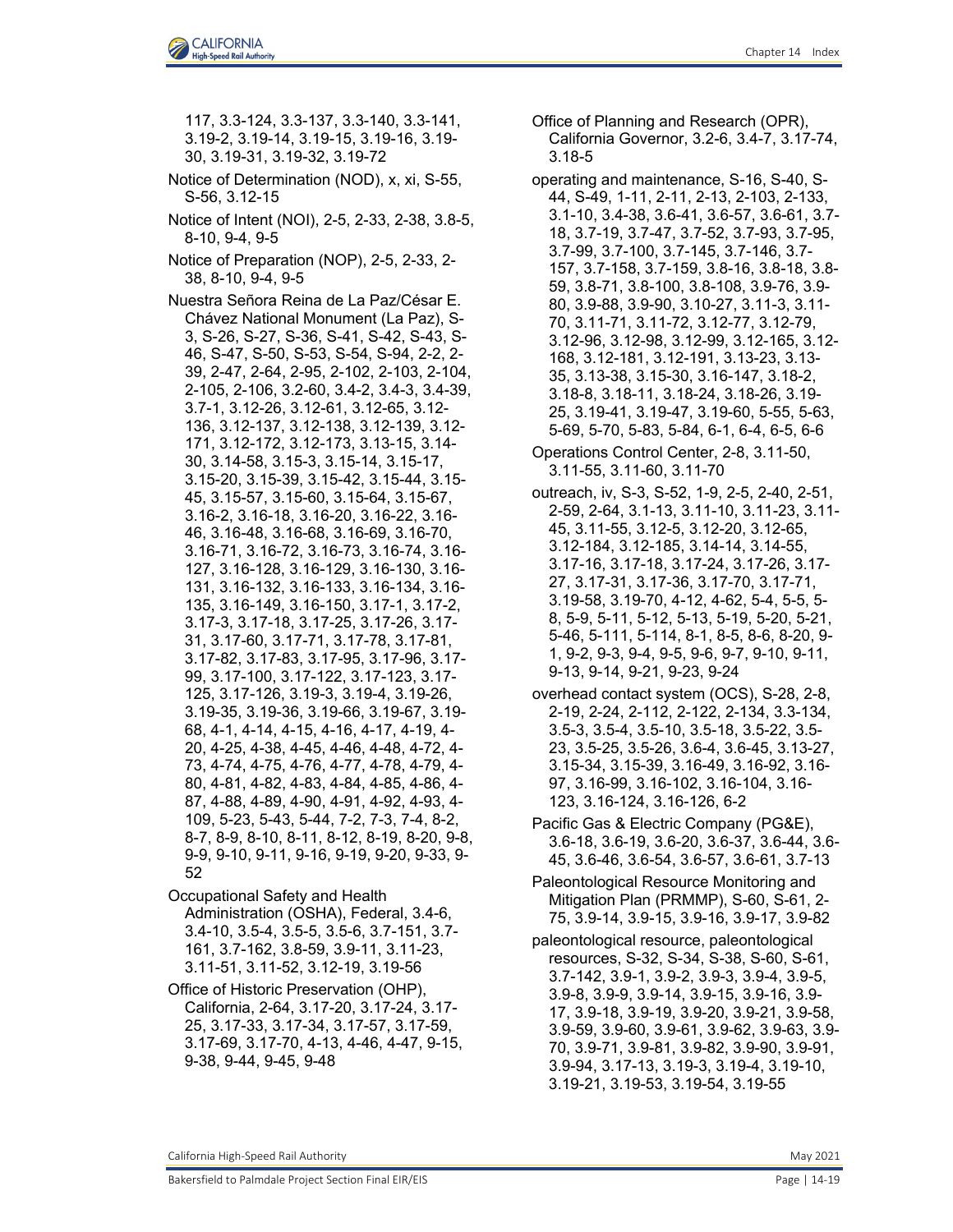117, 3.3-124, 3.3-137, 3.3-140, 3.3-141, 3.19-2, 3.19-14, 3.19-15, 3.19-16, 3.19- 30, 3.19-31, 3.19-32, 3.19-72 Notice of Determination (NOD), x, xi, S-55, S-56, 3.12-15 Notice of Intent (NOI), 2-5, 2-33, 2-38, 3.8-5, 8-10, 9-4, 9-5 Notice of Preparation (NOP), 2-5, 2-33, 2- 38, 8-10, 9-4, 9-5 Nuestra Señora Reina de La Paz/César E. Chávez National Monument (La Paz), S-3, S-26, S-27, S-36, S-41, S-42, S-43, S-46, S-47, S-50, S-53, S-54, S-94, 2-2, 2- 39, 2-47, 2-64, 2-95, 2-102, 2-103, 2-104, 2-105, 2-106, 3.2-60, 3.4-2, 3.4-3, 3.4-39, 3.7-1, 3.12-26, 3.12-61, 3.12-65, 3.12- 136, 3.12-137, 3.12-138, 3.12-139, 3.12- 171, 3.12-172, 3.12-173, 3.13-15, 3.14- 30, 3.14-58, 3.15-3, 3.15-14, 3.15-17, 3.15-20, 3.15-39, 3.15-42, 3.15-44, 3.15- 45, 3.15-57, 3.15-60, 3.15-64, 3.15-67, 3.16-2, 3.16-18, 3.16-20, 3.16-22, 3.16- 46, 3.16-48, 3.16-68, 3.16-69, 3.16-70, 3.16-71, 3.16-72, 3.16-73, 3.16-74, 3.16- 127, 3.16-128, 3.16-129, 3.16-130, 3.16- 131, 3.16-132, 3.16-133, 3.16-134, 3.16- 135, 3.16-149, 3.16-150, 3.17-1, 3.17-2, 3.17-3, 3.17-18, 3.17-25, 3.17-26, 3.17- 31, 3.17-60, 3.17-71, 3.17-78, 3.17-81, 3.17-82, 3.17-83, 3.17-95, 3.17-96, 3.17- 99, 3.17-100, 3.17-122, 3.17-123, 3.17- 125, 3.17-126, 3.19-3, 3.19-4, 3.19-26, 3.19-35, 3.19-36, 3.19-66, 3.19-67, 3.19- 68, 4-1, 4-14, 4-15, 4-16, 4-17, 4-19, 4- 20, 4-25, 4-38, 4-45, 4-46, 4-48, 4-72, 4- 73, 4-74, 4-75, 4-76, 4-77, 4-78, 4-79, 4- 80, 4-81, 4-82, 4-83, 4-84, 4-85, 4-86, 4- 87, 4-88, 4-89, 4-90, 4-91, 4-92, 4-93, 4- 109, 5-23, 5-43, 5-44, 7-2, 7-3, 7-4, 8-2, 8-7, 8-9, 8-10, 8-11, 8-12, 8-19, 8-20, 9-8, 9-9, 9-10, 9-11, 9-16, 9-19, 9-20, 9-33, 9- 52

- Occupational Safety and Health Administration (OSHA), Federal, 3.4-6, 3.4-10, 3.5-4, 3.5-5, 3.5-6, 3.7-151, 3.7- 161, 3.7-162, 3.8-59, 3.9-11, 3.11-23, 3.11-51, 3.11-52, 3.12-19, 3.19-56
- Office of Historic Preservation (OHP), California, 2-64, 3.17-20, 3.17-24, 3.17- 25, 3.17-33, 3.17-34, 3.17-57, 3.17-59, 3.17-69, 3.17-70, 4-13, 4-46, 4-47, 9-15, 9-38, 9-44, 9-45, 9-48
- Office of Planning and Research (OPR), California Governor, 3.2-6, 3.4-7, 3.17-74, 3.18-5
- operating and maintenance, S-16, S-40, S-44, S-49, 1-11, 2-11, 2-13, 2-103, 2-133, 3.1-10, 3.4-38, 3.6-41, 3.6-57, 3.6-61, 3.7- 18, 3.7-19, 3.7-47, 3.7-52, 3.7-93, 3.7-95, 3.7-99, 3.7-100, 3.7-145, 3.7-146, 3.7- 157, 3.7-158, 3.7-159, 3.8-16, 3.8-18, 3.8- 59, 3.8-71, 3.8-100, 3.8-108, 3.9-76, 3.9- 80, 3.9-88, 3.9-90, 3.10-27, 3.11-3, 3.11- 70, 3.11-71, 3.11-72, 3.12-77, 3.12-79, 3.12-96, 3.12-98, 3.12-99, 3.12-165, 3.12- 168, 3.12-181, 3.12-191, 3.13-23, 3.13- 35, 3.13-38, 3.15-30, 3.16-147, 3.18-2, 3.18-8, 3.18-11, 3.18-24, 3.18-26, 3.19- 25, 3.19-41, 3.19-47, 3.19-60, 5-55, 5-63, 5-69, 5-70, 5-83, 5-84, 6-1, 6-4, 6-5, 6-6
- Operations Control Center, 2-8, 3.11-50, 3.11-55, 3.11-60, 3.11-70
- outreach, iv, S-3, S-52, 1-9, 2-5, 2-40, 2-51, 2-59, 2-64, 3.1-13, 3.11-10, 3.11-23, 3.11- 45, 3.11-55, 3.12-5, 3.12-20, 3.12-65, 3.12-184, 3.12-185, 3.14-14, 3.14-55, 3.17-16, 3.17-18, 3.17-24, 3.17-26, 3.17- 27, 3.17-31, 3.17-36, 3.17-70, 3.17-71, 3.19-58, 3.19-70, 4-12, 4-62, 5-4, 5-5, 5- 8, 5-9, 5-11, 5-12, 5-13, 5-19, 5-20, 5-21, 5-46, 5-111, 5-114, 8-1, 8-5, 8-6, 8-20, 9- 1, 9-2, 9-3, 9-4, 9-5, 9-6, 9-7, 9-10, 9-11, 9-13, 9-14, 9-21, 9-23, 9-24
- overhead contact system (OCS), S-28, 2-8, 2-19, 2-24, 2-112, 2-122, 2-134, 3.3-134, 3.5-3, 3.5-4, 3.5-10, 3.5-18, 3.5-22, 3.5- 23, 3.5-25, 3.5-26, 3.6-4, 3.6-45, 3.13-27, 3.15-34, 3.15-39, 3.16-49, 3.16-92, 3.16- 97, 3.16-99, 3.16-102, 3.16-104, 3.16- 123, 3.16-124, 3.16-126, 6-2
- Pacific Gas & Electric Company (PG&E), 3.6-18, 3.6-19, 3.6-20, 3.6-37, 3.6-44, 3.6- 45, 3.6-46, 3.6-54, 3.6-57, 3.6-61, 3.7-13
- Paleontological Resource Monitoring and Mitigation Plan (PRMMP), S-60, S-61, 2- 75, 3.9-14, 3.9-15, 3.9-16, 3.9-17, 3.9-82
- paleontological resource, paleontological resources, S-32, S-34, S-38, S-60, S-61, 3.7-142, 3.9-1, 3.9-2, 3.9-3, 3.9-4, 3.9-5, 3.9-8, 3.9-9, 3.9-14, 3.9-15, 3.9-16, 3.9- 17, 3.9-18, 3.9-19, 3.9-20, 3.9-21, 3.9-58, 3.9-59, 3.9-60, 3.9-61, 3.9-62, 3.9-63, 3.9- 70, 3.9-71, 3.9-81, 3.9-82, 3.9-90, 3.9-91, 3.9-94, 3.17-13, 3.19-3, 3.19-4, 3.19-10, 3.19-21, 3.19-53, 3.19-54, 3.19-55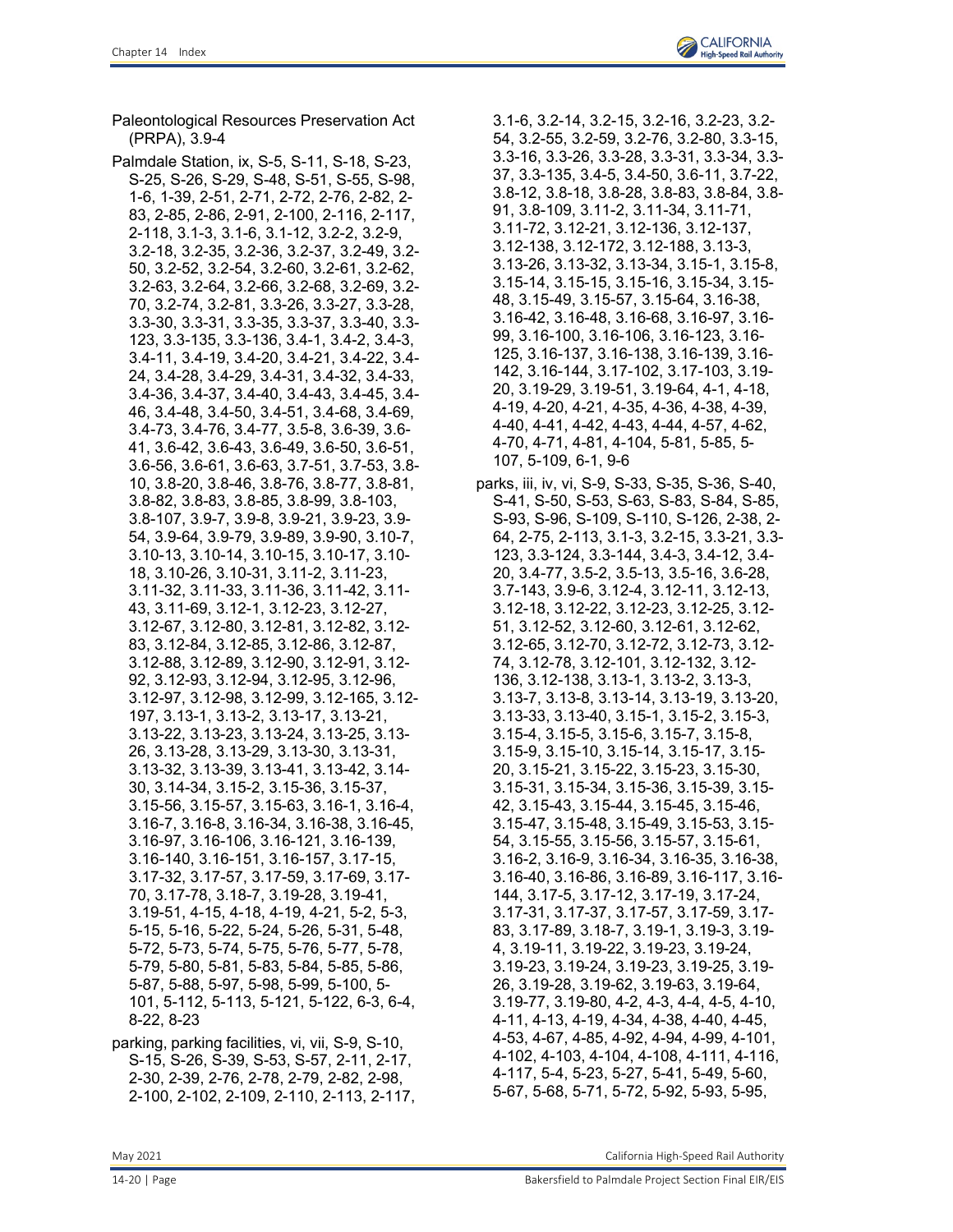Paleontological Resources Preservation Act (PRPA), 3.9-4

- Palmdale Station, ix, S-5, S-11, S-18, S-23, S-25, S-26, S-29, S-48, S-51, S-55, S-98, 1-6, 1-39, 2-51, 2-71, 2-72, 2-76, 2-82, 2- 83, 2-85, 2-86, 2-91, 2-100, 2-116, 2-117, 2-118, 3.1-3, 3.1-6, 3.1-12, 3.2-2, 3.2-9, 3.2-18, 3.2-35, 3.2-36, 3.2-37, 3.2-49, 3.2- 50, 3.2-52, 3.2-54, 3.2-60, 3.2-61, 3.2-62, 3.2-63, 3.2-64, 3.2-66, 3.2-68, 3.2-69, 3.2- 70, 3.2-74, 3.2-81, 3.3-26, 3.3-27, 3.3-28, 3.3-30, 3.3-31, 3.3-35, 3.3-37, 3.3-40, 3.3- 123, 3.3-135, 3.3-136, 3.4-1, 3.4-2, 3.4-3, 3.4-11, 3.4-19, 3.4-20, 3.4-21, 3.4-22, 3.4- 24, 3.4-28, 3.4-29, 3.4-31, 3.4-32, 3.4-33, 3.4-36, 3.4-37, 3.4-40, 3.4-43, 3.4-45, 3.4- 46, 3.4-48, 3.4-50, 3.4-51, 3.4-68, 3.4-69, 3.4-73, 3.4-76, 3.4-77, 3.5-8, 3.6-39, 3.6- 41, 3.6-42, 3.6-43, 3.6-49, 3.6-50, 3.6-51, 3.6-56, 3.6-61, 3.6-63, 3.7-51, 3.7-53, 3.8- 10, 3.8-20, 3.8-46, 3.8-76, 3.8-77, 3.8-81, 3.8-82, 3.8-83, 3.8-85, 3.8-99, 3.8-103, 3.8-107, 3.9-7, 3.9-8, 3.9-21, 3.9-23, 3.9- 54, 3.9-64, 3.9-79, 3.9-89, 3.9-90, 3.10-7, 3.10-13, 3.10-14, 3.10-15, 3.10-17, 3.10- 18, 3.10-26, 3.10-31, 3.11-2, 3.11-23, 3.11-32, 3.11-33, 3.11-36, 3.11-42, 3.11- 43, 3.11-69, 3.12-1, 3.12-23, 3.12-27, 3.12-67, 3.12-80, 3.12-81, 3.12-82, 3.12- 83, 3.12-84, 3.12-85, 3.12-86, 3.12-87, 3.12-88, 3.12-89, 3.12-90, 3.12-91, 3.12- 92, 3.12-93, 3.12-94, 3.12-95, 3.12-96, 3.12-97, 3.12-98, 3.12-99, 3.12-165, 3.12- 197, 3.13-1, 3.13-2, 3.13-17, 3.13-21, 3.13-22, 3.13-23, 3.13-24, 3.13-25, 3.13- 26, 3.13-28, 3.13-29, 3.13-30, 3.13-31, 3.13-32, 3.13-39, 3.13-41, 3.13-42, 3.14- 30, 3.14-34, 3.15-2, 3.15-36, 3.15-37, 3.15-56, 3.15-57, 3.15-63, 3.16-1, 3.16-4, 3.16-7, 3.16-8, 3.16-34, 3.16-38, 3.16-45, 3.16-97, 3.16-106, 3.16-121, 3.16-139, 3.16-140, 3.16-151, 3.16-157, 3.17-15, 3.17-32, 3.17-57, 3.17-59, 3.17-69, 3.17- 70, 3.17-78, 3.18-7, 3.19-28, 3.19-41, 3.19-51, 4-15, 4-18, 4-19, 4-21, 5-2, 5-3, 5-15, 5-16, 5-22, 5-24, 5-26, 5-31, 5-48, 5-72, 5-73, 5-74, 5-75, 5-76, 5-77, 5-78, 5-79, 5-80, 5-81, 5-83, 5-84, 5-85, 5-86, 5-87, 5-88, 5-97, 5-98, 5-99, 5-100, 5- 101, 5-112, 5-113, 5-121, 5-122, 6-3, 6-4, 8-22, 8-23
- parking, parking facilities, vi, vii, S-9, S-10, S-15, S-26, S-39, S-53, S-57, 2-11, 2-17, 2-30, 2-39, 2-76, 2-78, 2-79, 2-82, 2-98, 2-100, 2-102, 2-109, 2-110, 2-113, 2-117,
- 3.1-6, 3.2-14, 3.2-15, 3.2-16, 3.2-23, 3.2- 54, 3.2-55, 3.2-59, 3.2-76, 3.2-80, 3.3-15, 3.3-16, 3.3-26, 3.3-28, 3.3-31, 3.3-34, 3.3- 37, 3.3-135, 3.4-5, 3.4-50, 3.6-11, 3.7-22, 3.8-12, 3.8-18, 3.8-28, 3.8-83, 3.8-84, 3.8- 91, 3.8-109, 3.11-2, 3.11-34, 3.11-71, 3.11-72, 3.12-21, 3.12-136, 3.12-137, 3.12-138, 3.12-172, 3.12-188, 3.13-3, 3.13-26, 3.13-32, 3.13-34, 3.15-1, 3.15-8, 3.15-14, 3.15-15, 3.15-16, 3.15-34, 3.15- 48, 3.15-49, 3.15-57, 3.15-64, 3.16-38, 3.16-42, 3.16-48, 3.16-68, 3.16-97, 3.16- 99, 3.16-100, 3.16-106, 3.16-123, 3.16- 125, 3.16-137, 3.16-138, 3.16-139, 3.16- 142, 3.16-144, 3.17-102, 3.17-103, 3.19- 20, 3.19-29, 3.19-51, 3.19-64, 4-1, 4-18, 4-19, 4-20, 4-21, 4-35, 4-36, 4-38, 4-39, 4-40, 4-41, 4-42, 4-43, 4-44, 4-57, 4-62, 4-70, 4-71, 4-81, 4-104, 5-81, 5-85, 5- 107, 5-109, 6-1, 9-6
- parks, iii, iv, vi, S-9, S-33, S-35, S-36, S-40, S-41, S-50, S-53, S-63, S-83, S-84, S-85, S-93, S-96, S-109, S-110, S-126, 2-38, 2- 64, 2-75, 2-113, 3.1-3, 3.2-15, 3.3-21, 3.3- 123, 3.3-124, 3.3-144, 3.4-3, 3.4-12, 3.4- 20, 3.4-77, 3.5-2, 3.5-13, 3.5-16, 3.6-28, 3.7-143, 3.9-6, 3.12-4, 3.12-11, 3.12-13, 3.12-18, 3.12-22, 3.12-23, 3.12-25, 3.12- 51, 3.12-52, 3.12-60, 3.12-61, 3.12-62, 3.12-65, 3.12-70, 3.12-72, 3.12-73, 3.12- 74, 3.12-78, 3.12-101, 3.12-132, 3.12- 136, 3.12-138, 3.13-1, 3.13-2, 3.13-3, 3.13-7, 3.13-8, 3.13-14, 3.13-19, 3.13-20, 3.13-33, 3.13-40, 3.15-1, 3.15-2, 3.15-3, 3.15-4, 3.15-5, 3.15-6, 3.15-7, 3.15-8, 3.15-9, 3.15-10, 3.15-14, 3.15-17, 3.15- 20, 3.15-21, 3.15-22, 3.15-23, 3.15-30, 3.15-31, 3.15-34, 3.15-36, 3.15-39, 3.15- 42, 3.15-43, 3.15-44, 3.15-45, 3.15-46, 3.15-47, 3.15-48, 3.15-49, 3.15-53, 3.15- 54, 3.15-55, 3.15-56, 3.15-57, 3.15-61, 3.16-2, 3.16-9, 3.16-34, 3.16-35, 3.16-38, 3.16-40, 3.16-86, 3.16-89, 3.16-117, 3.16- 144, 3.17-5, 3.17-12, 3.17-19, 3.17-24, 3.17-31, 3.17-37, 3.17-57, 3.17-59, 3.17- 83, 3.17-89, 3.18-7, 3.19-1, 3.19-3, 3.19- 4, 3.19-11, 3.19-22, 3.19-23, 3.19-24, 3.19-23, 3.19-24, 3.19-23, 3.19-25, 3.19- 26, 3.19-28, 3.19-62, 3.19-63, 3.19-64, 3.19-77, 3.19-80, 4-2, 4-3, 4-4, 4-5, 4-10, 4-11, 4-13, 4-19, 4-34, 4-38, 4-40, 4-45, 4-53, 4-67, 4-85, 4-92, 4-94, 4-99, 4-101, 4-102, 4-103, 4-104, 4-108, 4-111, 4-116, 4-117, 5-4, 5-23, 5-27, 5-41, 5-49, 5-60, 5-67, 5-68, 5-71, 5-72, 5-92, 5-93, 5-95,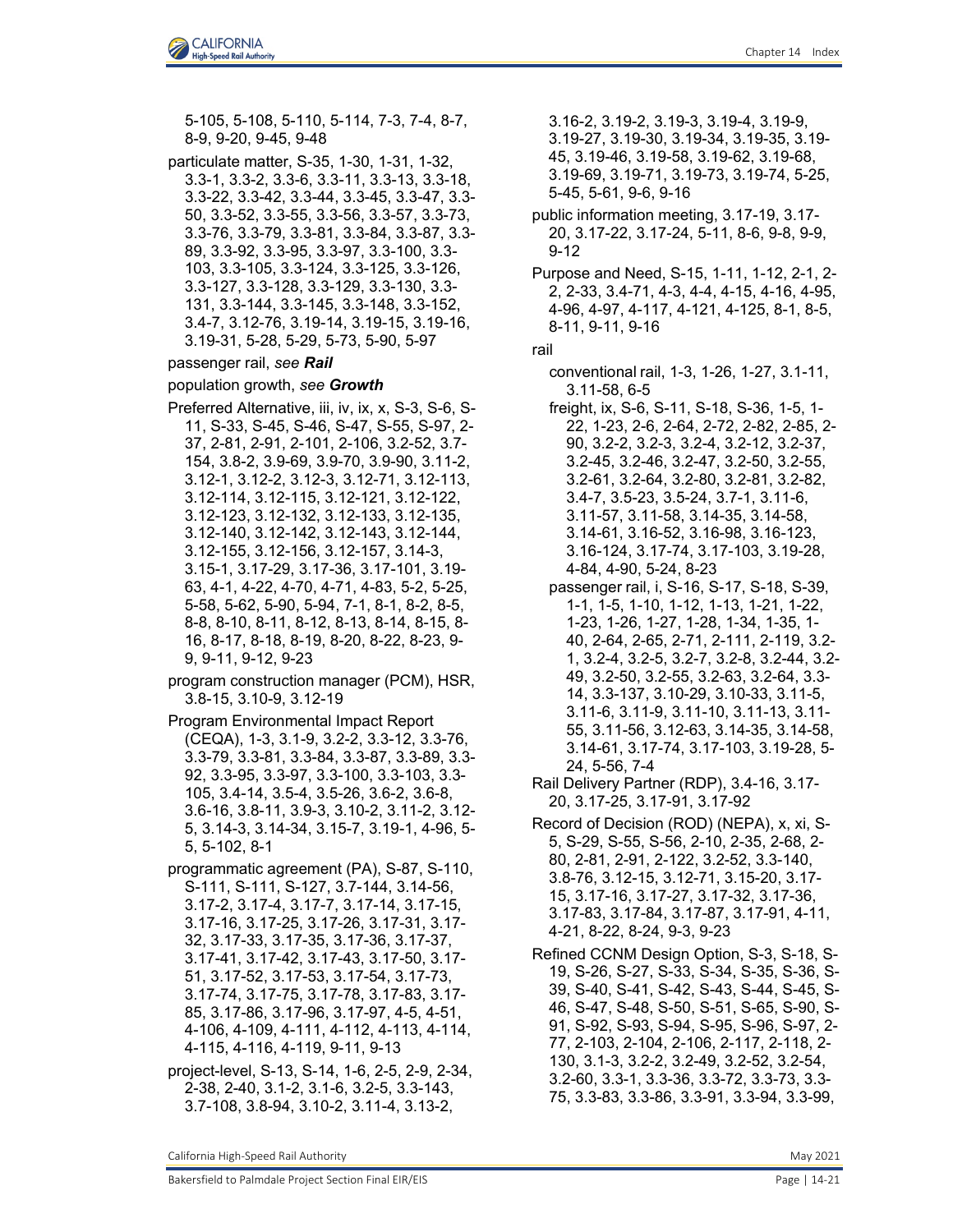5-105, 5-108, 5-110, 5-114, 7-3, 7-4, 8-7, 8-9, 9-20, 9-45, 9-48

particulate matter, S-35, 1-30, 1-31, 1-32, 3.3-1, 3.3-2, 3.3-6, 3.3-11, 3.3-13, 3.3-18, 3.3-22, 3.3-42, 3.3-44, 3.3-45, 3.3-47, 3.3- 50, 3.3-52, 3.3-55, 3.3-56, 3.3-57, 3.3-73, 3.3-76, 3.3-79, 3.3-81, 3.3-84, 3.3-87, 3.3- 89, 3.3-92, 3.3-95, 3.3-97, 3.3-100, 3.3- 103, 3.3-105, 3.3-124, 3.3-125, 3.3-126, 3.3-127, 3.3-128, 3.3-129, 3.3-130, 3.3- 131, 3.3-144, 3.3-145, 3.3-148, 3.3-152, 3.4-7, 3.12-76, 3.19-14, 3.19-15, 3.19-16, 3.19-31, 5-28, 5-29, 5-73, 5-90, 5-97

## passenger rail, *see Rail*

### population growth, *see Growth*

- Preferred Alternative, iii, iv, ix, x, S-3, S-6, S-11, S-33, S-45, S-46, S-47, S-55, S-97, 2- 37, 2-81, 2-91, 2-101, 2-106, 3.2-52, 3.7- 154, 3.8-2, 3.9-69, 3.9-70, 3.9-90, 3.11-2, 3.12-1, 3.12-2, 3.12-3, 3.12-71, 3.12-113, 3.12-114, 3.12-115, 3.12-121, 3.12-122, 3.12-123, 3.12-132, 3.12-133, 3.12-135, 3.12-140, 3.12-142, 3.12-143, 3.12-144, 3.12-155, 3.12-156, 3.12-157, 3.14-3, 3.15-1, 3.17-29, 3.17-36, 3.17-101, 3.19- 63, 4-1, 4-22, 4-70, 4-71, 4-83, 5-2, 5-25, 5-58, 5-62, 5-90, 5-94, 7-1, 8-1, 8-2, 8-5, 8-8, 8-10, 8-11, 8-12, 8-13, 8-14, 8-15, 8- 16, 8-17, 8-18, 8-19, 8-20, 8-22, 8-23, 9- 9, 9-11, 9-12, 9-23
- program construction manager (PCM), HSR, 3.8-15, 3.10-9, 3.12-19
- Program Environmental Impact Report (CEQA), 1-3, 3.1-9, 3.2-2, 3.3-12, 3.3-76, 3.3-79, 3.3-81, 3.3-84, 3.3-87, 3.3-89, 3.3- 92, 3.3-95, 3.3-97, 3.3-100, 3.3-103, 3.3- 105, 3.4-14, 3.5-4, 3.5-26, 3.6-2, 3.6-8, 3.6-16, 3.8-11, 3.9-3, 3.10-2, 3.11-2, 3.12- 5, 3.14-3, 3.14-34, 3.15-7, 3.19-1, 4-96, 5- 5, 5-102, 8-1
- programmatic agreement (PA), S-87, S-110, S-111, S-111, S-127, 3.7-144, 3.14-56, 3.17-2, 3.17-4, 3.17-7, 3.17-14, 3.17-15, 3.17-16, 3.17-25, 3.17-26, 3.17-31, 3.17- 32, 3.17-33, 3.17-35, 3.17-36, 3.17-37, 3.17-41, 3.17-42, 3.17-43, 3.17-50, 3.17- 51, 3.17-52, 3.17-53, 3.17-54, 3.17-73, 3.17-74, 3.17-75, 3.17-78, 3.17-83, 3.17- 85, 3.17-86, 3.17-96, 3.17-97, 4-5, 4-51, 4-106, 4-109, 4-111, 4-112, 4-113, 4-114, 4-115, 4-116, 4-119, 9-11, 9-13
- project-level, S-13, S-14, 1-6, 2-5, 2-9, 2-34, 2-38, 2-40, 3.1-2, 3.1-6, 3.2-5, 3.3-143, 3.7-108, 3.8-94, 3.10-2, 3.11-4, 3.13-2,

3.16-2, 3.19-2, 3.19-3, 3.19-4, 3.19-9, 3.19-27, 3.19-30, 3.19-34, 3.19-35, 3.19- 45, 3.19-46, 3.19-58, 3.19-62, 3.19-68, 3.19-69, 3.19-71, 3.19-73, 3.19-74, 5-25, 5-45, 5-61, 9-6, 9-16

public information meeting, 3.17-19, 3.17- 20, 3.17-22, 3.17-24, 5-11, 8-6, 9-8, 9-9, 9-12

Purpose and Need, S-15, 1-11, 1-12, 2-1, 2- 2, 2-33, 3.4-71, 4-3, 4-4, 4-15, 4-16, 4-95, 4-96, 4-97, 4-117, 4-121, 4-125, 8-1, 8-5, 8-11, 9-11, 9-16

rail

- conventional rail, 1-3, 1-26, 1-27, 3.1-11, 3.11-58, 6-5
- freight, ix, S-6, S-11, S-18, S-36, 1-5, 1- 22, 1-23, 2-6, 2-64, 2-72, 2-82, 2-85, 2- 90, 3.2-2, 3.2-3, 3.2-4, 3.2-12, 3.2-37, 3.2-45, 3.2-46, 3.2-47, 3.2-50, 3.2-55, 3.2-61, 3.2-64, 3.2-80, 3.2-81, 3.2-82, 3.4-7, 3.5-23, 3.5-24, 3.7-1, 3.11-6, 3.11-57, 3.11-58, 3.14-35, 3.14-58, 3.14-61, 3.16-52, 3.16-98, 3.16-123, 3.16-124, 3.17-74, 3.17-103, 3.19-28, 4-84, 4-90, 5-24, 8-23
- passenger rail, i, S-16, S-17, S-18, S-39, 1-1, 1-5, 1-10, 1-12, 1-13, 1-21, 1-22, 1-23, 1-26, 1-27, 1-28, 1-34, 1-35, 1- 40, 2-64, 2-65, 2-71, 2-111, 2-119, 3.2- 1, 3.2-4, 3.2-5, 3.2-7, 3.2-8, 3.2-44, 3.2- 49, 3.2-50, 3.2-55, 3.2-63, 3.2-64, 3.3- 14, 3.3-137, 3.10-29, 3.10-33, 3.11-5, 3.11-6, 3.11-9, 3.11-10, 3.11-13, 3.11- 55, 3.11-56, 3.12-63, 3.14-35, 3.14-58, 3.14-61, 3.17-74, 3.17-103, 3.19-28, 5- 24, 5-56, 7-4
- Rail Delivery Partner (RDP), 3.4-16, 3.17- 20, 3.17-25, 3.17-91, 3.17-92
- Record of Decision (ROD) (NEPA), x, xi, S-5, S-29, S-55, S-56, 2-10, 2-35, 2-68, 2- 80, 2-81, 2-91, 2-122, 3.2-52, 3.3-140, 3.8-76, 3.12-15, 3.12-71, 3.15-20, 3.17- 15, 3.17-16, 3.17-27, 3.17-32, 3.17-36, 3.17-83, 3.17-84, 3.17-87, 3.17-91, 4-11, 4-21, 8-22, 8-24, 9-3, 9-23

Refined CCNM Design Option, S-3, S-18, S-19, S-26, S-27, S-33, S-34, S-35, S-36, S-39, S-40, S-41, S-42, S-43, S-44, S-45, S-46, S-47, S-48, S-50, S-51, S-65, S-90, S-91, S-92, S-93, S-94, S-95, S-96, S-97, 2- 77, 2-103, 2-104, 2-106, 2-117, 2-118, 2- 130, 3.1-3, 3.2-2, 3.2-49, 3.2-52, 3.2-54, 3.2-60, 3.3-1, 3.3-36, 3.3-72, 3.3-73, 3.3- 75, 3.3-83, 3.3-86, 3.3-91, 3.3-94, 3.3-99,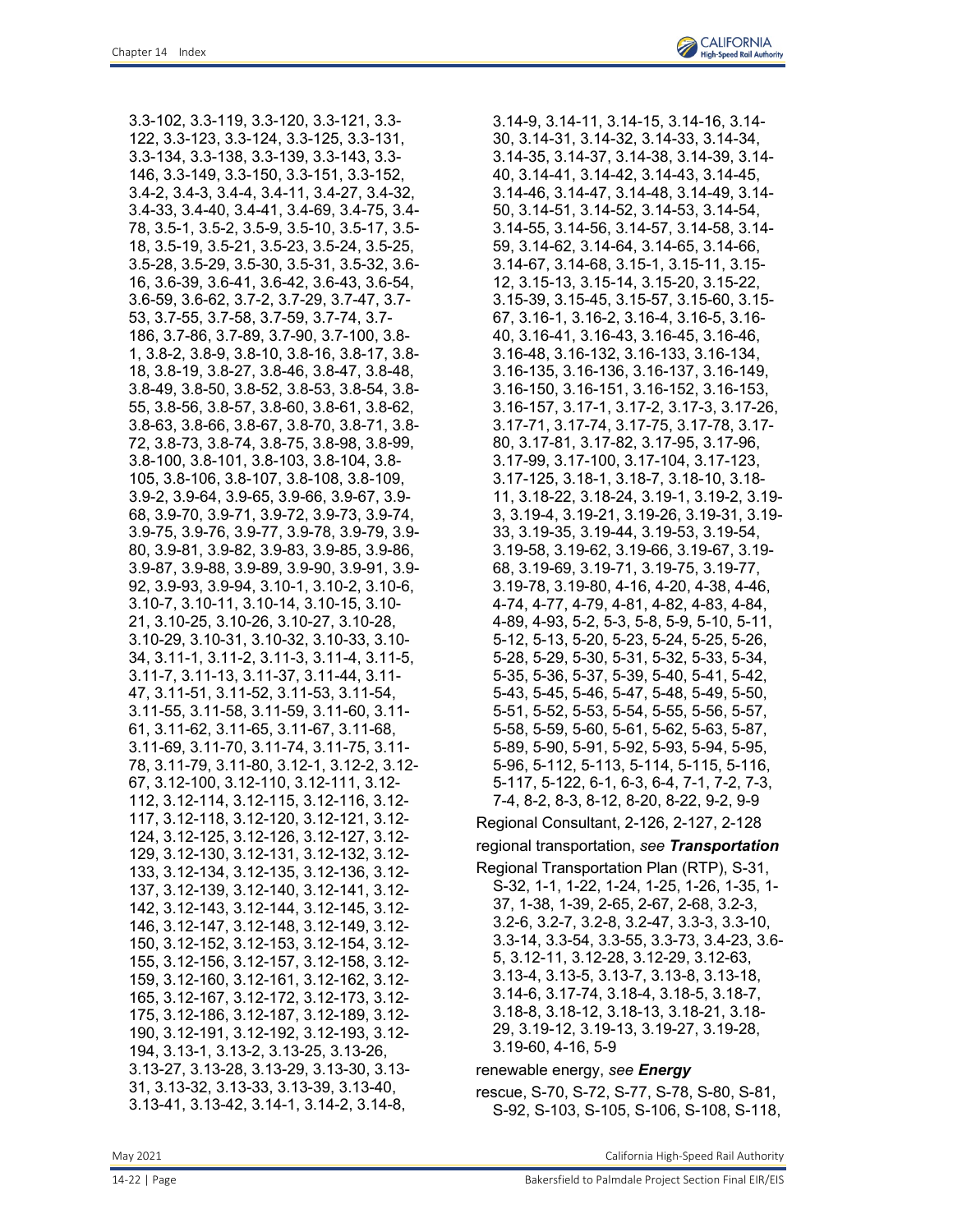3.3-102, 3.3-119, 3.3-120, 3.3-121, 3.3- 122, 3.3-123, 3.3-124, 3.3-125, 3.3-131, 3.3-134, 3.3-138, 3.3-139, 3.3-143, 3.3- 146, 3.3-149, 3.3-150, 3.3-151, 3.3-152, 3.4-2, 3.4-3, 3.4-4, 3.4-11, 3.4-27, 3.4-32, 3.4-33, 3.4-40, 3.4-41, 3.4-69, 3.4-75, 3.4- 78, 3.5-1, 3.5-2, 3.5-9, 3.5-10, 3.5-17, 3.5- 18, 3.5-19, 3.5-21, 3.5-23, 3.5-24, 3.5-25, 3.5-28, 3.5-29, 3.5-30, 3.5-31, 3.5-32, 3.6- 16, 3.6-39, 3.6-41, 3.6-42, 3.6-43, 3.6-54, 3.6-59, 3.6-62, 3.7-2, 3.7-29, 3.7-47, 3.7- 53, 3.7-55, 3.7-58, 3.7-59, 3.7-74, 3.7- 186, 3.7-86, 3.7-89, 3.7-90, 3.7-100, 3.8- 1, 3.8-2, 3.8-9, 3.8-10, 3.8-16, 3.8-17, 3.8- 18, 3.8-19, 3.8-27, 3.8-46, 3.8-47, 3.8-48, 3.8-49, 3.8-50, 3.8-52, 3.8-53, 3.8-54, 3.8- 55, 3.8-56, 3.8-57, 3.8-60, 3.8-61, 3.8-62, 3.8-63, 3.8-66, 3.8-67, 3.8-70, 3.8-71, 3.8- 72, 3.8-73, 3.8-74, 3.8-75, 3.8-98, 3.8-99, 3.8-100, 3.8-101, 3.8-103, 3.8-104, 3.8- 105, 3.8-106, 3.8-107, 3.8-108, 3.8-109, 3.9-2, 3.9-64, 3.9-65, 3.9-66, 3.9-67, 3.9- 68, 3.9-70, 3.9-71, 3.9-72, 3.9-73, 3.9-74, 3.9-75, 3.9-76, 3.9-77, 3.9-78, 3.9-79, 3.9- 80, 3.9-81, 3.9-82, 3.9-83, 3.9-85, 3.9-86, 3.9-87, 3.9-88, 3.9-89, 3.9-90, 3.9-91, 3.9- 92, 3.9-93, 3.9-94, 3.10-1, 3.10-2, 3.10-6, 3.10-7, 3.10-11, 3.10-14, 3.10-15, 3.10- 21, 3.10-25, 3.10-26, 3.10-27, 3.10-28, 3.10-29, 3.10-31, 3.10-32, 3.10-33, 3.10- 34, 3.11-1, 3.11-2, 3.11-3, 3.11-4, 3.11-5, 3.11-7, 3.11-13, 3.11-37, 3.11-44, 3.11- 47, 3.11-51, 3.11-52, 3.11-53, 3.11-54, 3.11-55, 3.11-58, 3.11-59, 3.11-60, 3.11- 61, 3.11-62, 3.11-65, 3.11-67, 3.11-68, 3.11-69, 3.11-70, 3.11-74, 3.11-75, 3.11- 78, 3.11-79, 3.11-80, 3.12-1, 3.12-2, 3.12- 67, 3.12-100, 3.12-110, 3.12-111, 3.12- 112, 3.12-114, 3.12-115, 3.12-116, 3.12- 117, 3.12-118, 3.12-120, 3.12-121, 3.12- 124, 3.12-125, 3.12-126, 3.12-127, 3.12- 129, 3.12-130, 3.12-131, 3.12-132, 3.12- 133, 3.12-134, 3.12-135, 3.12-136, 3.12- 137, 3.12-139, 3.12-140, 3.12-141, 3.12- 142, 3.12-143, 3.12-144, 3.12-145, 3.12- 146, 3.12-147, 3.12-148, 3.12-149, 3.12- 150, 3.12-152, 3.12-153, 3.12-154, 3.12- 155, 3.12-156, 3.12-157, 3.12-158, 3.12- 159, 3.12-160, 3.12-161, 3.12-162, 3.12- 165, 3.12-167, 3.12-172, 3.12-173, 3.12- 175, 3.12-186, 3.12-187, 3.12-189, 3.12- 190, 3.12-191, 3.12-192, 3.12-193, 3.12- 194, 3.13-1, 3.13-2, 3.13-25, 3.13-26, 3.13-27, 3.13-28, 3.13-29, 3.13-30, 3.13- 31, 3.13-32, 3.13-33, 3.13-39, 3.13-40, 3.13-41, 3.13-42, 3.14-1, 3.14-2, 3.14-8,

3.14-9, 3.14-11, 3.14-15, 3.14-16, 3.14- 30, 3.14-31, 3.14-32, 3.14-33, 3.14-34, 3.14-35, 3.14-37, 3.14-38, 3.14-39, 3.14- 40, 3.14-41, 3.14-42, 3.14-43, 3.14-45, 3.14-46, 3.14-47, 3.14-48, 3.14-49, 3.14- 50, 3.14-51, 3.14-52, 3.14-53, 3.14-54, 3.14-55, 3.14-56, 3.14-57, 3.14-58, 3.14- 59, 3.14-62, 3.14-64, 3.14-65, 3.14-66, 3.14-67, 3.14-68, 3.15-1, 3.15-11, 3.15- 12, 3.15-13, 3.15-14, 3.15-20, 3.15-22, 3.15-39, 3.15-45, 3.15-57, 3.15-60, 3.15- 67, 3.16-1, 3.16-2, 3.16-4, 3.16-5, 3.16- 40, 3.16-41, 3.16-43, 3.16-45, 3.16-46, 3.16-48, 3.16-132, 3.16-133, 3.16-134, 3.16-135, 3.16-136, 3.16-137, 3.16-149, 3.16-150, 3.16-151, 3.16-152, 3.16-153, 3.16-157, 3.17-1, 3.17-2, 3.17-3, 3.17-26, 3.17-71, 3.17-74, 3.17-75, 3.17-78, 3.17- 80, 3.17-81, 3.17-82, 3.17-95, 3.17-96, 3.17-99, 3.17-100, 3.17-104, 3.17-123, 3.17-125, 3.18-1, 3.18-7, 3.18-10, 3.18- 11, 3.18-22, 3.18-24, 3.19-1, 3.19-2, 3.19- 3, 3.19-4, 3.19-21, 3.19-26, 3.19-31, 3.19- 33, 3.19-35, 3.19-44, 3.19-53, 3.19-54, 3.19-58, 3.19-62, 3.19-66, 3.19-67, 3.19- 68, 3.19-69, 3.19-71, 3.19-75, 3.19-77, 3.19-78, 3.19-80, 4-16, 4-20, 4-38, 4-46, 4-74, 4-77, 4-79, 4-81, 4-82, 4-83, 4-84, 4-89, 4-93, 5-2, 5-3, 5-8, 5-9, 5-10, 5-11, 5-12, 5-13, 5-20, 5-23, 5-24, 5-25, 5-26, 5-28, 5-29, 5-30, 5-31, 5-32, 5-33, 5-34, 5-35, 5-36, 5-37, 5-39, 5-40, 5-41, 5-42, 5-43, 5-45, 5-46, 5-47, 5-48, 5-49, 5-50, 5-51, 5-52, 5-53, 5-54, 5-55, 5-56, 5-57, 5-58, 5-59, 5-60, 5-61, 5-62, 5-63, 5-87, 5-89, 5-90, 5-91, 5-92, 5-93, 5-94, 5-95, 5-96, 5-112, 5-113, 5-114, 5-115, 5-116, 5-117, 5-122, 6-1, 6-3, 6-4, 7-1, 7-2, 7-3, 7-4, 8-2, 8-3, 8-12, 8-20, 8-22, 9-2, 9-9

Regional Consultant, 2-126, 2-127, 2-128

### regional transportation, *see Transportation*

Regional Transportation Plan (RTP), S-31, S-32, 1-1, 1-22, 1-24, 1-25, 1-26, 1-35, 1- 37, 1-38, 1-39, 2-65, 2-67, 2-68, 3.2-3, 3.2-6, 3.2-7, 3.2-8, 3.2-47, 3.3-3, 3.3-10, 3.3-14, 3.3-54, 3.3-55, 3.3-73, 3.4-23, 3.6- 5, 3.12-11, 3.12-28, 3.12-29, 3.12-63, 3.13-4, 3.13-5, 3.13-7, 3.13-8, 3.13-18, 3.14-6, 3.17-74, 3.18-4, 3.18-5, 3.18-7, 3.18-8, 3.18-12, 3.18-13, 3.18-21, 3.18- 29, 3.19-12, 3.19-13, 3.19-27, 3.19-28, 3.19-60, 4-16, 5-9

renewable energy, *see Energy*

rescue, S-70, S-72, S-77, S-78, S-80, S-81, S-92, S-103, S-105, S-106, S-108, S-118,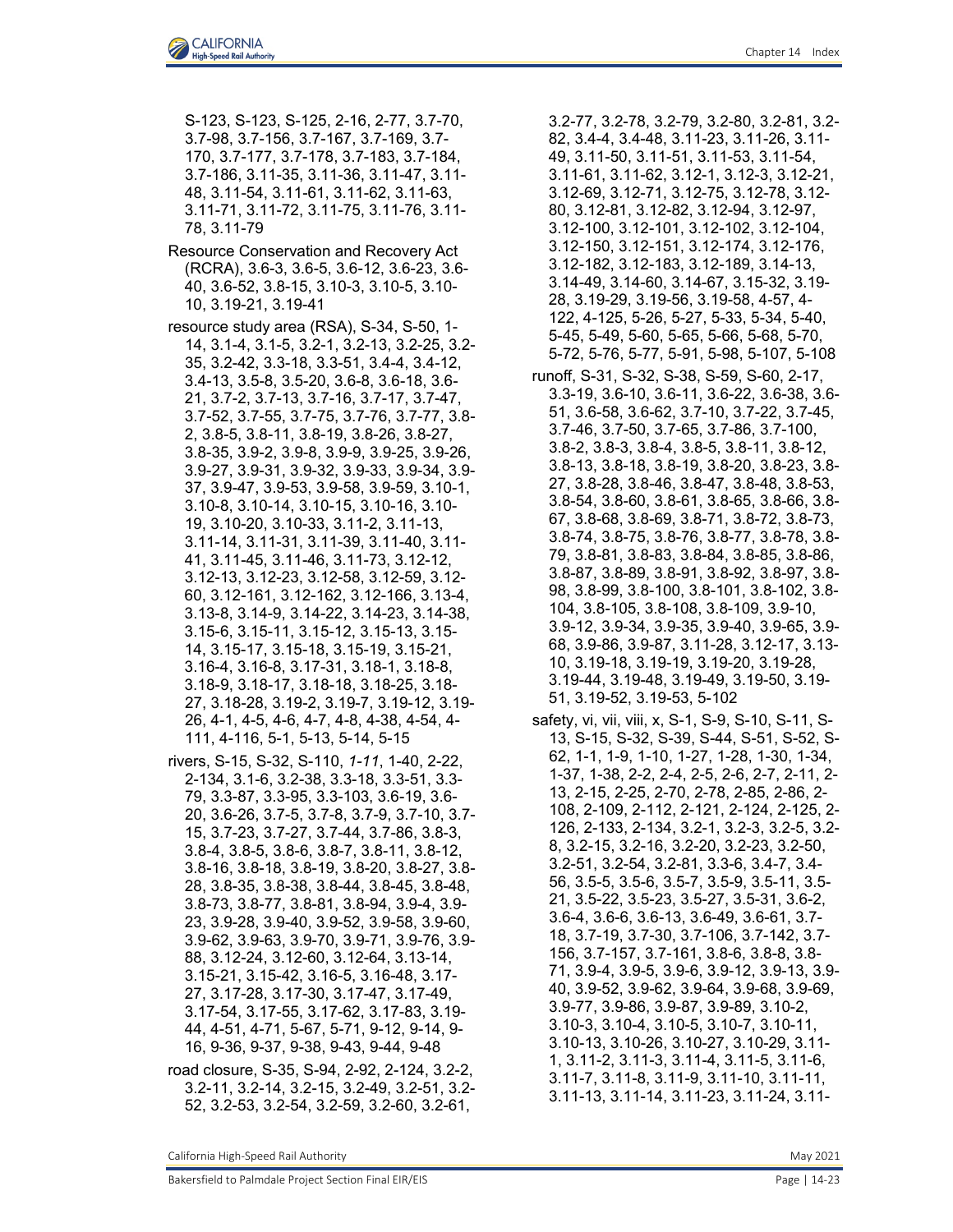S-123, S-123, S-125, 2-16, 2-77, 3.7-70, 3.7-98, 3.7-156, 3.7-167, 3.7-169, 3.7- 170, 3.7-177, 3.7-178, 3.7-183, 3.7-184, 3.7-186, 3.11-35, 3.11-36, 3.11-47, 3.11- 48, 3.11-54, 3.11-61, 3.11-62, 3.11-63, 3.11-71, 3.11-72, 3.11-75, 3.11-76, 3.11- 78, 3.11-79

- Resource Conservation and Recovery Act (RCRA), 3.6-3, 3.6-5, 3.6-12, 3.6-23, 3.6- 40, 3.6-52, 3.8-15, 3.10-3, 3.10-5, 3.10- 10, 3.19-21, 3.19-41
- resource study area (RSA), S-34, S-50, 1- 14, 3.1-4, 3.1-5, 3.2-1, 3.2-13, 3.2-25, 3.2- 35, 3.2-42, 3.3-18, 3.3-51, 3.4-4, 3.4-12, 3.4-13, 3.5-8, 3.5-20, 3.6-8, 3.6-18, 3.6- 21, 3.7-2, 3.7-13, 3.7-16, 3.7-17, 3.7-47, 3.7-52, 3.7-55, 3.7-75, 3.7-76, 3.7-77, 3.8- 2, 3.8-5, 3.8-11, 3.8-19, 3.8-26, 3.8-27, 3.8-35, 3.9-2, 3.9-8, 3.9-9, 3.9-25, 3.9-26, 3.9-27, 3.9-31, 3.9-32, 3.9-33, 3.9-34, 3.9- 37, 3.9-47, 3.9-53, 3.9-58, 3.9-59, 3.10-1, 3.10-8, 3.10-14, 3.10-15, 3.10-16, 3.10- 19, 3.10-20, 3.10-33, 3.11-2, 3.11-13, 3.11-14, 3.11-31, 3.11-39, 3.11-40, 3.11- 41, 3.11-45, 3.11-46, 3.11-73, 3.12-12, 3.12-13, 3.12-23, 3.12-58, 3.12-59, 3.12- 60, 3.12-161, 3.12-162, 3.12-166, 3.13-4, 3.13-8, 3.14-9, 3.14-22, 3.14-23, 3.14-38, 3.15-6, 3.15-11, 3.15-12, 3.15-13, 3.15- 14, 3.15-17, 3.15-18, 3.15-19, 3.15-21, 3.16-4, 3.16-8, 3.17-31, 3.18-1, 3.18-8, 3.18-9, 3.18-17, 3.18-18, 3.18-25, 3.18- 27, 3.18-28, 3.19-2, 3.19-7, 3.19-12, 3.19- 26, 4-1, 4-5, 4-6, 4-7, 4-8, 4-38, 4-54, 4- 111, 4-116, 5-1, 5-13, 5-14, 5-15
- rivers, S-15, S-32, S-110, *1-11*, 1-40, 2-22, 2-134, 3.1-6, 3.2-38, 3.3-18, 3.3-51, 3.3- 79, 3.3-87, 3.3-95, 3.3-103, 3.6-19, 3.6- 20, 3.6-26, 3.7-5, 3.7-8, 3.7-9, 3.7-10, 3.7- 15, 3.7-23, 3.7-27, 3.7-44, 3.7-86, 3.8-3, 3.8-4, 3.8-5, 3.8-6, 3.8-7, 3.8-11, 3.8-12, 3.8-16, 3.8-18, 3.8-19, 3.8-20, 3.8-27, 3.8- 28, 3.8-35, 3.8-38, 3.8-44, 3.8-45, 3.8-48, 3.8-73, 3.8-77, 3.8-81, 3.8-94, 3.9-4, 3.9- 23, 3.9-28, 3.9-40, 3.9-52, 3.9-58, 3.9-60, 3.9-62, 3.9-63, 3.9-70, 3.9-71, 3.9-76, 3.9- 88, 3.12-24, 3.12-60, 3.12-64, 3.13-14, 3.15-21, 3.15-42, 3.16-5, 3.16-48, 3.17- 27, 3.17-28, 3.17-30, 3.17-47, 3.17-49, 3.17-54, 3.17-55, 3.17-62, 3.17-83, 3.19- 44, 4-51, 4-71, 5-67, 5-71, 9-12, 9-14, 9- 16, 9-36, 9-37, 9-38, 9-43, 9-44, 9-48
- road closure, S-35, S-94, 2-92, 2-124, 3.2-2, 3.2-11, 3.2-14, 3.2-15, 3.2-49, 3.2-51, 3.2- 52, 3.2-53, 3.2-54, 3.2-59, 3.2-60, 3.2-61,

3.2-77, 3.2-78, 3.2-79, 3.2-80, 3.2-81, 3.2- 82, 3.4-4, 3.4-48, 3.11-23, 3.11-26, 3.11- 49, 3.11-50, 3.11-51, 3.11-53, 3.11-54, 3.11-61, 3.11-62, 3.12-1, 3.12-3, 3.12-21, 3.12-69, 3.12-71, 3.12-75, 3.12-78, 3.12- 80, 3.12-81, 3.12-82, 3.12-94, 3.12-97, 3.12-100, 3.12-101, 3.12-102, 3.12-104, 3.12-150, 3.12-151, 3.12-174, 3.12-176, 3.12-182, 3.12-183, 3.12-189, 3.14-13, 3.14-49, 3.14-60, 3.14-67, 3.15-32, 3.19- 28, 3.19-29, 3.19-56, 3.19-58, 4-57, 4- 122, 4-125, 5-26, 5-27, 5-33, 5-34, 5-40, 5-45, 5-49, 5-60, 5-65, 5-66, 5-68, 5-70, 5-72, 5-76, 5-77, 5-91, 5-98, 5-107, 5-108

- runoff, S-31, S-32, S-38, S-59, S-60, 2-17, 3.3-19, 3.6-10, 3.6-11, 3.6-22, 3.6-38, 3.6- 51, 3.6-58, 3.6-62, 3.7-10, 3.7-22, 3.7-45, 3.7-46, 3.7-50, 3.7-65, 3.7-86, 3.7-100, 3.8-2, 3.8-3, 3.8-4, 3.8-5, 3.8-11, 3.8-12, 3.8-13, 3.8-18, 3.8-19, 3.8-20, 3.8-23, 3.8- 27, 3.8-28, 3.8-46, 3.8-47, 3.8-48, 3.8-53, 3.8-54, 3.8-60, 3.8-61, 3.8-65, 3.8-66, 3.8- 67, 3.8-68, 3.8-69, 3.8-71, 3.8-72, 3.8-73, 3.8-74, 3.8-75, 3.8-76, 3.8-77, 3.8-78, 3.8- 79, 3.8-81, 3.8-83, 3.8-84, 3.8-85, 3.8-86, 3.8-87, 3.8-89, 3.8-91, 3.8-92, 3.8-97, 3.8- 98, 3.8-99, 3.8-100, 3.8-101, 3.8-102, 3.8- 104, 3.8-105, 3.8-108, 3.8-109, 3.9-10, 3.9-12, 3.9-34, 3.9-35, 3.9-40, 3.9-65, 3.9- 68, 3.9-86, 3.9-87, 3.11-28, 3.12-17, 3.13- 10, 3.19-18, 3.19-19, 3.19-20, 3.19-28, 3.19-44, 3.19-48, 3.19-49, 3.19-50, 3.19- 51, 3.19-52, 3.19-53, 5-102
- safety, vi, vii, viii, x, S-1, S-9, S-10, S-11, S-13, S-15, S-32, S-39, S-44, S-51, S-52, S-62, 1-1, 1-9, 1-10, 1-27, 1-28, 1-30, 1-34, 1-37, 1-38, 2-2, 2-4, 2-5, 2-6, 2-7, 2-11, 2- 13, 2-15, 2-25, 2-70, 2-78, 2-85, 2-86, 2- 108, 2-109, 2-112, 2-121, 2-124, 2-125, 2- 126, 2-133, 2-134, 3.2-1, 3.2-3, 3.2-5, 3.2- 8, 3.2-15, 3.2-16, 3.2-20, 3.2-23, 3.2-50, 3.2-51, 3.2-54, 3.2-81, 3.3-6, 3.4-7, 3.4- 56, 3.5-5, 3.5-6, 3.5-7, 3.5-9, 3.5-11, 3.5- 21, 3.5-22, 3.5-23, 3.5-27, 3.5-31, 3.6-2, 3.6-4, 3.6-6, 3.6-13, 3.6-49, 3.6-61, 3.7- 18, 3.7-19, 3.7-30, 3.7-106, 3.7-142, 3.7- 156, 3.7-157, 3.7-161, 3.8-6, 3.8-8, 3.8- 71, 3.9-4, 3.9-5, 3.9-6, 3.9-12, 3.9-13, 3.9- 40, 3.9-52, 3.9-62, 3.9-64, 3.9-68, 3.9-69, 3.9-77, 3.9-86, 3.9-87, 3.9-89, 3.10-2, 3.10-3, 3.10-4, 3.10-5, 3.10-7, 3.10-11, 3.10-13, 3.10-26, 3.10-27, 3.10-29, 3.11- 1, 3.11-2, 3.11-3, 3.11-4, 3.11-5, 3.11-6, 3.11-7, 3.11-8, 3.11-9, 3.11-10, 3.11-11, 3.11-13, 3.11-14, 3.11-23, 3.11-24, 3.11-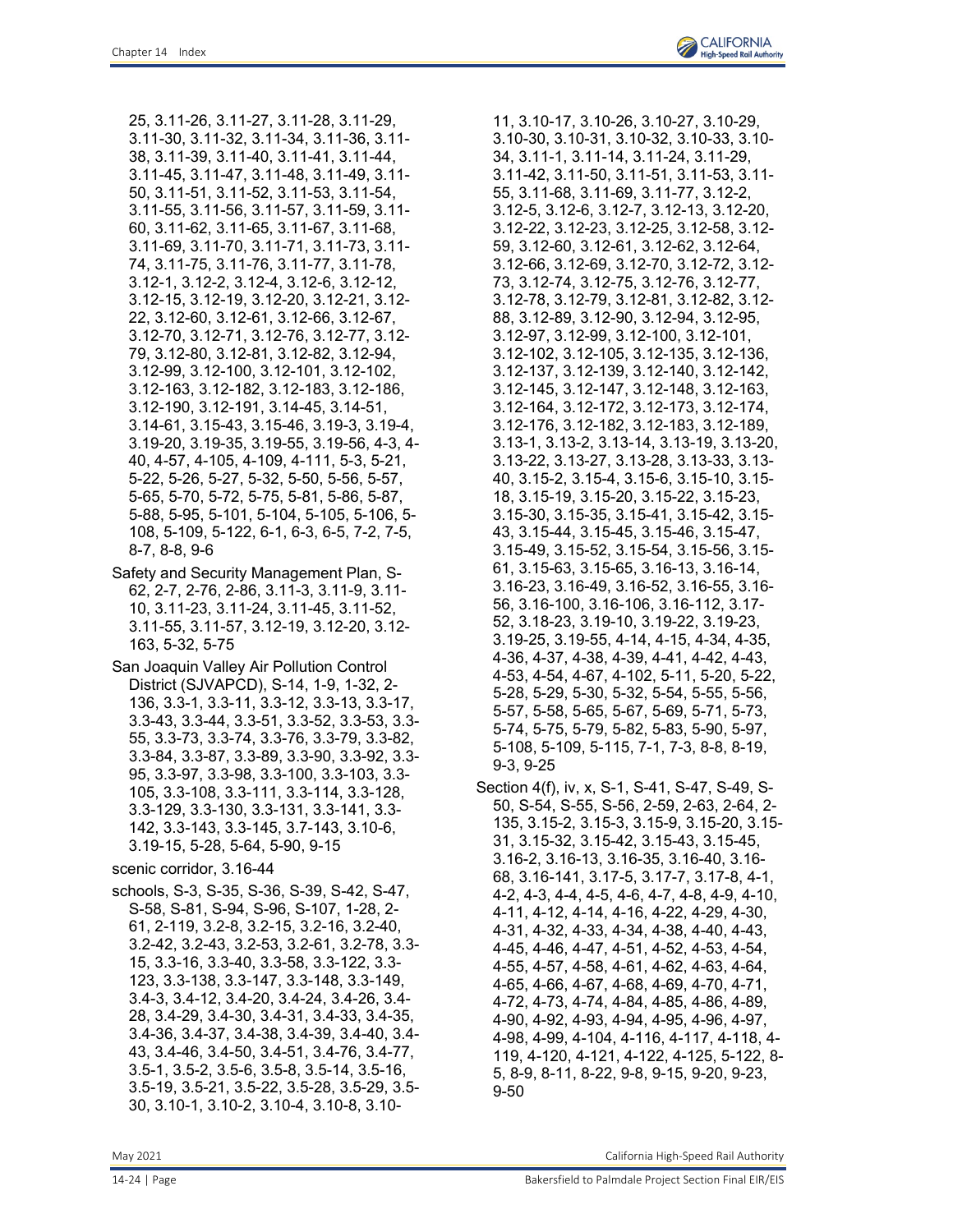25, 3.11-26, 3.11-27, 3.11-28, 3.11-29, 3.11-30, 3.11-32, 3.11-34, 3.11-36, 3.11- 38, 3.11-39, 3.11-40, 3.11-41, 3.11-44, 3.11-45, 3.11-47, 3.11-48, 3.11-49, 3.11- 50, 3.11-51, 3.11-52, 3.11-53, 3.11-54, 3.11-55, 3.11-56, 3.11-57, 3.11-59, 3.11- 60, 3.11-62, 3.11-65, 3.11-67, 3.11-68, 3.11-69, 3.11-70, 3.11-71, 3.11-73, 3.11- 74, 3.11-75, 3.11-76, 3.11-77, 3.11-78, 3.12-1, 3.12-2, 3.12-4, 3.12-6, 3.12-12, 3.12-15, 3.12-19, 3.12-20, 3.12-21, 3.12- 22, 3.12-60, 3.12-61, 3.12-66, 3.12-67, 3.12-70, 3.12-71, 3.12-76, 3.12-77, 3.12- 79, 3.12-80, 3.12-81, 3.12-82, 3.12-94, 3.12-99, 3.12-100, 3.12-101, 3.12-102, 3.12-163, 3.12-182, 3.12-183, 3.12-186, 3.12-190, 3.12-191, 3.14-45, 3.14-51, 3.14-61, 3.15-43, 3.15-46, 3.19-3, 3.19-4, 3.19-20, 3.19-35, 3.19-55, 3.19-56, 4-3, 4- 40, 4-57, 4-105, 4-109, 4-111, 5-3, 5-21, 5-22, 5-26, 5-27, 5-32, 5-50, 5-56, 5-57, 5-65, 5-70, 5-72, 5-75, 5-81, 5-86, 5-87, 5-88, 5-95, 5-101, 5-104, 5-105, 5-106, 5- 108, 5-109, 5-122, 6-1, 6-3, 6-5, 7-2, 7-5, 8-7, 8-8, 9-6

Safety and Security Management Plan, S-62, 2-7, 2-76, 2-86, 3.11-3, 3.11-9, 3.11- 10, 3.11-23, 3.11-24, 3.11-45, 3.11-52, 3.11-55, 3.11-57, 3.12-19, 3.12-20, 3.12- 163, 5-32, 5-75

San Joaquin Valley Air Pollution Control District (SJVAPCD), S-14, 1-9, 1-32, 2- 136, 3.3-1, 3.3-11, 3.3-12, 3.3-13, 3.3-17, 3.3-43, 3.3-44, 3.3-51, 3.3-52, 3.3-53, 3.3- 55, 3.3-73, 3.3-74, 3.3-76, 3.3-79, 3.3-82, 3.3-84, 3.3-87, 3.3-89, 3.3-90, 3.3-92, 3.3- 95, 3.3-97, 3.3-98, 3.3-100, 3.3-103, 3.3- 105, 3.3-108, 3.3-111, 3.3-114, 3.3-128, 3.3-129, 3.3-130, 3.3-131, 3.3-141, 3.3- 142, 3.3-143, 3.3-145, 3.7-143, 3.10-6, 3.19-15, 5-28, 5-64, 5-90, 9-15

scenic corridor, 3.16-44

schools, S-3, S-35, S-36, S-39, S-42, S-47, S-58, S-81, S-94, S-96, S-107, 1-28, 2- 61, 2-119, 3.2-8, 3.2-15, 3.2-16, 3.2-40, 3.2-42, 3.2-43, 3.2-53, 3.2-61, 3.2-78, 3.3- 15, 3.3-16, 3.3-40, 3.3-58, 3.3-122, 3.3- 123, 3.3-138, 3.3-147, 3.3-148, 3.3-149, 3.4-3, 3.4-12, 3.4-20, 3.4-24, 3.4-26, 3.4- 28, 3.4-29, 3.4-30, 3.4-31, 3.4-33, 3.4-35, 3.4-36, 3.4-37, 3.4-38, 3.4-39, 3.4-40, 3.4- 43, 3.4-46, 3.4-50, 3.4-51, 3.4-76, 3.4-77, 3.5-1, 3.5-2, 3.5-6, 3.5-8, 3.5-14, 3.5-16, 3.5-19, 3.5-21, 3.5-22, 3.5-28, 3.5-29, 3.5- 30, 3.10-1, 3.10-2, 3.10-4, 3.10-8, 3.10-

11, 3.10-17, 3.10-26, 3.10-27, 3.10-29, 3.10-30, 3.10-31, 3.10-32, 3.10-33, 3.10- 34, 3.11-1, 3.11-14, 3.11-24, 3.11-29, 3.11-42, 3.11-50, 3.11-51, 3.11-53, 3.11- 55, 3.11-68, 3.11-69, 3.11-77, 3.12-2, 3.12-5, 3.12-6, 3.12-7, 3.12-13, 3.12-20, 3.12-22, 3.12-23, 3.12-25, 3.12-58, 3.12- 59, 3.12-60, 3.12-61, 3.12-62, 3.12-64, 3.12-66, 3.12-69, 3.12-70, 3.12-72, 3.12- 73, 3.12-74, 3.12-75, 3.12-76, 3.12-77, 3.12-78, 3.12-79, 3.12-81, 3.12-82, 3.12- 88, 3.12-89, 3.12-90, 3.12-94, 3.12-95, 3.12-97, 3.12-99, 3.12-100, 3.12-101, 3.12-102, 3.12-105, 3.12-135, 3.12-136, 3.12-137, 3.12-139, 3.12-140, 3.12-142, 3.12-145, 3.12-147, 3.12-148, 3.12-163, 3.12-164, 3.12-172, 3.12-173, 3.12-174, 3.12-176, 3.12-182, 3.12-183, 3.12-189, 3.13-1, 3.13-2, 3.13-14, 3.13-19, 3.13-20, 3.13-22, 3.13-27, 3.13-28, 3.13-33, 3.13- 40, 3.15-2, 3.15-4, 3.15-6, 3.15-10, 3.15- 18, 3.15-19, 3.15-20, 3.15-22, 3.15-23, 3.15-30, 3.15-35, 3.15-41, 3.15-42, 3.15- 43, 3.15-44, 3.15-45, 3.15-46, 3.15-47, 3.15-49, 3.15-52, 3.15-54, 3.15-56, 3.15- 61, 3.15-63, 3.15-65, 3.16-13, 3.16-14, 3.16-23, 3.16-49, 3.16-52, 3.16-55, 3.16- 56, 3.16-100, 3.16-106, 3.16-112, 3.17- 52, 3.18-23, 3.19-10, 3.19-22, 3.19-23, 3.19-25, 3.19-55, 4-14, 4-15, 4-34, 4-35, 4-36, 4-37, 4-38, 4-39, 4-41, 4-42, 4-43, 4-53, 4-54, 4-67, 4-102, 5-11, 5-20, 5-22, 5-28, 5-29, 5-30, 5-32, 5-54, 5-55, 5-56, 5-57, 5-58, 5-65, 5-67, 5-69, 5-71, 5-73, 5-74, 5-75, 5-79, 5-82, 5-83, 5-90, 5-97, 5-108, 5-109, 5-115, 7-1, 7-3, 8-8, 8-19, 9-3, 9-25

Section 4(f), iv, x, S-1, S-41, S-47, S-49, S-50, S-54, S-55, S-56, 2-59, 2-63, 2-64, 2- 135, 3.15-2, 3.15-3, 3.15-9, 3.15-20, 3.15- 31, 3.15-32, 3.15-42, 3.15-43, 3.15-45, 3.16-2, 3.16-13, 3.16-35, 3.16-40, 3.16- 68, 3.16-141, 3.17-5, 3.17-7, 3.17-8, 4-1, 4-2, 4-3, 4-4, 4-5, 4-6, 4-7, 4-8, 4-9, 4-10, 4-11, 4-12, 4-14, 4-16, 4-22, 4-29, 4-30, 4-31, 4-32, 4-33, 4-34, 4-38, 4-40, 4-43, 4-45, 4-46, 4-47, 4-51, 4-52, 4-53, 4-54, 4-55, 4-57, 4-58, 4-61, 4-62, 4-63, 4-64, 4-65, 4-66, 4-67, 4-68, 4-69, 4-70, 4-71, 4-72, 4-73, 4-74, 4-84, 4-85, 4-86, 4-89, 4-90, 4-92, 4-93, 4-94, 4-95, 4-96, 4-97, 4-98, 4-99, 4-104, 4-116, 4-117, 4-118, 4- 119, 4-120, 4-121, 4-122, 4-125, 5-122, 8- 5, 8-9, 8-11, 8-22, 9-8, 9-15, 9-20, 9-23, 9-50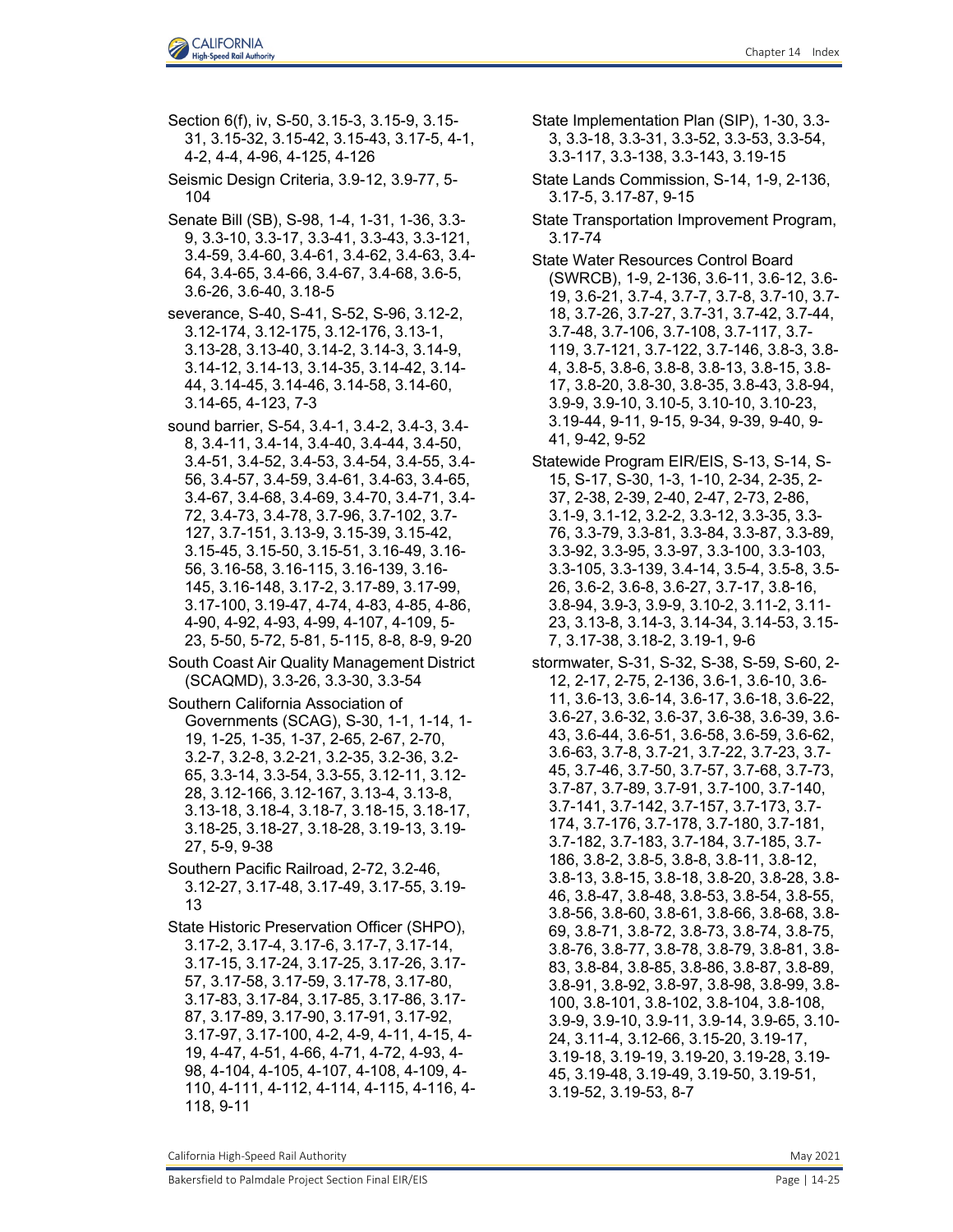Section 6(f), iv, S-50, 3.15-3, 3.15-9, 3.15- 31, 3.15-32, 3.15-42, 3.15-43, 3.17-5, 4-1, 4-2, 4-4, 4-96, 4-125, 4-126 Seismic Design Criteria, 3.9-12, 3.9-77, 5- 104 Senate Bill (SB), S-98, 1-4, 1-31, 1-36, 3.3- 9, 3.3-10, 3.3-17, 3.3-41, 3.3-43, 3.3-121, 3.4-59, 3.4-60, 3.4-61, 3.4-62, 3.4-63, 3.4- 64, 3.4-65, 3.4-66, 3.4-67, 3.4-68, 3.6-5, 3.6-26, 3.6-40, 3.18-5 severance, S-40, S-41, S-52, S-96, 3.12-2, 3.12-174, 3.12-175, 3.12-176, 3.13-1, 3.13-28, 3.13-40, 3.14-2, 3.14-3, 3.14-9,

3.14-12, 3.14-13, 3.14-35, 3.14-42, 3.14- 44, 3.14-45, 3.14-46, 3.14-58, 3.14-60, 3.14-65, 4-123, 7-3 sound barrier, S-54, 3.4-1, 3.4-2, 3.4-3, 3.4-

8, 3.4-11, 3.4-14, 3.4-40, 3.4-44, 3.4-50, 3.4-51, 3.4-52, 3.4-53, 3.4-54, 3.4-55, 3.4- 56, 3.4-57, 3.4-59, 3.4-61, 3.4-63, 3.4-65, 3.4-67, 3.4-68, 3.4-69, 3.4-70, 3.4-71, 3.4- 72, 3.4-73, 3.4-78, 3.7-96, 3.7-102, 3.7- 127, 3.7-151, 3.13-9, 3.15-39, 3.15-42, 3.15-45, 3.15-50, 3.15-51, 3.16-49, 3.16- 56, 3.16-58, 3.16-115, 3.16-139, 3.16- 145, 3.16-148, 3.17-2, 3.17-89, 3.17-99, 3.17-100, 3.19-47, 4-74, 4-83, 4-85, 4-86, 4-90, 4-92, 4-93, 4-99, 4-107, 4-109, 5- 23, 5-50, 5-72, 5-81, 5-115, 8-8, 8-9, 9-20

South Coast Air Quality Management District (SCAQMD), 3.3-26, 3.3-30, 3.3-54

Southern California Association of Governments (SCAG), S-30, 1-1, 1-14, 1- 19, 1-25, 1-35, 1-37, 2-65, 2-67, 2-70, 3.2-7, 3.2-8, 3.2-21, 3.2-35, 3.2-36, 3.2- 65, 3.3-14, 3.3-54, 3.3-55, 3.12-11, 3.12- 28, 3.12-166, 3.12-167, 3.13-4, 3.13-8, 3.13-18, 3.18-4, 3.18-7, 3.18-15, 3.18-17, 3.18-25, 3.18-27, 3.18-28, 3.19-13, 3.19- 27, 5-9, 9-38

Southern Pacific Railroad, 2-72, 3.2-46, 3.12-27, 3.17-48, 3.17-49, 3.17-55, 3.19- 13

State Historic Preservation Officer (SHPO), 3.17-2, 3.17-4, 3.17-6, 3.17-7, 3.17-14, 3.17-15, 3.17-24, 3.17-25, 3.17-26, 3.17- 57, 3.17-58, 3.17-59, 3.17-78, 3.17-80, 3.17-83, 3.17-84, 3.17-85, 3.17-86, 3.17- 87, 3.17-89, 3.17-90, 3.17-91, 3.17-92, 3.17-97, 3.17-100, 4-2, 4-9, 4-11, 4-15, 4- 19, 4-47, 4-51, 4-66, 4-71, 4-72, 4-93, 4- 98, 4-104, 4-105, 4-107, 4-108, 4-109, 4- 110, 4-111, 4-112, 4-114, 4-115, 4-116, 4- 118, 9-11

State Implementation Plan (SIP), 1-30, 3.3- 3, 3.3-18, 3.3-31, 3.3-52, 3.3-53, 3.3-54, 3.3-117, 3.3-138, 3.3-143, 3.19-15

State Lands Commission, S-14, 1-9, 2-136, 3.17-5, 3.17-87, 9-15

State Transportation Improvement Program, 3.17-74

State Water Resources Control Board (SWRCB), 1-9, 2-136, 3.6-11, 3.6-12, 3.6- 19, 3.6-21, 3.7-4, 3.7-7, 3.7-8, 3.7-10, 3.7- 18, 3.7-26, 3.7-27, 3.7-31, 3.7-42, 3.7-44, 3.7-48, 3.7-106, 3.7-108, 3.7-117, 3.7- 119, 3.7-121, 3.7-122, 3.7-146, 3.8-3, 3.8- 4, 3.8-5, 3.8-6, 3.8-8, 3.8-13, 3.8-15, 3.8- 17, 3.8-20, 3.8-30, 3.8-35, 3.8-43, 3.8-94, 3.9-9, 3.9-10, 3.10-5, 3.10-10, 3.10-23, 3.19-44, 9-11, 9-15, 9-34, 9-39, 9-40, 9- 41, 9-42, 9-52

Statewide Program EIR/EIS, S-13, S-14, S-15, S-17, S-30, 1-3, 1-10, 2-34, 2-35, 2- 37, 2-38, 2-39, 2-40, 2-47, 2-73, 2-86, 3.1-9, 3.1-12, 3.2-2, 3.3-12, 3.3-35, 3.3- 76, 3.3-79, 3.3-81, 3.3-84, 3.3-87, 3.3-89, 3.3-92, 3.3-95, 3.3-97, 3.3-100, 3.3-103, 3.3-105, 3.3-139, 3.4-14, 3.5-4, 3.5-8, 3.5- 26, 3.6-2, 3.6-8, 3.6-27, 3.7-17, 3.8-16, 3.8-94, 3.9-3, 3.9-9, 3.10-2, 3.11-2, 3.11- 23, 3.13-8, 3.14-3, 3.14-34, 3.14-53, 3.15- 7, 3.17-38, 3.18-2, 3.19-1, 9-6

stormwater, S-31, S-32, S-38, S-59, S-60, 2- 12, 2-17, 2-75, 2-136, 3.6-1, 3.6-10, 3.6- 11, 3.6-13, 3.6-14, 3.6-17, 3.6-18, 3.6-22, 3.6-27, 3.6-32, 3.6-37, 3.6-38, 3.6-39, 3.6- 43, 3.6-44, 3.6-51, 3.6-58, 3.6-59, 3.6-62, 3.6-63, 3.7-8, 3.7-21, 3.7-22, 3.7-23, 3.7- 45, 3.7-46, 3.7-50, 3.7-57, 3.7-68, 3.7-73, 3.7-87, 3.7-89, 3.7-91, 3.7-100, 3.7-140, 3.7-141, 3.7-142, 3.7-157, 3.7-173, 3.7- 174, 3.7-176, 3.7-178, 3.7-180, 3.7-181, 3.7-182, 3.7-183, 3.7-184, 3.7-185, 3.7- 186, 3.8-2, 3.8-5, 3.8-8, 3.8-11, 3.8-12, 3.8-13, 3.8-15, 3.8-18, 3.8-20, 3.8-28, 3.8- 46, 3.8-47, 3.8-48, 3.8-53, 3.8-54, 3.8-55, 3.8-56, 3.8-60, 3.8-61, 3.8-66, 3.8-68, 3.8- 69, 3.8-71, 3.8-72, 3.8-73, 3.8-74, 3.8-75, 3.8-76, 3.8-77, 3.8-78, 3.8-79, 3.8-81, 3.8- 83, 3.8-84, 3.8-85, 3.8-86, 3.8-87, 3.8-89, 3.8-91, 3.8-92, 3.8-97, 3.8-98, 3.8-99, 3.8- 100, 3.8-101, 3.8-102, 3.8-104, 3.8-108, 3.9-9, 3.9-10, 3.9-11, 3.9-14, 3.9-65, 3.10- 24, 3.11-4, 3.12-66, 3.15-20, 3.19-17, 3.19-18, 3.19-19, 3.19-20, 3.19-28, 3.19- 45, 3.19-48, 3.19-49, 3.19-50, 3.19-51, 3.19-52, 3.19-53, 8-7

California High-Speed Rail Authority **May 2021** 2021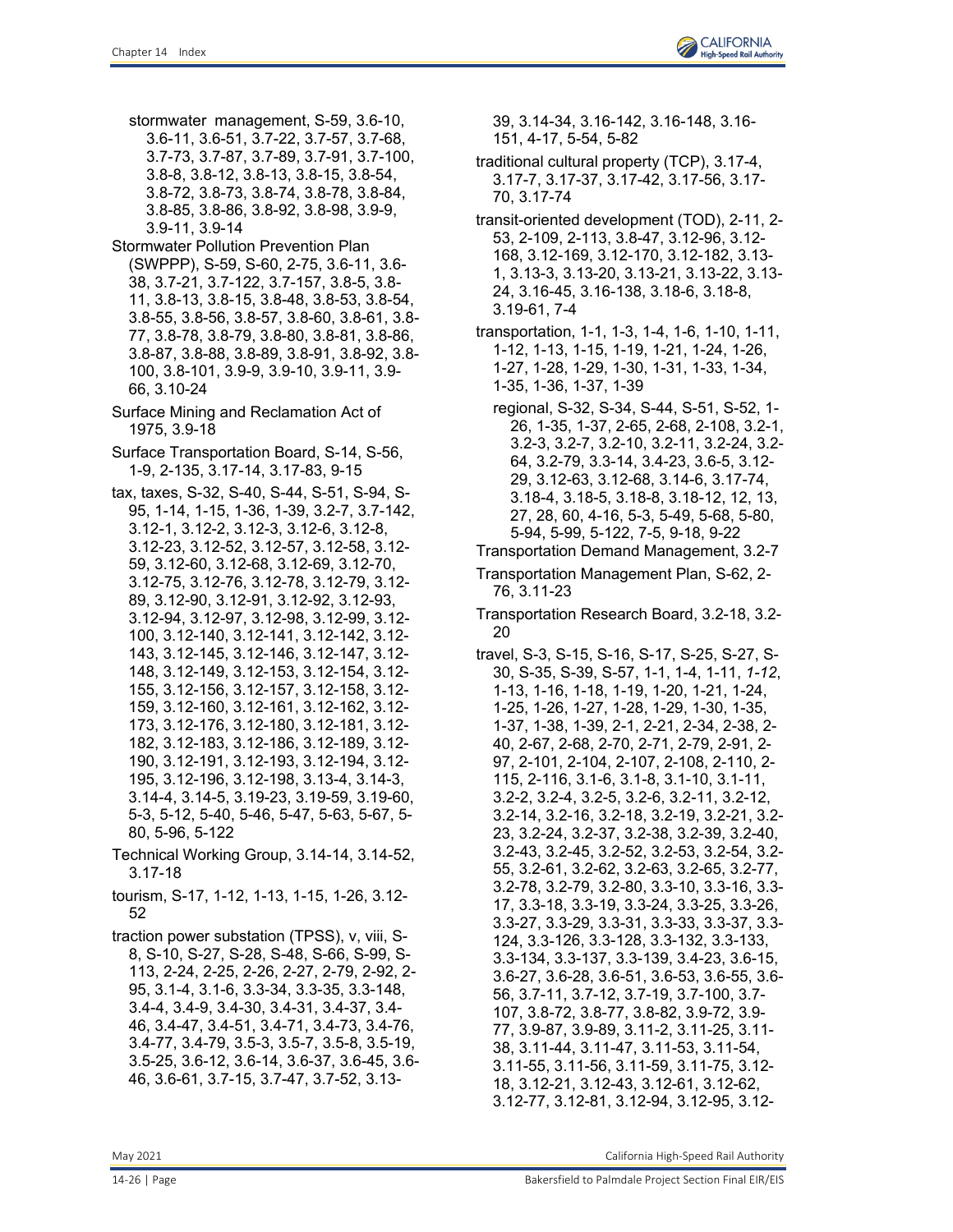

- stormwater management, S-59, 3.6-10, 3.6-11, 3.6-51, 3.7-22, 3.7-57, 3.7-68, 3.7-73, 3.7-87, 3.7-89, 3.7-91, 3.7-100, 3.8-8, 3.8-12, 3.8-13, 3.8-15, 3.8-54, 3.8-72, 3.8-73, 3.8-74, 3.8-78, 3.8-84, 3.8-85, 3.8-86, 3.8-92, 3.8-98, 3.9-9, 3.9-11, 3.9-14
- Stormwater Pollution Prevention Plan (SWPPP), S-59, S-60, 2-75, 3.6-11, 3.6- 38, 3.7-21, 3.7-122, 3.7-157, 3.8-5, 3.8- 11, 3.8-13, 3.8-15, 3.8-48, 3.8-53, 3.8-54, 3.8-55, 3.8-56, 3.8-57, 3.8-60, 3.8-61, 3.8- 77, 3.8-78, 3.8-79, 3.8-80, 3.8-81, 3.8-86, 3.8-87, 3.8-88, 3.8-89, 3.8-91, 3.8-92, 3.8- 100, 3.8-101, 3.9-9, 3.9-10, 3.9-11, 3.9- 66, 3.10-24
- Surface Mining and Reclamation Act of 1975, 3.9-18
- Surface Transportation Board, S-14, S-56, 1-9, 2-135, 3.17-14, 3.17-83, 9-15
- tax, taxes, S-32, S-40, S-44, S-51, S-94, S-95, 1-14, 1-15, 1-36, 1-39, 3.2-7, 3.7-142, 3.12-1, 3.12-2, 3.12-3, 3.12-6, 3.12-8, 3.12-23, 3.12-52, 3.12-57, 3.12-58, 3.12- 59, 3.12-60, 3.12-68, 3.12-69, 3.12-70, 3.12-75, 3.12-76, 3.12-78, 3.12-79, 3.12- 89, 3.12-90, 3.12-91, 3.12-92, 3.12-93, 3.12-94, 3.12-97, 3.12-98, 3.12-99, 3.12- 100, 3.12-140, 3.12-141, 3.12-142, 3.12- 143, 3.12-145, 3.12-146, 3.12-147, 3.12- 148, 3.12-149, 3.12-153, 3.12-154, 3.12- 155, 3.12-156, 3.12-157, 3.12-158, 3.12- 159, 3.12-160, 3.12-161, 3.12-162, 3.12- 173, 3.12-176, 3.12-180, 3.12-181, 3.12- 182, 3.12-183, 3.12-186, 3.12-189, 3.12- 190, 3.12-191, 3.12-193, 3.12-194, 3.12- 195, 3.12-196, 3.12-198, 3.13-4, 3.14-3, 3.14-4, 3.14-5, 3.19-23, 3.19-59, 3.19-60, 5-3, 5-12, 5-40, 5-46, 5-47, 5-63, 5-67, 5- 80, 5-96, 5-122
- Technical Working Group, 3.14-14, 3.14-52, 3.17-18
- tourism, S-17, 1-12, 1-13, 1-15, 1-26, 3.12- 52
- traction power substation (TPSS), v, viii, S-8, S-10, S-27, S-28, S-48, S-66, S-99, S-113, 2-24, 2-25, 2-26, 2-27, 2-79, 2-92, 2- 95, 3.1-4, 3.1-6, 3.3-34, 3.3-35, 3.3-148, 3.4-4, 3.4-9, 3.4-30, 3.4-31, 3.4-37, 3.4- 46, 3.4-47, 3.4-51, 3.4-71, 3.4-73, 3.4-76, 3.4-77, 3.4-79, 3.5-3, 3.5-7, 3.5-8, 3.5-19, 3.5-25, 3.6-12, 3.6-14, 3.6-37, 3.6-45, 3.6- 46, 3.6-61, 3.7-15, 3.7-47, 3.7-52, 3.13-

39, 3.14-34, 3.16-142, 3.16-148, 3.16- 151, 4-17, 5-54, 5-82

- traditional cultural property (TCP), 3.17-4, 3.17-7, 3.17-37, 3.17-42, 3.17-56, 3.17- 70, 3.17-74
- transit-oriented development (TOD), 2-11, 2- 53, 2-109, 2-113, 3.8-47, 3.12-96, 3.12- 168, 3.12-169, 3.12-170, 3.12-182, 3.13- 1, 3.13-3, 3.13-20, 3.13-21, 3.13-22, 3.13- 24, 3.16-45, 3.16-138, 3.18-6, 3.18-8, 3.19-61, 7-4
- transportation, 1-1, 1-3, 1-4, 1-6, 1-10, 1-11, 1-12, 1-13, 1-15, 1-19, 1-21, 1-24, 1-26, 1-27, 1-28, 1-29, 1-30, 1-31, 1-33, 1-34, 1-35, 1-36, 1-37, 1-39
	- regional, S-32, S-34, S-44, S-51, S-52, 1- 26, 1-35, 1-37, 2-65, 2-68, 2-108, 3.2-1, 3.2-3, 3.2-7, 3.2-10, 3.2-11, 3.2-24, 3.2- 64, 3.2-79, 3.3-14, 3.4-23, 3.6-5, 3.12- 29, 3.12-63, 3.12-68, 3.14-6, 3.17-74, 3.18-4, 3.18-5, 3.18-8, 3.18-12, 12, 13, 27, 28, 60, 4-16, 5-3, 5-49, 5-68, 5-80, 5-94, 5-99, 5-122, 7-5, 9-18, 9-22
- Transportation Demand Management, 3.2-7 Transportation Management Plan, S-62, 2- 76, 3.11-23
- Transportation Research Board, 3.2-18, 3.2- 20
- travel, S-3, S-15, S-16, S-17, S-25, S-27, S-30, S-35, S-39, S-57, 1-1, 1-4, 1-11, *1-12*, 1-13, 1-16, 1-18, 1-19, 1-20, 1-21, 1-24, 1-25, 1-26, 1-27, 1-28, 1-29, 1-30, 1-35, 1-37, 1-38, 1-39, 2-1, 2-21, 2-34, 2-38, 2- 40, 2-67, 2-68, 2-70, 2-71, 2-79, 2-91, 2- 97, 2-101, 2-104, 2-107, 2-108, 2-110, 2- 115, 2-116, 3.1-6, 3.1-8, 3.1-10, 3.1-11, 3.2-2, 3.2-4, 3.2-5, 3.2-6, 3.2-11, 3.2-12, 3.2-14, 3.2-16, 3.2-18, 3.2-19, 3.2-21, 3.2- 23, 3.2-24, 3.2-37, 3.2-38, 3.2-39, 3.2-40, 3.2-43, 3.2-45, 3.2-52, 3.2-53, 3.2-54, 3.2- 55, 3.2-61, 3.2-62, 3.2-63, 3.2-65, 3.2-77, 3.2-78, 3.2-79, 3.2-80, 3.3-10, 3.3-16, 3.3- 17, 3.3-18, 3.3-19, 3.3-24, 3.3-25, 3.3-26, 3.3-27, 3.3-29, 3.3-31, 3.3-33, 3.3-37, 3.3- 124, 3.3-126, 3.3-128, 3.3-132, 3.3-133, 3.3-134, 3.3-137, 3.3-139, 3.4-23, 3.6-15, 3.6-27, 3.6-28, 3.6-51, 3.6-53, 3.6-55, 3.6- 56, 3.7-11, 3.7-12, 3.7-19, 3.7-100, 3.7- 107, 3.8-72, 3.8-77, 3.8-82, 3.9-72, 3.9- 77, 3.9-87, 3.9-89, 3.11-2, 3.11-25, 3.11- 38, 3.11-44, 3.11-47, 3.11-53, 3.11-54, 3.11-55, 3.11-56, 3.11-59, 3.11-75, 3.12- 18, 3.12-21, 3.12-43, 3.12-61, 3.12-62, 3.12-77, 3.12-81, 3.12-94, 3.12-95, 3.12-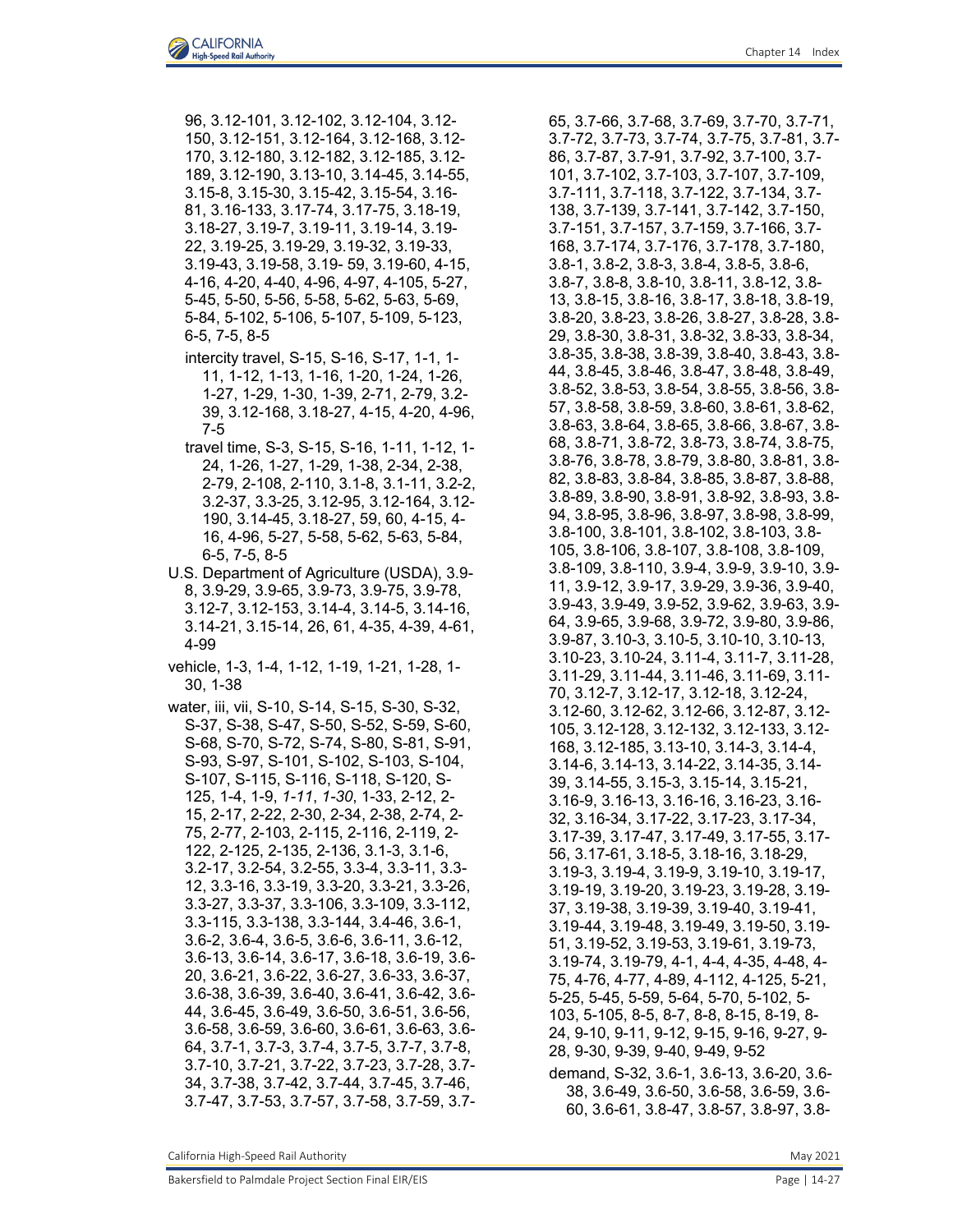- 96, 3.12-101, 3.12-102, 3.12-104, 3.12- 150, 3.12-151, 3.12-164, 3.12-168, 3.12- 170, 3.12-180, 3.12-182, 3.12-185, 3.12- 189, 3.12-190, 3.13-10, 3.14-45, 3.14-55, 3.15-8, 3.15-30, 3.15-42, 3.15-54, 3.16- 81, 3.16-133, 3.17-74, 3.17-75, 3.18-19, 3.18-27, 3.19-7, 3.19-11, 3.19-14, 3.19- 22, 3.19-25, 3.19-29, 3.19-32, 3.19-33, 3.19-43, 3.19-58, 3.19- 59, 3.19-60, 4-15, 4-16, 4-20, 4-40, 4-96, 4-97, 4-105, 5-27, 5-45, 5-50, 5-56, 5-58, 5-62, 5-63, 5-69, 5-84, 5-102, 5-106, 5-107, 5-109, 5-123, 6-5, 7-5, 8-5
- intercity travel, S-15, S-16, S-17, 1-1, 1- 11, 1-12, 1-13, 1-16, 1-20, 1-24, 1-26, 1-27, 1-29, 1-30, 1-39, 2-71, 2-79, 3.2- 39, 3.12-168, 3.18-27, 4-15, 4-20, 4-96, 7-5
- travel time, S-3, S-15, S-16, 1-11, 1-12, 1- 24, 1-26, 1-27, 1-29, 1-38, 2-34, 2-38, 2-79, 2-108, 2-110, 3.1-8, 3.1-11, 3.2-2, 3.2-37, 3.3-25, 3.12-95, 3.12-164, 3.12- 190, 3.14-45, 3.18-27, 59, 60, 4-15, 4- 16, 4-96, 5-27, 5-58, 5-62, 5-63, 5-84, 6-5, 7-5, 8-5
- U.S. Department of Agriculture (USDA), 3.9- 8, 3.9-29, 3.9-65, 3.9-73, 3.9-75, 3.9-78, 3.12-7, 3.12-153, 3.14-4, 3.14-5, 3.14-16, 3.14-21, 3.15-14, 26, 61, 4-35, 4-39, 4-61, 4-99
- vehicle, 1-3, 1-4, 1-12, 1-19, 1-21, 1-28, 1- 30, 1-38
- water, iii, vii, S-10, S-14, S-15, S-30, S-32, S-37, S-38, S-47, S-50, S-52, S-59, S-60, S-68, S-70, S-72, S-74, S-80, S-81, S-91, S-93, S-97, S-101, S-102, S-103, S-104, S-107, S-115, S-116, S-118, S-120, S-125, 1-4, 1-9, *1-11*, *1-30*, 1-33, 2-12, 2- 15, 2-17, 2-22, 2-30, 2-34, 2-38, 2-74, 2- 75, 2-77, 2-103, 2-115, 2-116, 2-119, 2- 122, 2-125, 2-135, 2-136, 3.1-3, 3.1-6, 3.2-17, 3.2-54, 3.2-55, 3.3-4, 3.3-11, 3.3- 12, 3.3-16, 3.3-19, 3.3-20, 3.3-21, 3.3-26, 3.3-27, 3.3-37, 3.3-106, 3.3-109, 3.3-112, 3.3-115, 3.3-138, 3.3-144, 3.4-46, 3.6-1, 3.6-2, 3.6-4, 3.6-5, 3.6-6, 3.6-11, 3.6-12, 3.6-13, 3.6-14, 3.6-17, 3.6-18, 3.6-19, 3.6- 20, 3.6-21, 3.6-22, 3.6-27, 3.6-33, 3.6-37, 3.6-38, 3.6-39, 3.6-40, 3.6-41, 3.6-42, 3.6- 44, 3.6-45, 3.6-49, 3.6-50, 3.6-51, 3.6-56, 3.6-58, 3.6-59, 3.6-60, 3.6-61, 3.6-63, 3.6- 64, 3.7-1, 3.7-3, 3.7-4, 3.7-5, 3.7-7, 3.7-8, 3.7-10, 3.7-21, 3.7-22, 3.7-23, 3.7-28, 3.7- 34, 3.7-38, 3.7-42, 3.7-44, 3.7-45, 3.7-46, 3.7-47, 3.7-53, 3.7-57, 3.7-58, 3.7-59, 3.7-

65, 3.7-66, 3.7-68, 3.7-69, 3.7-70, 3.7-71, 3.7-72, 3.7-73, 3.7-74, 3.7-75, 3.7-81, 3.7- 86, 3.7-87, 3.7-91, 3.7-92, 3.7-100, 3.7- 101, 3.7-102, 3.7-103, 3.7-107, 3.7-109, 3.7-111, 3.7-118, 3.7-122, 3.7-134, 3.7- 138, 3.7-139, 3.7-141, 3.7-142, 3.7-150, 3.7-151, 3.7-157, 3.7-159, 3.7-166, 3.7- 168, 3.7-174, 3.7-176, 3.7-178, 3.7-180, 3.8-1, 3.8-2, 3.8-3, 3.8-4, 3.8-5, 3.8-6, 3.8-7, 3.8-8, 3.8-10, 3.8-11, 3.8-12, 3.8- 13, 3.8-15, 3.8-16, 3.8-17, 3.8-18, 3.8-19, 3.8-20, 3.8-23, 3.8-26, 3.8-27, 3.8-28, 3.8- 29, 3.8-30, 3.8-31, 3.8-32, 3.8-33, 3.8-34, 3.8-35, 3.8-38, 3.8-39, 3.8-40, 3.8-43, 3.8- 44, 3.8-45, 3.8-46, 3.8-47, 3.8-48, 3.8-49, 3.8-52, 3.8-53, 3.8-54, 3.8-55, 3.8-56, 3.8- 57, 3.8-58, 3.8-59, 3.8-60, 3.8-61, 3.8-62, 3.8-63, 3.8-64, 3.8-65, 3.8-66, 3.8-67, 3.8- 68, 3.8-71, 3.8-72, 3.8-73, 3.8-74, 3.8-75, 3.8-76, 3.8-78, 3.8-79, 3.8-80, 3.8-81, 3.8- 82, 3.8-83, 3.8-84, 3.8-85, 3.8-87, 3.8-88, 3.8-89, 3.8-90, 3.8-91, 3.8-92, 3.8-93, 3.8- 94, 3.8-95, 3.8-96, 3.8-97, 3.8-98, 3.8-99, 3.8-100, 3.8-101, 3.8-102, 3.8-103, 3.8- 105, 3.8-106, 3.8-107, 3.8-108, 3.8-109, 3.8-109, 3.8-110, 3.9-4, 3.9-9, 3.9-10, 3.9- 11, 3.9-12, 3.9-17, 3.9-29, 3.9-36, 3.9-40, 3.9-43, 3.9-49, 3.9-52, 3.9-62, 3.9-63, 3.9- 64, 3.9-65, 3.9-68, 3.9-72, 3.9-80, 3.9-86, 3.9-87, 3.10-3, 3.10-5, 3.10-10, 3.10-13, 3.10-23, 3.10-24, 3.11-4, 3.11-7, 3.11-28, 3.11-29, 3.11-44, 3.11-46, 3.11-69, 3.11- 70, 3.12-7, 3.12-17, 3.12-18, 3.12-24, 3.12-60, 3.12-62, 3.12-66, 3.12-87, 3.12- 105, 3.12-128, 3.12-132, 3.12-133, 3.12- 168, 3.12-185, 3.13-10, 3.14-3, 3.14-4, 3.14-6, 3.14-13, 3.14-22, 3.14-35, 3.14- 39, 3.14-55, 3.15-3, 3.15-14, 3.15-21, 3.16-9, 3.16-13, 3.16-16, 3.16-23, 3.16- 32, 3.16-34, 3.17-22, 3.17-23, 3.17-34, 3.17-39, 3.17-47, 3.17-49, 3.17-55, 3.17- 56, 3.17-61, 3.18-5, 3.18-16, 3.18-29, 3.19-3, 3.19-4, 3.19-9, 3.19-10, 3.19-17, 3.19-19, 3.19-20, 3.19-23, 3.19-28, 3.19- 37, 3.19-38, 3.19-39, 3.19-40, 3.19-41, 3.19-44, 3.19-48, 3.19-49, 3.19-50, 3.19- 51, 3.19-52, 3.19-53, 3.19-61, 3.19-73, 3.19-74, 3.19-79, 4-1, 4-4, 4-35, 4-48, 4- 75, 4-76, 4-77, 4-89, 4-112, 4-125, 5-21, 5-25, 5-45, 5-59, 5-64, 5-70, 5-102, 5- 103, 5-105, 8-5, 8-7, 8-8, 8-15, 8-19, 8- 24, 9-10, 9-11, 9-12, 9-15, 9-16, 9-27, 9- 28, 9-30, 9-39, 9-40, 9-49, 9-52 demand, S-32, 3.6-1, 3.6-13, 3.6-20, 3.6- 38, 3.6-49, 3.6-50, 3.6-58, 3.6-59, 3.6-

60, 3.6-61, 3.8-47, 3.8-57, 3.8-97, 3.8-

California High-Speed Rail Authority **May 2021** 2021